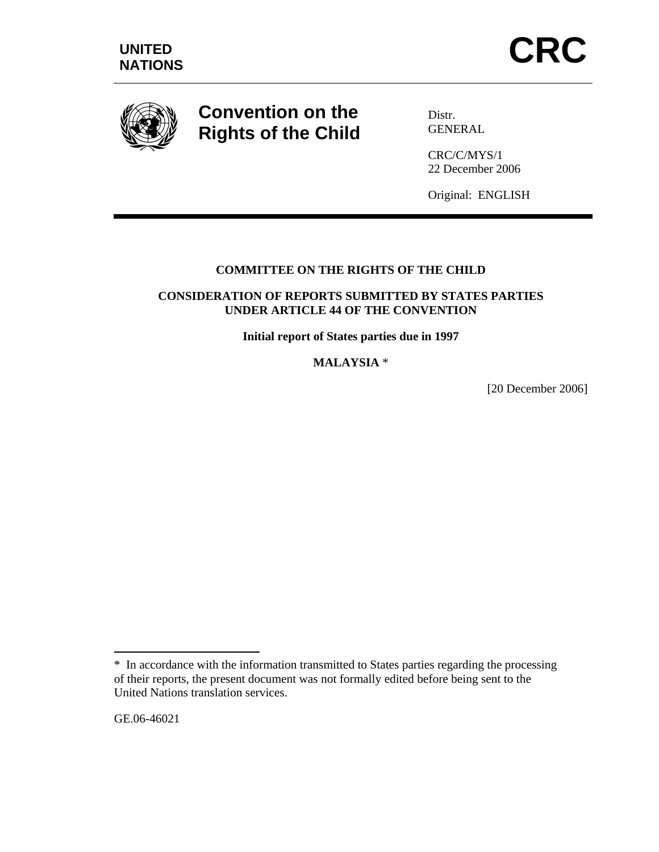

**Convention on the Rights of the Child** 

Distr. GENERAL

CRC/C/MYS/1 22 December 2006

Original: ENGLISH

# **COMMITTEE ON THE RIGHTS OF THE CHILD**

# **CONSIDERATION OF REPORTS SUBMITTED BY STATES PARTIES UNDER ARTICLE 44 OF THE CONVENTION**

**Initial report of States parties due in 1997** 

**MALAYSIA** \*

[20 December 2006]

GE.06-46021

 $\overline{a}$ 

<sup>\*</sup> In accordance with the information transmitted to States parties regarding the processing of their reports, the present document was not formally edited before being sent to the United Nations translation services.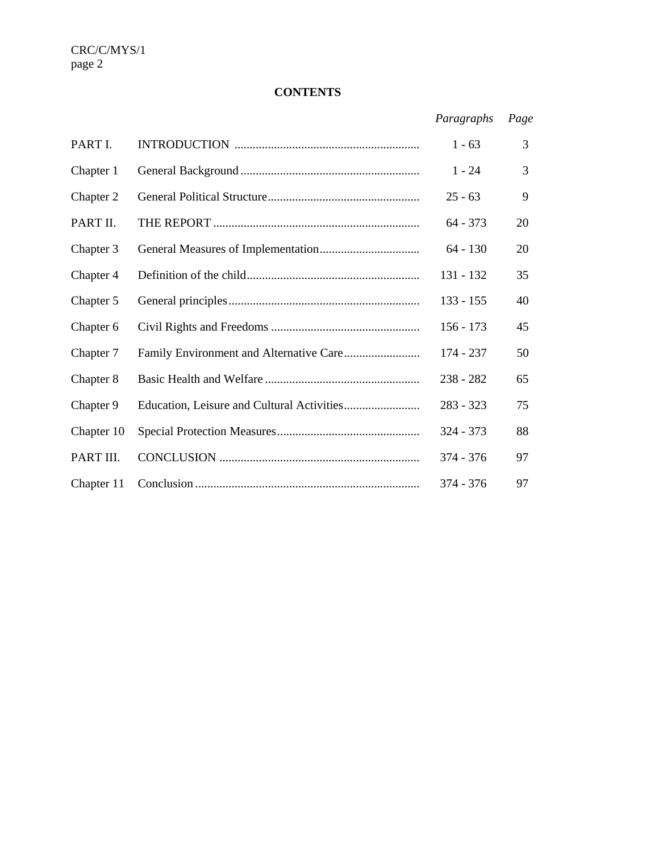# **CONTENTS**

|            | Paragraphs  | Page |
|------------|-------------|------|
| PART I.    | $1 - 63$    | 3    |
| Chapter 1  | $1 - 24$    | 3    |
| Chapter 2  | $25 - 63$   | 9    |
| PART II.   | $64 - 373$  | 20   |
| Chapter 3  | $64 - 130$  | 20   |
| Chapter 4  | 131 - 132   | 35   |
| Chapter 5  | $133 - 155$ | 40   |
| Chapter 6  | $156 - 173$ | 45   |
| Chapter 7  | 174 - 237   | 50   |
| Chapter 8  | $238 - 282$ | 65   |
| Chapter 9  | $283 - 323$ | 75   |
| Chapter 10 | $324 - 373$ | 88   |
| PART III.  | 374 - 376   | 97   |
| Chapter 11 | $374 - 376$ | 97   |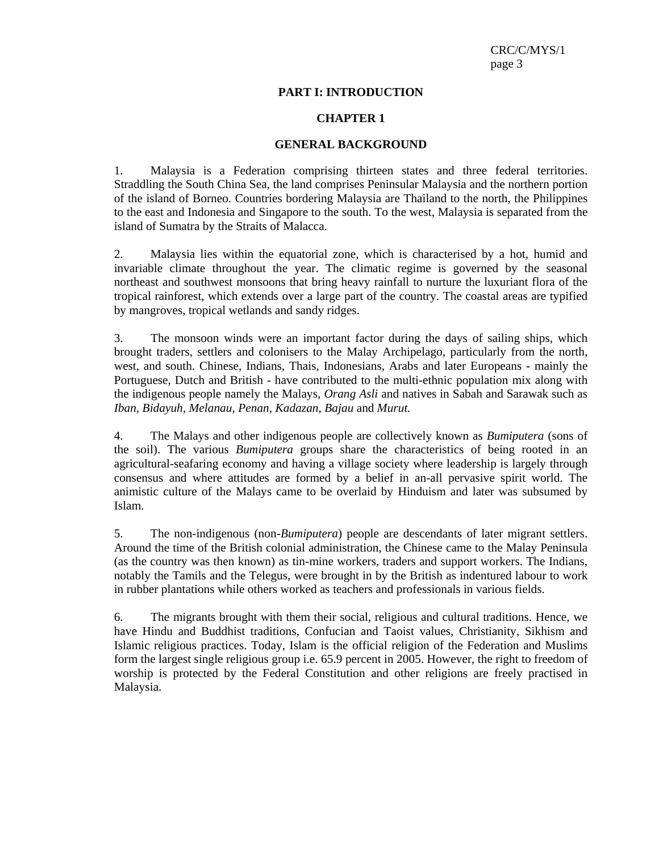### **PART I: INTRODUCTION**

#### **CHAPTER 1**

#### **GENERAL BACKGROUND**

1. Malaysia is a Federation comprising thirteen states and three federal territories. Straddling the South China Sea, the land comprises Peninsular Malaysia and the northern portion of the island of Borneo. Countries bordering Malaysia are Thailand to the north, the Philippines to the east and Indonesia and Singapore to the south. To the west, Malaysia is separated from the island of Sumatra by the Straits of Malacca.

2. Malaysia lies within the equatorial zone, which is characterised by a hot, humid and invariable climate throughout the year. The climatic regime is governed by the seasonal northeast and southwest monsoons that bring heavy rainfall to nurture the luxuriant flora of the tropical rainforest, which extends over a large part of the country. The coastal areas are typified by mangroves, tropical wetlands and sandy ridges.

3. The monsoon winds were an important factor during the days of sailing ships, which brought traders, settlers and colonisers to the Malay Archipelago, particularly from the north, west, and south. Chinese, Indians, Thais, Indonesians, Arabs and later Europeans - mainly the Portuguese, Dutch and British - have contributed to the multi-ethnic population mix along with the indigenous people namely the Malays, *Orang Asli* and natives in Sabah and Sarawak such as *Iban, Bidayuh, Melanau, Penan, Kadazan*, *Bajau* and *Murut.*

4. The Malays and other indigenous people are collectively known as *Bumiputera* (sons of the soil). The various *Bumiputera* groups share the characteristics of being rooted in an agricultural-seafaring economy and having a village society where leadership is largely through consensus and where attitudes are formed by a belief in an-all pervasive spirit world. The animistic culture of the Malays came to be overlaid by Hinduism and later was subsumed by Islam.

5. The non-indigenous (non-*Bumiputera*) people are descendants of later migrant settlers. Around the time of the British colonial administration, the Chinese came to the Malay Peninsula (as the country was then known) as tin-mine workers, traders and support workers. The Indians, notably the Tamils and the Telegus, were brought in by the British as indentured labour to work in rubber plantations while others worked as teachers and professionals in various fields.

6. The migrants brought with them their social, religious and cultural traditions. Hence, we have Hindu and Buddhist traditions, Confucian and Taoist values, Christianity, Sikhism and Islamic religious practices. Today, Islam is the official religion of the Federation and Muslims form the largest single religious group i.e. 65.9 percent in 2005. However, the right to freedom of worship is protected by the Federal Constitution and other religions are freely practised in Malaysia.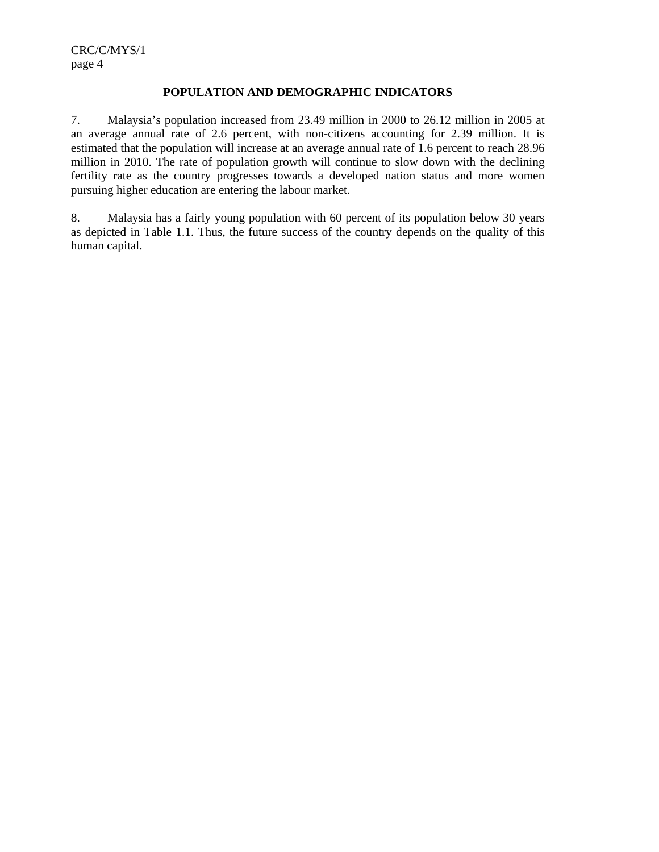### **POPULATION AND DEMOGRAPHIC INDICATORS**

7. Malaysia's population increased from 23.49 million in 2000 to 26.12 million in 2005 at an average annual rate of 2.6 percent, with non-citizens accounting for 2.39 million. It is estimated that the population will increase at an average annual rate of 1.6 percent to reach 28.96 million in 2010. The rate of population growth will continue to slow down with the declining fertility rate as the country progresses towards a developed nation status and more women pursuing higher education are entering the labour market.

8. Malaysia has a fairly young population with 60 percent of its population below 30 years as depicted in Table 1.1. Thus, the future success of the country depends on the quality of this human capital.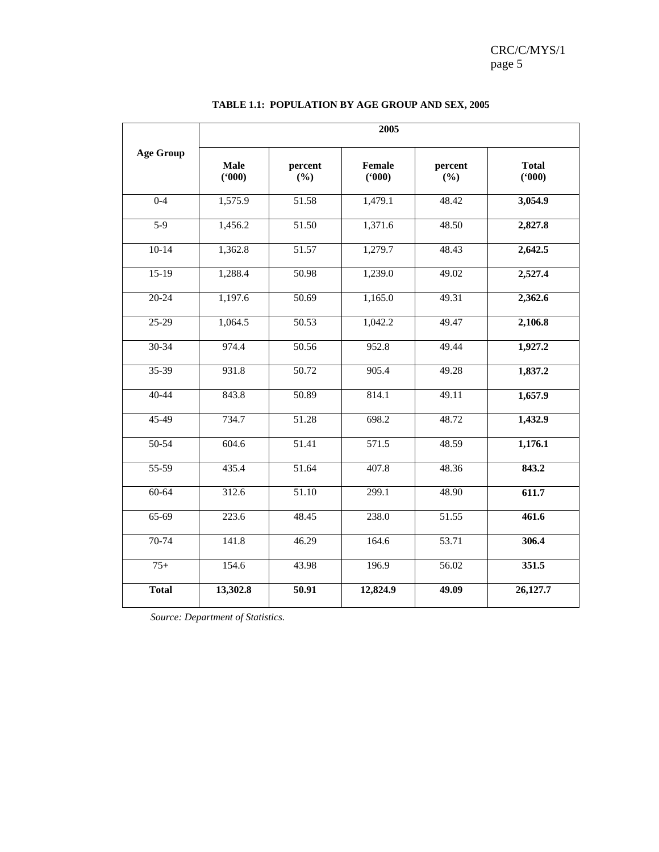CRC/C/MYS/1<br>page 5 page 5

|                  | 2005                 |                |                        |                |                       |  |
|------------------|----------------------|----------------|------------------------|----------------|-----------------------|--|
| <b>Age Group</b> | <b>Male</b><br>(900) | percent<br>(%) | <b>Female</b><br>(900) | percent<br>(%) | <b>Total</b><br>(900) |  |
| $0 - 4$          | 1,575.9              | 51.58          | 1,479.1                | 48.42          | 3,054.9               |  |
| $5-9$            | 1,456.2              | 51.50          | 1,371.6                | 48.50          | 2,827.8               |  |
| $10-14$          | 1,362.8              | 51.57          | 1,279.7                | 48.43          | 2,642.5               |  |
| $15-19$          | 1,288.4              | 50.98          | 1,239.0                | 49.02          | 2,527.4               |  |
| $20 - 24$        | 1,197.6              | 50.69          | 1,165.0                | 49.31          | 2,362.6               |  |
| 25-29            | 1,064.5              | 50.53          | 1,042.2                | 49.47          | 2,106.8               |  |
| 30-34            | 974.4                | 50.56          | 952.8                  | 49.44          | 1,927.2               |  |
| 35-39            | 931.8                | 50.72          | 905.4                  | 49.28          | 1,837.2               |  |
| $40 - 44$        | 843.8                | 50.89          | 814.1                  | 49.11          | 1,657.9               |  |
| $45-49$          | 734.7                | 51.28          | 698.2                  | 48.72          | 1,432.9               |  |
| $50 - 54$        | 604.6                | 51.41          | 571.5                  | 48.59          | 1,176.1               |  |
| 55-59            | 435.4                | 51.64          | 407.8                  | 48.36          | 843.2                 |  |
| 60-64            | 312.6                | 51.10          | 299.1                  | 48.90          | 611.7                 |  |
| $65-69$          | 223.6                | 48.45          | 238.0                  | 51.55          | 461.6                 |  |
| $70-74$          | 141.8                | 46.29          | 164.6                  | 53.71          | 306.4                 |  |
| $75+$            | 154.6                | 43.98          | 196.9                  | 56.02          | 351.5                 |  |
| <b>Total</b>     | 13,302.8             | 50.91          | 12,824.9               | 49.09          | 26,127.7              |  |

# **TABLE 1.1: POPULATION BY AGE GROUP AND SEX, 2005**

 *Source: Department of Statistics.*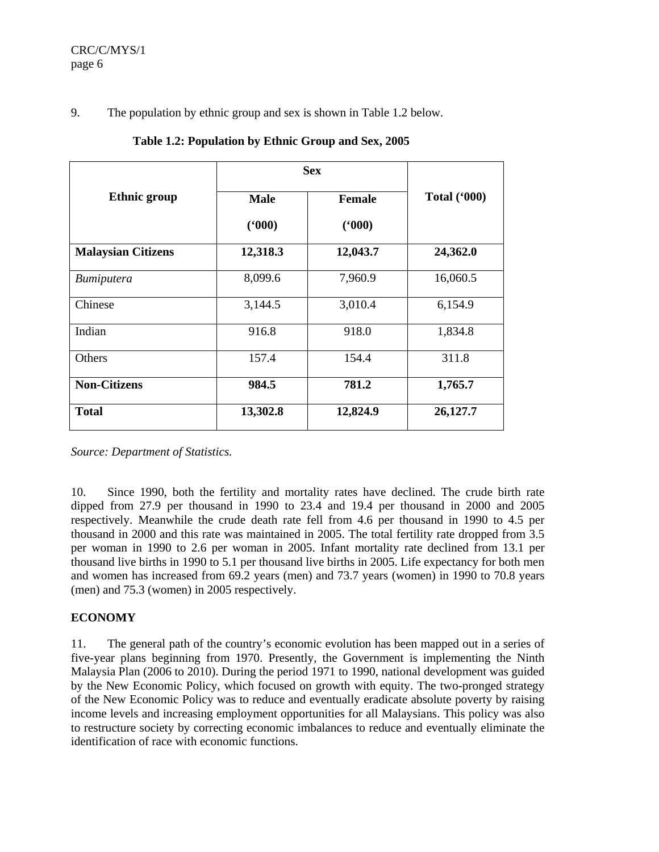9. The population by ethnic group and sex is shown in Table 1.2 below.

|                           | <b>Sex</b>  |               |                     |  |
|---------------------------|-------------|---------------|---------------------|--|
| <b>Ethnic group</b>       | <b>Male</b> | <b>Female</b> | <b>Total ('000)</b> |  |
|                           | (600)       | (900)         |                     |  |
| <b>Malaysian Citizens</b> | 12,318.3    | 12,043.7      | 24,362.0            |  |
| <b>Bumiputera</b>         | 8,099.6     | 7,960.9       | 16,060.5            |  |
| Chinese                   | 3,144.5     | 3,010.4       | 6,154.9             |  |
| Indian                    | 916.8       | 918.0         | 1,834.8             |  |
| <b>Others</b>             | 157.4       | 154.4         | 311.8               |  |
| <b>Non-Citizens</b>       | 984.5       | 781.2         | 1,765.7             |  |
| <b>Total</b>              | 13,302.8    | 12,824.9      | 26,127.7            |  |

**Table 1.2: Population by Ethnic Group and Sex, 2005** 

*Source: Department of Statistics.*

10. Since 1990, both the fertility and mortality rates have declined. The crude birth rate dipped from 27.9 per thousand in 1990 to 23.4 and 19.4 per thousand in 2000 and 2005 respectively. Meanwhile the crude death rate fell from 4.6 per thousand in 1990 to 4.5 per thousand in 2000 and this rate was maintained in 2005. The total fertility rate dropped from 3.5 per woman in 1990 to 2.6 per woman in 2005. Infant mortality rate declined from 13.1 per thousand live births in 1990 to 5.1 per thousand live births in 2005. Life expectancy for both men and women has increased from 69.2 years (men) and 73.7 years (women) in 1990 to 70.8 years (men) and 75.3 (women) in 2005 respectively.

# **ECONOMY**

11. The general path of the country's economic evolution has been mapped out in a series of five-year plans beginning from 1970. Presently, the Government is implementing the Ninth Malaysia Plan (2006 to 2010). During the period 1971 to 1990, national development was guided by the New Economic Policy, which focused on growth with equity. The two-pronged strategy of the New Economic Policy was to reduce and eventually eradicate absolute poverty by raising income levels and increasing employment opportunities for all Malaysians. This policy was also to restructure society by correcting economic imbalances to reduce and eventually eliminate the identification of race with economic functions.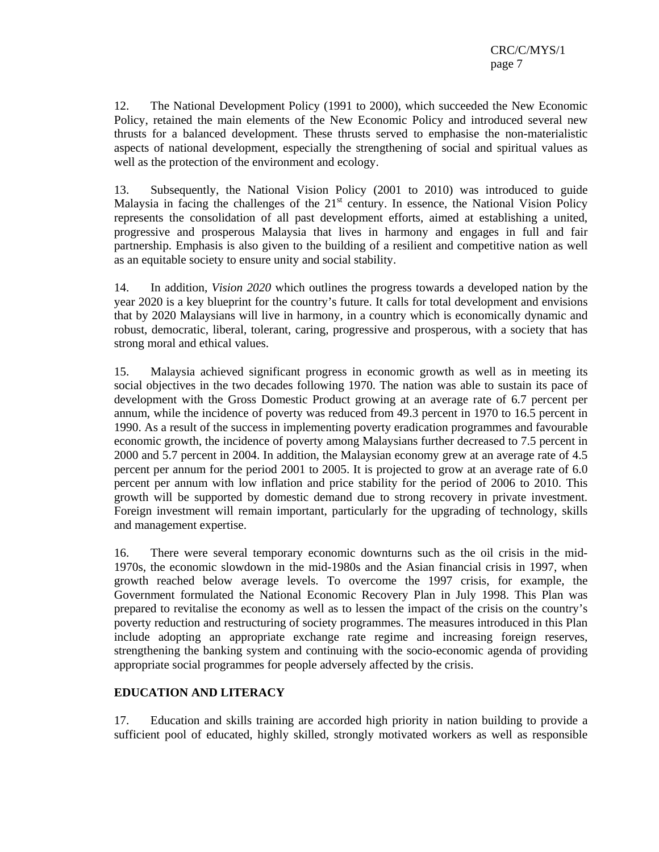12. The National Development Policy (1991 to 2000), which succeeded the New Economic Policy, retained the main elements of the New Economic Policy and introduced several new thrusts for a balanced development. These thrusts served to emphasise the non-materialistic aspects of national development, especially the strengthening of social and spiritual values as well as the protection of the environment and ecology.

13. Subsequently, the National Vision Policy (2001 to 2010) was introduced to guide Malaysia in facing the challenges of the 21<sup>st</sup> century. In essence, the National Vision Policy represents the consolidation of all past development efforts, aimed at establishing a united, progressive and prosperous Malaysia that lives in harmony and engages in full and fair partnership. Emphasis is also given to the building of a resilient and competitive nation as well as an equitable society to ensure unity and social stability.

14. In addition, *Vision 2020* which outlines the progress towards a developed nation by the year 2020 is a key blueprint for the country's future. It calls for total development and envisions that by 2020 Malaysians will live in harmony, in a country which is economically dynamic and robust, democratic, liberal, tolerant, caring, progressive and prosperous, with a society that has strong moral and ethical values.

15. Malaysia achieved significant progress in economic growth as well as in meeting its social objectives in the two decades following 1970. The nation was able to sustain its pace of development with the Gross Domestic Product growing at an average rate of 6.7 percent per annum, while the incidence of poverty was reduced from 49.3 percent in 1970 to 16.5 percent in 1990. As a result of the success in implementing poverty eradication programmes and favourable economic growth, the incidence of poverty among Malaysians further decreased to 7.5 percent in 2000 and 5.7 percent in 2004. In addition, the Malaysian economy grew at an average rate of 4.5 percent per annum for the period 2001 to 2005. It is projected to grow at an average rate of 6.0 percent per annum with low inflation and price stability for the period of 2006 to 2010. This growth will be supported by domestic demand due to strong recovery in private investment. Foreign investment will remain important, particularly for the upgrading of technology, skills and management expertise.

16. There were several temporary economic downturns such as the oil crisis in the mid-1970s, the economic slowdown in the mid-1980s and the Asian financial crisis in 1997, when growth reached below average levels. To overcome the 1997 crisis, for example, the Government formulated the National Economic Recovery Plan in July 1998. This Plan was prepared to revitalise the economy as well as to lessen the impact of the crisis on the country's poverty reduction and restructuring of society programmes. The measures introduced in this Plan include adopting an appropriate exchange rate regime and increasing foreign reserves, strengthening the banking system and continuing with the socio-economic agenda of providing appropriate social programmes for people adversely affected by the crisis.

## **EDUCATION AND LITERACY**

17. Education and skills training are accorded high priority in nation building to provide a sufficient pool of educated, highly skilled, strongly motivated workers as well as responsible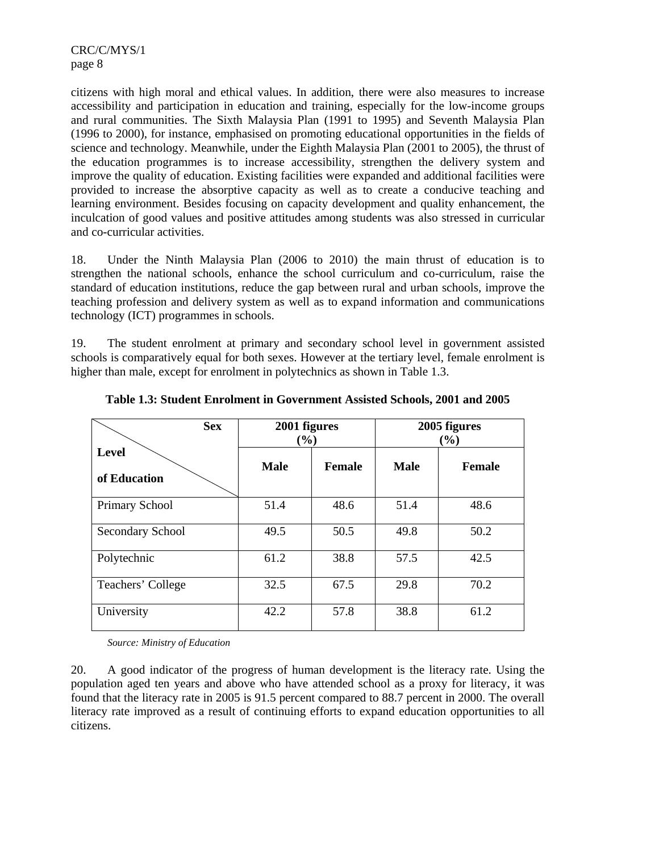citizens with high moral and ethical values. In addition, there were also measures to increase accessibility and participation in education and training, especially for the low-income groups and rural communities. The Sixth Malaysia Plan (1991 to 1995) and Seventh Malaysia Plan (1996 to 2000), for instance, emphasised on promoting educational opportunities in the fields of science and technology. Meanwhile, under the Eighth Malaysia Plan (2001 to 2005), the thrust of the education programmes is to increase accessibility, strengthen the delivery system and improve the quality of education. Existing facilities were expanded and additional facilities were provided to increase the absorptive capacity as well as to create a conducive teaching and learning environment. Besides focusing on capacity development and quality enhancement, the inculcation of good values and positive attitudes among students was also stressed in curricular and co-curricular activities.

18. Under the Ninth Malaysia Plan (2006 to 2010) the main thrust of education is to strengthen the national schools, enhance the school curriculum and co-curriculum, raise the standard of education institutions, reduce the gap between rural and urban schools, improve the teaching profession and delivery system as well as to expand information and communications technology (ICT) programmes in schools.

19. The student enrolment at primary and secondary school level in government assisted schools is comparatively equal for both sexes. However at the tertiary level, female enrolment is higher than male, except for enrolment in polytechnics as shown in Table 1.3.

| <b>Sex</b>                   | 2001 figures<br>(%) |               | 2005 figures<br>(%) |               |
|------------------------------|---------------------|---------------|---------------------|---------------|
| <b>Level</b><br>of Education | <b>Male</b>         | <b>Female</b> | <b>Male</b>         | <b>Female</b> |
| Primary School               | 51.4                | 48.6          | 51.4                | 48.6          |
| Secondary School             | 49.5                | 50.5          | 49.8                | 50.2          |
| Polytechnic                  | 61.2                | 38.8          | 57.5                | 42.5          |
| Teachers' College            | 32.5                | 67.5          | 29.8                | 70.2          |
| University                   | 42.2                | 57.8          | 38.8                | 61.2          |

**Table 1.3: Student Enrolment in Government Assisted Schools, 2001 and 2005** 

 *Source: Ministry of Education* 

20. A good indicator of the progress of human development is the literacy rate. Using the population aged ten years and above who have attended school as a proxy for literacy, it was found that the literacy rate in 2005 is 91.5 percent compared to 88.7 percent in 2000. The overall literacy rate improved as a result of continuing efforts to expand education opportunities to all citizens.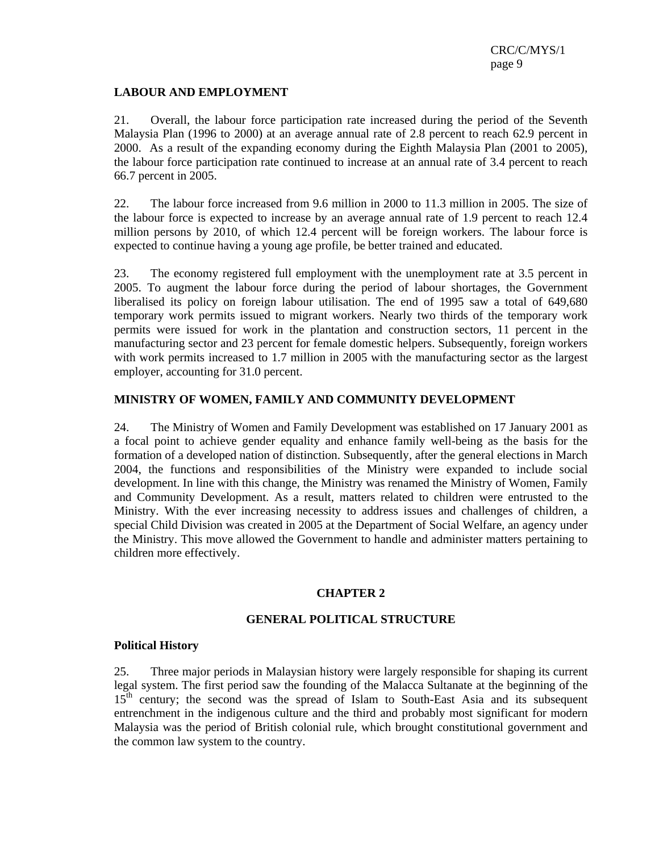#### **LABOUR AND EMPLOYMENT**

21. Overall, the labour force participation rate increased during the period of the Seventh Malaysia Plan (1996 to 2000) at an average annual rate of 2.8 percent to reach 62.9 percent in 2000. As a result of the expanding economy during the Eighth Malaysia Plan (2001 to 2005), the labour force participation rate continued to increase at an annual rate of 3.4 percent to reach 66.7 percent in 2005.

22. The labour force increased from 9.6 million in 2000 to 11.3 million in 2005. The size of the labour force is expected to increase by an average annual rate of 1.9 percent to reach 12.4 million persons by 2010, of which 12.4 percent will be foreign workers. The labour force is expected to continue having a young age profile, be better trained and educated.

23. The economy registered full employment with the unemployment rate at 3.5 percent in 2005. To augment the labour force during the period of labour shortages, the Government liberalised its policy on foreign labour utilisation. The end of 1995 saw a total of 649,680 temporary work permits issued to migrant workers. Nearly two thirds of the temporary work permits were issued for work in the plantation and construction sectors, 11 percent in the manufacturing sector and 23 percent for female domestic helpers. Subsequently, foreign workers with work permits increased to 1.7 million in 2005 with the manufacturing sector as the largest employer, accounting for 31.0 percent.

#### **MINISTRY OF WOMEN, FAMILY AND COMMUNITY DEVELOPMENT**

24. The Ministry of Women and Family Development was established on 17 January 2001 as a focal point to achieve gender equality and enhance family well-being as the basis for the formation of a developed nation of distinction. Subsequently, after the general elections in March 2004, the functions and responsibilities of the Ministry were expanded to include social development. In line with this change, the Ministry was renamed the Ministry of Women, Family and Community Development. As a result, matters related to children were entrusted to the Ministry. With the ever increasing necessity to address issues and challenges of children, a special Child Division was created in 2005 at the Department of Social Welfare, an agency under the Ministry. This move allowed the Government to handle and administer matters pertaining to children more effectively.

#### **CHAPTER 2**

#### **GENERAL POLITICAL STRUCTURE**

#### **Political History**

25. Three major periods in Malaysian history were largely responsible for shaping its current legal system. The first period saw the founding of the Malacca Sultanate at the beginning of the 15<sup>th</sup> century; the second was the spread of Islam to South-East Asia and its subsequent entrenchment in the indigenous culture and the third and probably most significant for modern Malaysia was the period of British colonial rule, which brought constitutional government and the common law system to the country.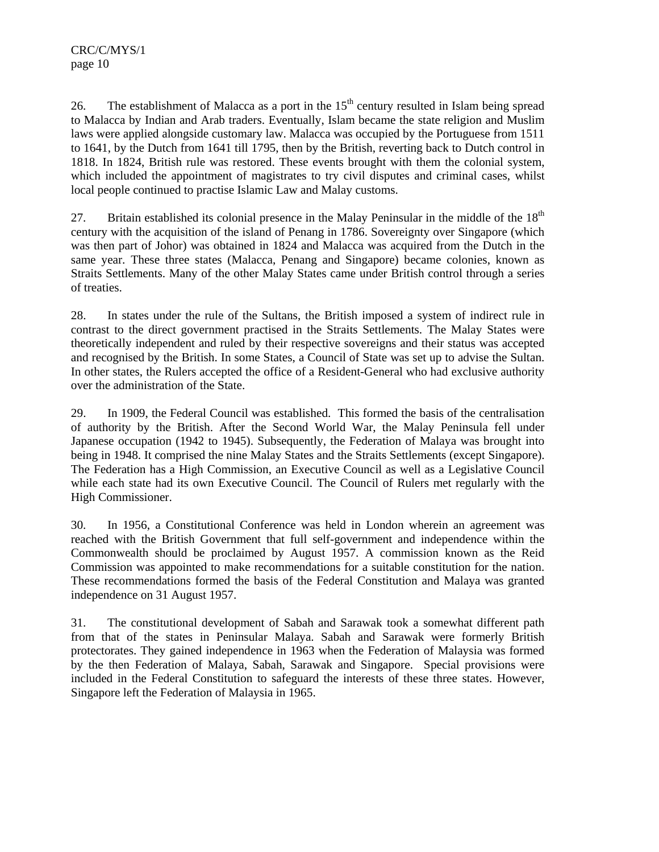26. The establishment of Malacca as a port in the  $15<sup>th</sup>$  century resulted in Islam being spread to Malacca by Indian and Arab traders. Eventually, Islam became the state religion and Muslim laws were applied alongside customary law. Malacca was occupied by the Portuguese from 1511 to 1641, by the Dutch from 1641 till 1795, then by the British, reverting back to Dutch control in 1818. In 1824, British rule was restored. These events brought with them the colonial system, which included the appointment of magistrates to try civil disputes and criminal cases, whilst local people continued to practise Islamic Law and Malay customs.

27. Britain established its colonial presence in the Malay Peninsular in the middle of the 18<sup>th</sup> century with the acquisition of the island of Penang in 1786. Sovereignty over Singapore (which was then part of Johor) was obtained in 1824 and Malacca was acquired from the Dutch in the same year. These three states (Malacca, Penang and Singapore) became colonies, known as Straits Settlements. Many of the other Malay States came under British control through a series of treaties.

28. In states under the rule of the Sultans, the British imposed a system of indirect rule in contrast to the direct government practised in the Straits Settlements. The Malay States were theoretically independent and ruled by their respective sovereigns and their status was accepted and recognised by the British. In some States, a Council of State was set up to advise the Sultan. In other states, the Rulers accepted the office of a Resident-General who had exclusive authority over the administration of the State.

29. In 1909, the Federal Council was established. This formed the basis of the centralisation of authority by the British. After the Second World War, the Malay Peninsula fell under Japanese occupation (1942 to 1945). Subsequently, the Federation of Malaya was brought into being in 1948. It comprised the nine Malay States and the Straits Settlements (except Singapore). The Federation has a High Commission, an Executive Council as well as a Legislative Council while each state had its own Executive Council. The Council of Rulers met regularly with the High Commissioner.

30. In 1956, a Constitutional Conference was held in London wherein an agreement was reached with the British Government that full self-government and independence within the Commonwealth should be proclaimed by August 1957. A commission known as the Reid Commission was appointed to make recommendations for a suitable constitution for the nation. These recommendations formed the basis of the Federal Constitution and Malaya was granted independence on 31 August 1957.

31. The constitutional development of Sabah and Sarawak took a somewhat different path from that of the states in Peninsular Malaya. Sabah and Sarawak were formerly British protectorates. They gained independence in 1963 when the Federation of Malaysia was formed by the then Federation of Malaya, Sabah, Sarawak and Singapore. Special provisions were included in the Federal Constitution to safeguard the interests of these three states. However, Singapore left the Federation of Malaysia in 1965.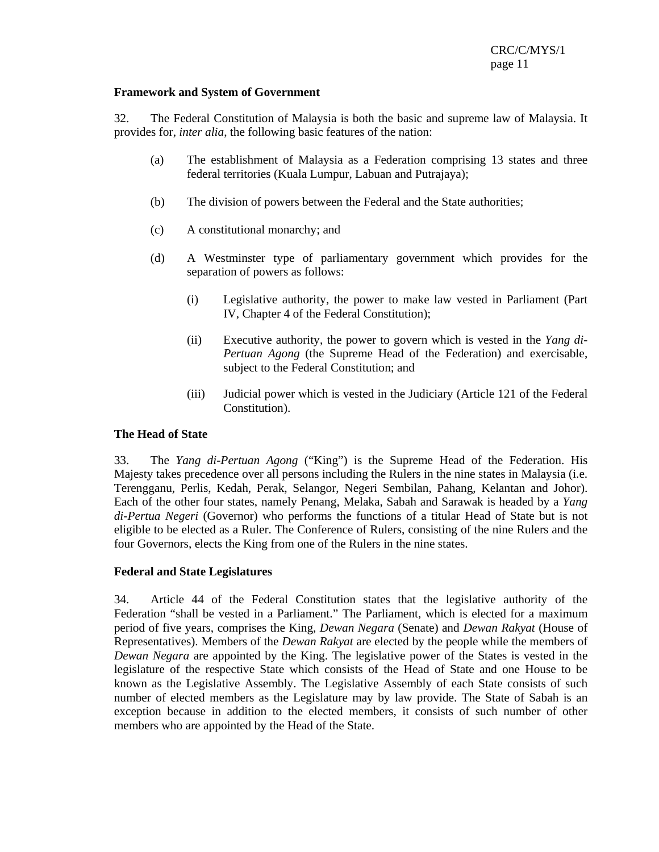#### **Framework and System of Government**

32. The Federal Constitution of Malaysia is both the basic and supreme law of Malaysia. It provides for, *inter alia*, the following basic features of the nation:

- (a) The establishment of Malaysia as a Federation comprising 13 states and three federal territories (Kuala Lumpur, Labuan and Putrajaya);
- (b) The division of powers between the Federal and the State authorities;
- (c) A constitutional monarchy; and
- (d) A Westminster type of parliamentary government which provides for the separation of powers as follows:
	- (i) Legislative authority, the power to make law vested in Parliament (Part IV, Chapter 4 of the Federal Constitution);
	- (ii) Executive authority, the power to govern which is vested in the *Yang di-Pertuan Agong* (the Supreme Head of the Federation) and exercisable, subject to the Federal Constitution; and
	- (iii) Judicial power which is vested in the Judiciary (Article 121 of the Federal Constitution).

#### **The Head of State**

33. The *Yang di-Pertuan Agong* ("King") is the Supreme Head of the Federation. His Majesty takes precedence over all persons including the Rulers in the nine states in Malaysia (i.e. Terengganu, Perlis, Kedah, Perak, Selangor, Negeri Sembilan, Pahang, Kelantan and Johor). Each of the other four states, namely Penang, Melaka, Sabah and Sarawak is headed by a *Yang di-Pertua Negeri* (Governor) who performs the functions of a titular Head of State but is not eligible to be elected as a Ruler. The Conference of Rulers, consisting of the nine Rulers and the four Governors, elects the King from one of the Rulers in the nine states.

#### **Federal and State Legislatures**

34. Article 44 of the Federal Constitution states that the legislative authority of the Federation "shall be vested in a Parliament." The Parliament, which is elected for a maximum period of five years, comprises the King, *Dewan Negara* (Senate) and *Dewan Rakyat* (House of Representatives). Members of the *Dewan Rakyat* are elected by the people while the members of *Dewan Negara* are appointed by the King. The legislative power of the States is vested in the legislature of the respective State which consists of the Head of State and one House to be known as the Legislative Assembly. The Legislative Assembly of each State consists of such number of elected members as the Legislature may by law provide. The State of Sabah is an exception because in addition to the elected members, it consists of such number of other members who are appointed by the Head of the State.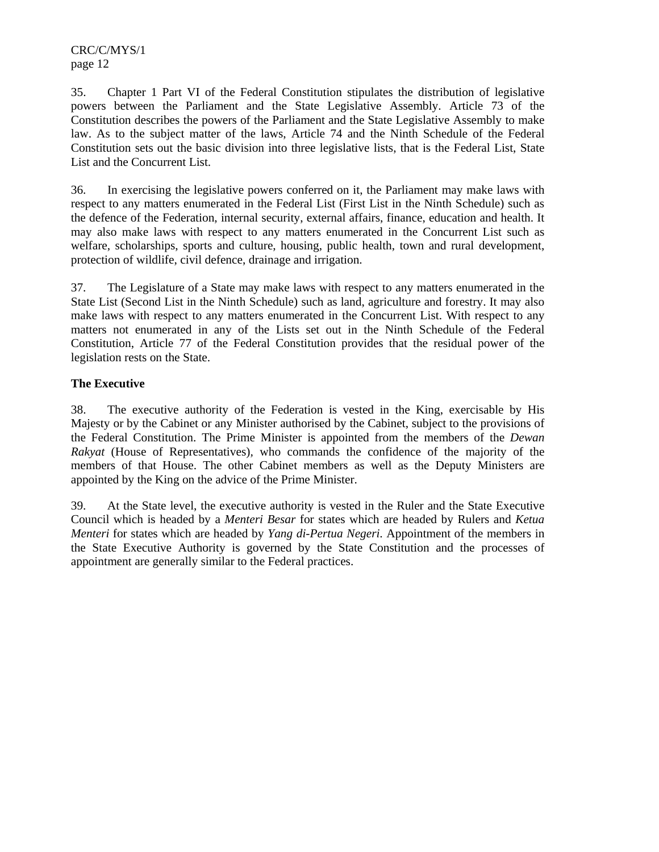35. Chapter 1 Part VI of the Federal Constitution stipulates the distribution of legislative powers between the Parliament and the State Legislative Assembly. Article 73 of the Constitution describes the powers of the Parliament and the State Legislative Assembly to make law. As to the subject matter of the laws, Article 74 and the Ninth Schedule of the Federal Constitution sets out the basic division into three legislative lists, that is the Federal List, State List and the Concurrent List.

36. In exercising the legislative powers conferred on it, the Parliament may make laws with respect to any matters enumerated in the Federal List (First List in the Ninth Schedule) such as the defence of the Federation, internal security, external affairs, finance, education and health. It may also make laws with respect to any matters enumerated in the Concurrent List such as welfare, scholarships, sports and culture, housing, public health, town and rural development, protection of wildlife, civil defence, drainage and irrigation.

37. The Legislature of a State may make laws with respect to any matters enumerated in the State List (Second List in the Ninth Schedule) such as land, agriculture and forestry. It may also make laws with respect to any matters enumerated in the Concurrent List. With respect to any matters not enumerated in any of the Lists set out in the Ninth Schedule of the Federal Constitution, Article 77 of the Federal Constitution provides that the residual power of the legislation rests on the State.

## **The Executive**

38. The executive authority of the Federation is vested in the King, exercisable by His Majesty or by the Cabinet or any Minister authorised by the Cabinet, subject to the provisions of the Federal Constitution. The Prime Minister is appointed from the members of the *Dewan Rakyat* (House of Representatives)*,* who commands the confidence of the majority of the members of that House. The other Cabinet members as well as the Deputy Ministers are appointed by the King on the advice of the Prime Minister.

39. At the State level, the executive authority is vested in the Ruler and the State Executive Council which is headed by a *Menteri Besar* for states which are headed by Rulers and *Ketua Menteri* for states which are headed by *Yang di-Pertua Negeri*. Appointment of the members in the State Executive Authority is governed by the State Constitution and the processes of appointment are generally similar to the Federal practices.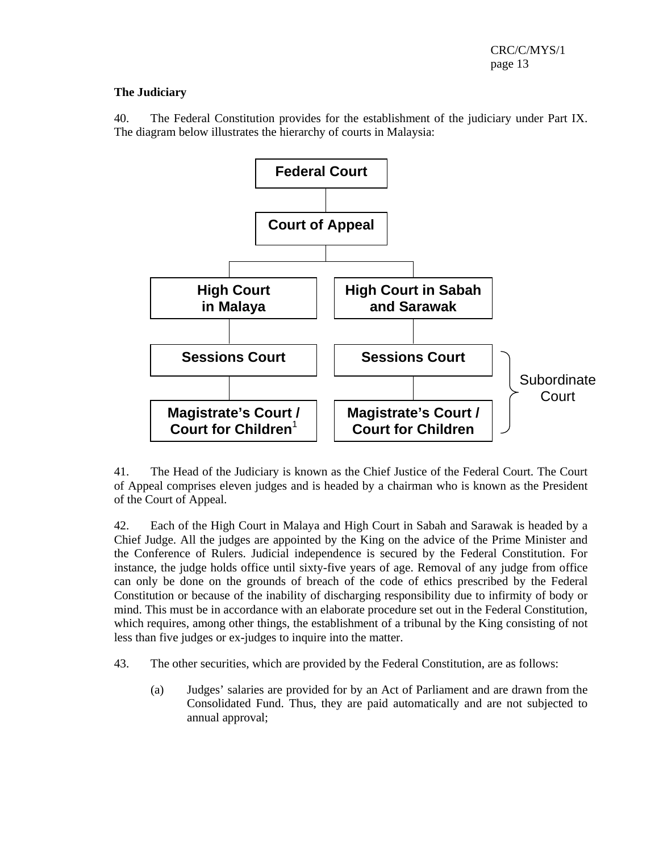## **The Judiciary**

40. The Federal Constitution provides for the establishment of the judiciary under Part IX. The diagram below illustrates the hierarchy of courts in Malaysia:



41. The Head of the Judiciary is known as the Chief Justice of the Federal Court. The Court of Appeal comprises eleven judges and is headed by a chairman who is known as the President of the Court of Appeal.

42. Each of the High Court in Malaya and High Court in Sabah and Sarawak is headed by a Chief Judge. All the judges are appointed by the King on the advice of the Prime Minister and the Conference of Rulers. Judicial independence is secured by the Federal Constitution. For instance, the judge holds office until sixty-five years of age. Removal of any judge from office can only be done on the grounds of breach of the code of ethics prescribed by the Federal Constitution or because of the inability of discharging responsibility due to infirmity of body or mind. This must be in accordance with an elaborate procedure set out in the Federal Constitution, which requires, among other things, the establishment of a tribunal by the King consisting of not less than five judges or ex-judges to inquire into the matter.

- 43. The other securities, which are provided by the Federal Constitution, are as follows:
	- (a) Judges' salaries are provided for by an Act of Parliament and are drawn from the Consolidated Fund. Thus, they are paid automatically and are not subjected to annual approval;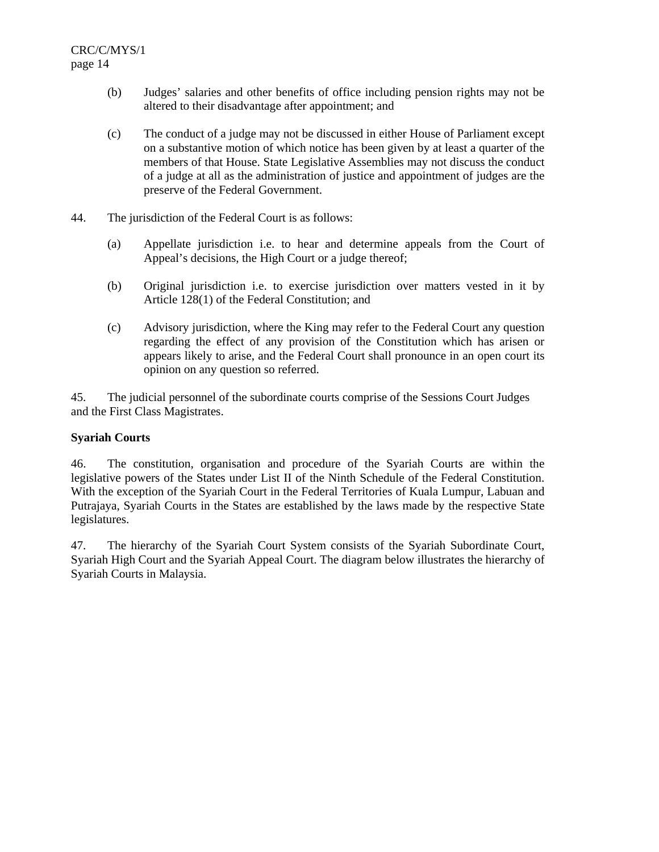- (b) Judges' salaries and other benefits of office including pension rights may not be altered to their disadvantage after appointment; and
- (c) The conduct of a judge may not be discussed in either House of Parliament except on a substantive motion of which notice has been given by at least a quarter of the members of that House. State Legislative Assemblies may not discuss the conduct of a judge at all as the administration of justice and appointment of judges are the preserve of the Federal Government.
- 44. The jurisdiction of the Federal Court is as follows:
	- (a) Appellate jurisdiction i.e. to hear and determine appeals from the Court of Appeal's decisions, the High Court or a judge thereof;
	- (b) Original jurisdiction i.e. to exercise jurisdiction over matters vested in it by Article 128(1) of the Federal Constitution; and
	- (c) Advisory jurisdiction, where the King may refer to the Federal Court any question regarding the effect of any provision of the Constitution which has arisen or appears likely to arise, and the Federal Court shall pronounce in an open court its opinion on any question so referred.

45. The judicial personnel of the subordinate courts comprise of the Sessions Court Judges and the First Class Magistrates.

## **Syariah Courts**

46. The constitution, organisation and procedure of the Syariah Courts are within the legislative powers of the States under List II of the Ninth Schedule of the Federal Constitution. With the exception of the Syariah Court in the Federal Territories of Kuala Lumpur, Labuan and Putrajaya, Syariah Courts in the States are established by the laws made by the respective State legislatures.

47. The hierarchy of the Syariah Court System consists of the Syariah Subordinate Court, Syariah High Court and the Syariah Appeal Court. The diagram below illustrates the hierarchy of Syariah Courts in Malaysia.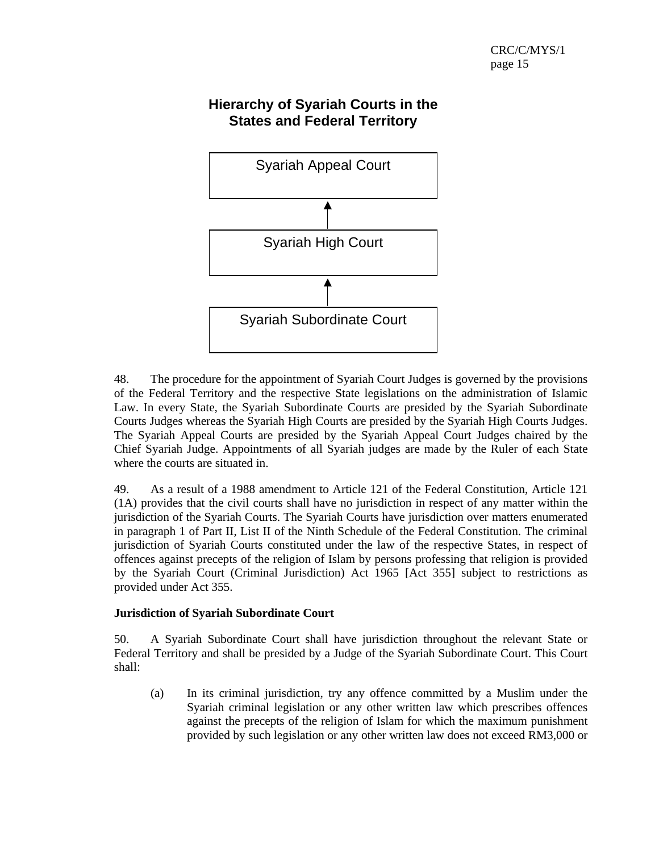# **Hierarchy of Syariah Courts in the States and Federal Territory**



48. The procedure for the appointment of Syariah Court Judges is governed by the provisions of the Federal Territory and the respective State legislations on the administration of Islamic Law. In every State, the Syariah Subordinate Courts are presided by the Syariah Subordinate Courts Judges whereas the Syariah High Courts are presided by the Syariah High Courts Judges. The Syariah Appeal Courts are presided by the Syariah Appeal Court Judges chaired by the Chief Syariah Judge. Appointments of all Syariah judges are made by the Ruler of each State where the courts are situated in.

49. As a result of a 1988 amendment to Article 121 of the Federal Constitution, Article 121 (1A) provides that the civil courts shall have no jurisdiction in respect of any matter within the jurisdiction of the Syariah Courts. The Syariah Courts have jurisdiction over matters enumerated in paragraph 1 of Part II, List II of the Ninth Schedule of the Federal Constitution. The criminal jurisdiction of Syariah Courts constituted under the law of the respective States, in respect of offences against precepts of the religion of Islam by persons professing that religion is provided by the Syariah Court (Criminal Jurisdiction) Act 1965 [Act 355] subject to restrictions as provided under Act 355.

#### **Jurisdiction of Syariah Subordinate Court**

50. A Syariah Subordinate Court shall have jurisdiction throughout the relevant State or Federal Territory and shall be presided by a Judge of the Syariah Subordinate Court. This Court shall:

(a) In its criminal jurisdiction, try any offence committed by a Muslim under the Syariah criminal legislation or any other written law which prescribes offences against the precepts of the religion of Islam for which the maximum punishment provided by such legislation or any other written law does not exceed RM3,000 or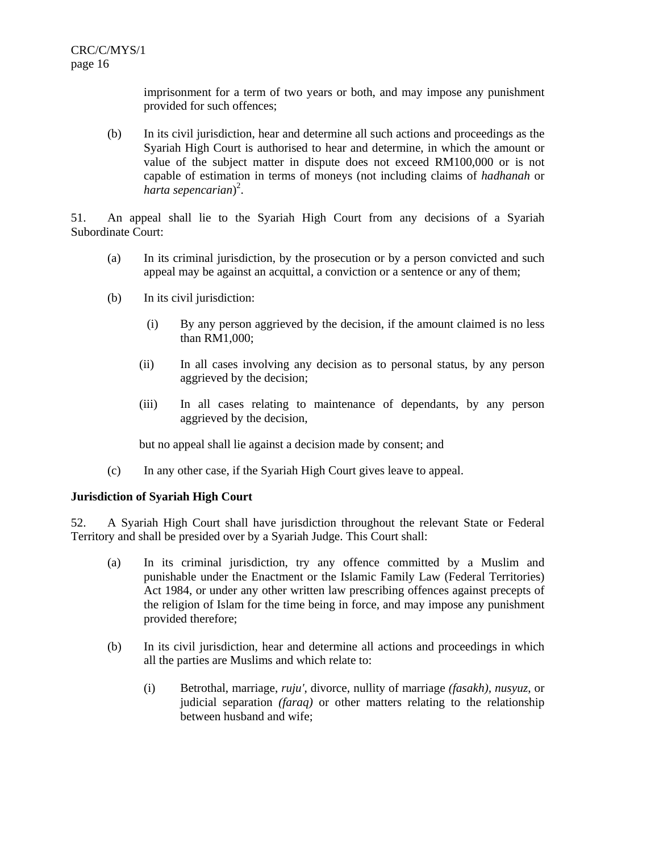imprisonment for a term of two years or both, and may impose any punishment provided for such offences;

(b) In its civil jurisdiction, hear and determine all such actions and proceedings as the Syariah High Court is authorised to hear and determine, in which the amount or value of the subject matter in dispute does not exceed RM100,000 or is not capable of estimation in terms of moneys (not including claims of *hadhanah* or *harta sepencarian*) 2 .

51. An appeal shall lie to the Syariah High Court from any decisions of a Syariah Subordinate Court:

- (a) In its criminal jurisdiction, by the prosecution or by a person convicted and such appeal may be against an acquittal, a conviction or a sentence or any of them;
- (b) In its civil jurisdiction:
	- (i) By any person aggrieved by the decision, if the amount claimed is no less than RM1,000;
	- (ii) In all cases involving any decision as to personal status, by any person aggrieved by the decision;
	- (iii) In all cases relating to maintenance of dependants, by any person aggrieved by the decision,

but no appeal shall lie against a decision made by consent; and

(c) In any other case, if the Syariah High Court gives leave to appeal.

#### **Jurisdiction of Syariah High Court**

52. A Syariah High Court shall have jurisdiction throughout the relevant State or Federal Territory and shall be presided over by a Syariah Judge. This Court shall:

- (a) In its criminal jurisdiction, try any offence committed by a Muslim and punishable under the Enactment or the Islamic Family Law (Federal Territories) Act 1984, or under any other written law prescribing offences against precepts of the religion of Islam for the time being in force, and may impose any punishment provided therefore;
- (b) In its civil jurisdiction, hear and determine all actions and proceedings in which all the parties are Muslims and which relate to:
	- (i) Betrothal, marriage, *ruju'*, divorce, nullity of marriage *(fasakh), nusyuz*, or judicial separation *(faraq)* or other matters relating to the relationship between husband and wife;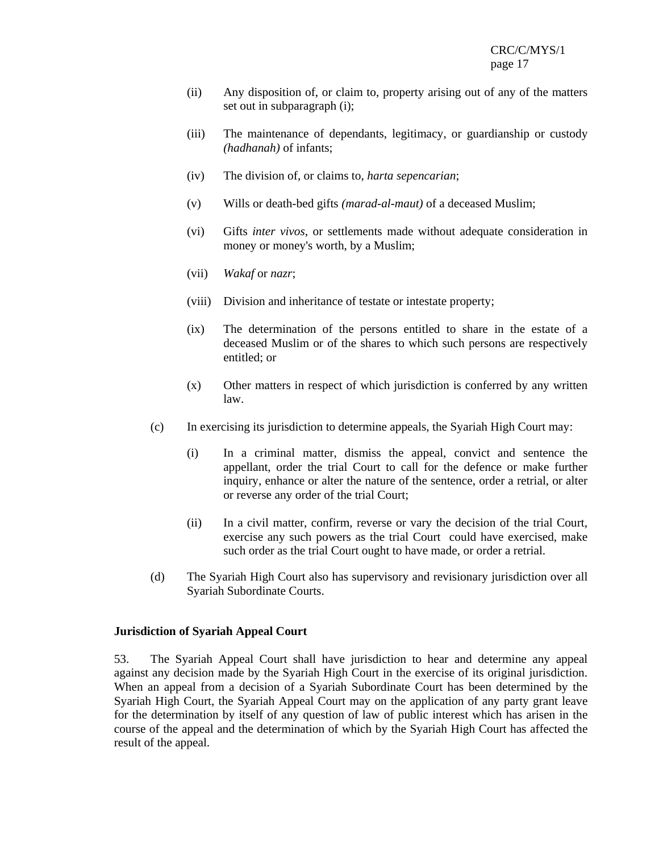- (ii) Any disposition of, or claim to, property arising out of any of the matters set out in subparagraph (i);
- (iii) The maintenance of dependants, legitimacy, or guardianship or custody *(hadhanah)* of infants;
- (iv) The division of, or claims to, *harta sepencarian*;
- (v) Wills or death-bed gifts *(marad-al-maut)* of a deceased Muslim;
- (vi) Gifts *inter vivos*, or settlements made without adequate consideration in money or money's worth, by a Muslim;
- (vii) *Wakaf* or *nazr*;
- (viii) Division and inheritance of testate or intestate property;
- (ix) The determination of the persons entitled to share in the estate of a deceased Muslim or of the shares to which such persons are respectively entitled; or
- (x) Other matters in respect of which jurisdiction is conferred by any written law.
- (c) In exercising its jurisdiction to determine appeals, the Syariah High Court may:
	- (i) In a criminal matter, dismiss the appeal, convict and sentence the appellant, order the trial Court to call for the defence or make further inquiry, enhance or alter the nature of the sentence, order a retrial, or alter or reverse any order of the trial Court;
	- (ii) In a civil matter, confirm, reverse or vary the decision of the trial Court, exercise any such powers as the trial Court could have exercised, make such order as the trial Court ought to have made, or order a retrial.
- (d) The Syariah High Court also has supervisory and revisionary jurisdiction over all Syariah Subordinate Courts.

#### **Jurisdiction of Syariah Appeal Court**

53. The Syariah Appeal Court shall have jurisdiction to hear and determine any appeal against any decision made by the Syariah High Court in the exercise of its original jurisdiction. When an appeal from a decision of a Syariah Subordinate Court has been determined by the Syariah High Court, the Syariah Appeal Court may on the application of any party grant leave for the determination by itself of any question of law of public interest which has arisen in the course of the appeal and the determination of which by the Syariah High Court has affected the result of the appeal.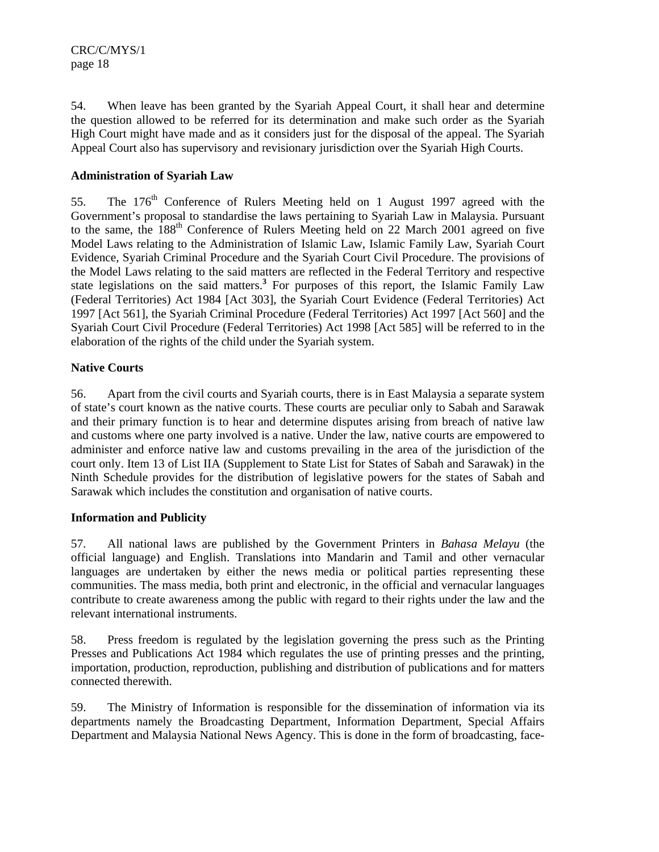54. When leave has been granted by the Syariah Appeal Court, it shall hear and determine the question allowed to be referred for its determination and make such order as the Syariah High Court might have made and as it considers just for the disposal of the appeal. The Syariah Appeal Court also has supervisory and revisionary jurisdiction over the Syariah High Courts.

## **Administration of Syariah Law**

55. The 176<sup>th</sup> Conference of Rulers Meeting held on 1 August 1997 agreed with the Government's proposal to standardise the laws pertaining to Syariah Law in Malaysia. Pursuant to the same, the 188<sup>th</sup> Conference of Rulers Meeting held on 22 March 2001 agreed on five Model Laws relating to the Administration of Islamic Law, Islamic Family Law, Syariah Court Evidence, Syariah Criminal Procedure and the Syariah Court Civil Procedure. The provisions of the Model Laws relating to the said matters are reflected in the Federal Territory and respective state legislations on the said matters.**<sup>3</sup>** For purposes of this report, the Islamic Family Law (Federal Territories) Act 1984 [Act 303], the Syariah Court Evidence (Federal Territories) Act 1997 [Act 561], the Syariah Criminal Procedure (Federal Territories) Act 1997 [Act 560] and the Syariah Court Civil Procedure (Federal Territories) Act 1998 [Act 585] will be referred to in the elaboration of the rights of the child under the Syariah system.

#### **Native Courts**

56. Apart from the civil courts and Syariah courts, there is in East Malaysia a separate system of state's court known as the native courts. These courts are peculiar only to Sabah and Sarawak and their primary function is to hear and determine disputes arising from breach of native law and customs where one party involved is a native. Under the law, native courts are empowered to administer and enforce native law and customs prevailing in the area of the jurisdiction of the court only. Item 13 of List IIA (Supplement to State List for States of Sabah and Sarawak) in the Ninth Schedule provides for the distribution of legislative powers for the states of Sabah and Sarawak which includes the constitution and organisation of native courts.

#### **Information and Publicity**

57. All national laws are published by the Government Printers in *Bahasa Melayu* (the official language) and English. Translations into Mandarin and Tamil and other vernacular languages are undertaken by either the news media or political parties representing these communities. The mass media, both print and electronic, in the official and vernacular languages contribute to create awareness among the public with regard to their rights under the law and the relevant international instruments.

58. Press freedom is regulated by the legislation governing the press such as the Printing Presses and Publications Act 1984 which regulates the use of printing presses and the printing, importation, production, reproduction, publishing and distribution of publications and for matters connected therewith.

59. The Ministry of Information is responsible for the dissemination of information via its departments namely the Broadcasting Department, Information Department, Special Affairs Department and Malaysia National News Agency. This is done in the form of broadcasting, face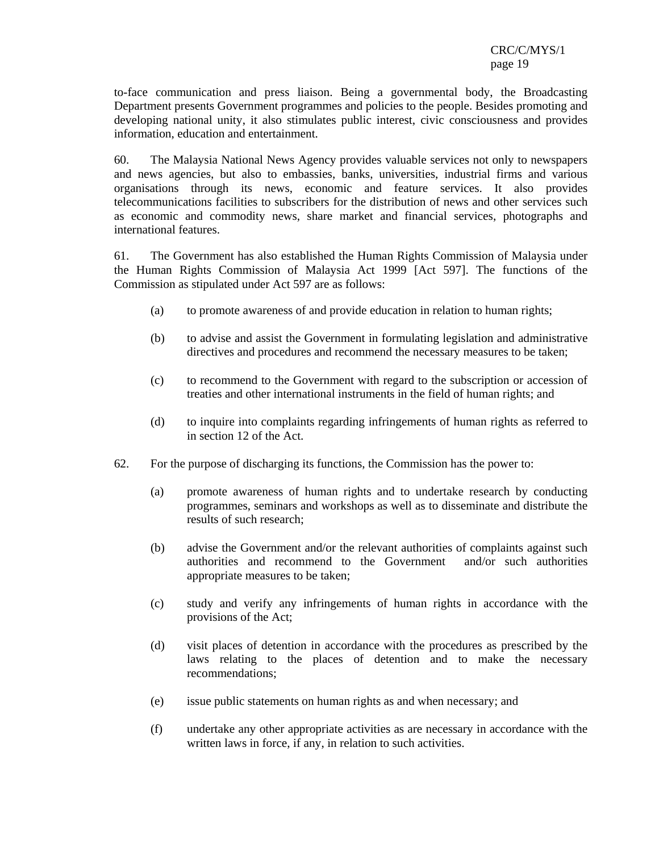to-face communication and press liaison. Being a governmental body, the Broadcasting Department presents Government programmes and policies to the people. Besides promoting and developing national unity, it also stimulates public interest, civic consciousness and provides information, education and entertainment.

60. The Malaysia National News Agency provides valuable services not only to newspapers and news agencies, but also to embassies, banks, universities, industrial firms and various organisations through its news, economic and feature services. It also provides telecommunications facilities to subscribers for the distribution of news and other services such as economic and commodity news, share market and financial services, photographs and international features.

61. The Government has also established the Human Rights Commission of Malaysia under the Human Rights Commission of Malaysia Act 1999 [Act 597]. The functions of the Commission as stipulated under Act 597 are as follows:

- (a) to promote awareness of and provide education in relation to human rights;
- (b) to advise and assist the Government in formulating legislation and administrative directives and procedures and recommend the necessary measures to be taken;
- (c) to recommend to the Government with regard to the subscription or accession of treaties and other international instruments in the field of human rights; and
- (d) to inquire into complaints regarding infringements of human rights as referred to in section 12 of the Act.
- 62. For the purpose of discharging its functions, the Commission has the power to:
	- (a) promote awareness of human rights and to undertake research by conducting programmes, seminars and workshops as well as to disseminate and distribute the results of such research;
	- (b) advise the Government and/or the relevant authorities of complaints against such authorities and recommend to the Government and/or such authorities appropriate measures to be taken;
	- (c) study and verify any infringements of human rights in accordance with the provisions of the Act;
	- (d) visit places of detention in accordance with the procedures as prescribed by the laws relating to the places of detention and to make the necessary recommendations;
	- (e) issue public statements on human rights as and when necessary; and
	- (f) undertake any other appropriate activities as are necessary in accordance with the written laws in force, if any, in relation to such activities.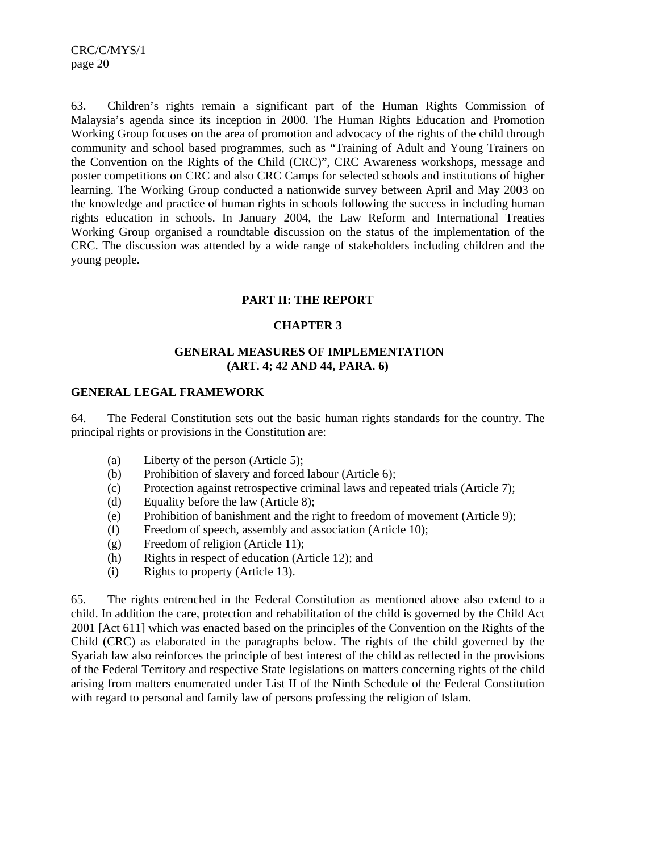63. Children's rights remain a significant part of the Human Rights Commission of Malaysia's agenda since its inception in 2000. The Human Rights Education and Promotion Working Group focuses on the area of promotion and advocacy of the rights of the child through community and school based programmes, such as "Training of Adult and Young Trainers on the Convention on the Rights of the Child (CRC)", CRC Awareness workshops, message and poster competitions on CRC and also CRC Camps for selected schools and institutions of higher learning. The Working Group conducted a nationwide survey between April and May 2003 on the knowledge and practice of human rights in schools following the success in including human rights education in schools. In January 2004, the Law Reform and International Treaties Working Group organised a roundtable discussion on the status of the implementation of the CRC. The discussion was attended by a wide range of stakeholders including children and the young people.

#### **PART II: THE REPORT**

### **CHAPTER 3**

### **GENERAL MEASURES OF IMPLEMENTATION (ART. 4; 42 AND 44, PARA. 6)**

#### **GENERAL LEGAL FRAMEWORK**

64. The Federal Constitution sets out the basic human rights standards for the country. The principal rights or provisions in the Constitution are:

- (a) Liberty of the person (Article 5);
- (b) Prohibition of slavery and forced labour (Article 6);
- (c) Protection against retrospective criminal laws and repeated trials (Article 7);
- (d) Equality before the law (Article 8);
- (e) Prohibition of banishment and the right to freedom of movement (Article 9);
- (f) Freedom of speech, assembly and association (Article 10);
- (g) Freedom of religion (Article 11);
- (h) Rights in respect of education (Article 12); and
- (i) Rights to property (Article 13).

65. The rights entrenched in the Federal Constitution as mentioned above also extend to a child. In addition the care, protection and rehabilitation of the child is governed by the Child Act 2001 [Act 611] which was enacted based on the principles of the Convention on the Rights of the Child (CRC) as elaborated in the paragraphs below. The rights of the child governed by the Syariah law also reinforces the principle of best interest of the child as reflected in the provisions of the Federal Territory and respective State legislations on matters concerning rights of the child arising from matters enumerated under List II of the Ninth Schedule of the Federal Constitution with regard to personal and family law of persons professing the religion of Islam.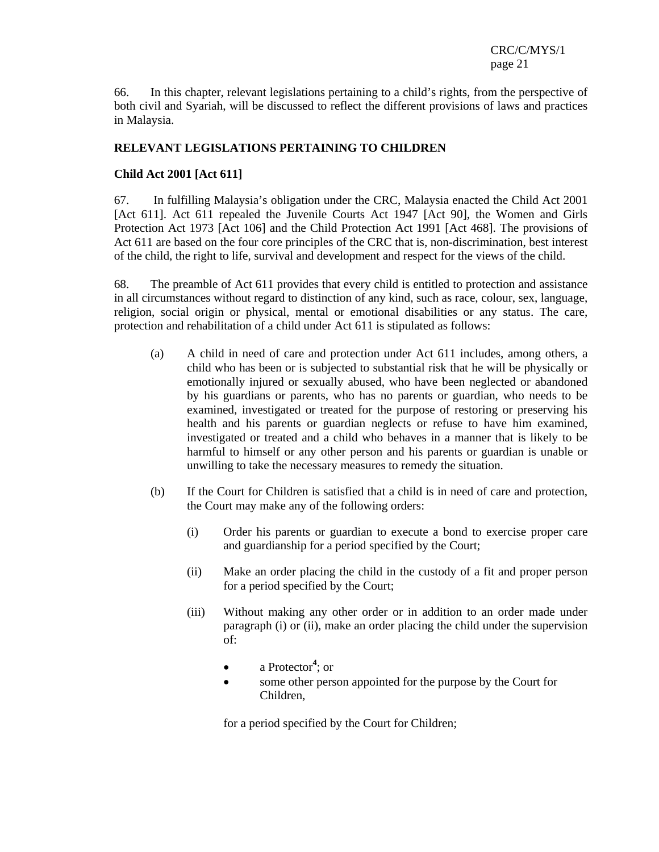66. In this chapter, relevant legislations pertaining to a child's rights, from the perspective of both civil and Syariah, will be discussed to reflect the different provisions of laws and practices in Malaysia.

### **RELEVANT LEGISLATIONS PERTAINING TO CHILDREN**

#### **Child Act 2001 [Act 611]**

67. In fulfilling Malaysia's obligation under the CRC, Malaysia enacted the Child Act 2001 [Act 611]. Act 611 repealed the Juvenile Courts Act 1947 [Act 90], the Women and Girls Protection Act 1973 [Act 106] and the Child Protection Act 1991 [Act 468]. The provisions of Act 611 are based on the four core principles of the CRC that is, non-discrimination, best interest of the child, the right to life, survival and development and respect for the views of the child.

68. The preamble of Act 611 provides that every child is entitled to protection and assistance in all circumstances without regard to distinction of any kind, such as race, colour, sex, language, religion, social origin or physical, mental or emotional disabilities or any status. The care, protection and rehabilitation of a child under Act 611 is stipulated as follows:

- (a) A child in need of care and protection under Act 611 includes, among others, a child who has been or is subjected to substantial risk that he will be physically or emotionally injured or sexually abused, who have been neglected or abandoned by his guardians or parents, who has no parents or guardian, who needs to be examined, investigated or treated for the purpose of restoring or preserving his health and his parents or guardian neglects or refuse to have him examined, investigated or treated and a child who behaves in a manner that is likely to be harmful to himself or any other person and his parents or guardian is unable or unwilling to take the necessary measures to remedy the situation.
- (b) If the Court for Children is satisfied that a child is in need of care and protection, the Court may make any of the following orders:
	- (i) Order his parents or guardian to execute a bond to exercise proper care and guardianship for a period specified by the Court;
	- (ii) Make an order placing the child in the custody of a fit and proper person for a period specified by the Court;
	- (iii) Without making any other order or in addition to an order made under paragraph (i) or (ii)*,* make an order placing the child under the supervision of:
		- a Protector<sup>4</sup>; or
		- some other person appointed for the purpose by the Court for Children,

for a period specified by the Court for Children;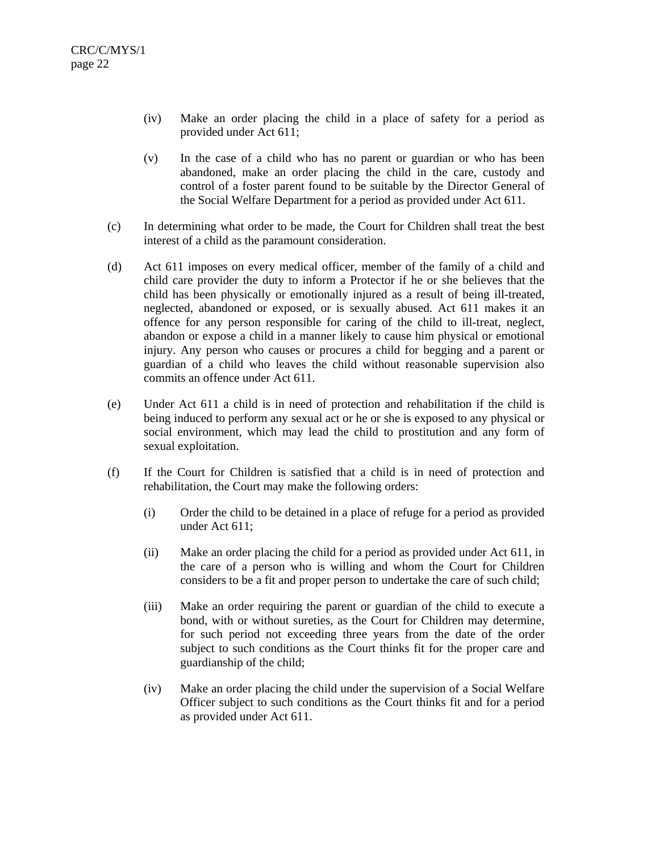- (iv) Make an order placing the child in a place of safety for a period as provided under Act 611;
- (v) In the case of a child who has no parent or guardian or who has been abandoned, make an order placing the child in the care, custody and control of a foster parent found to be suitable by the Director General of the Social Welfare Department for a period as provided under Act 611.
- (c) In determining what order to be made, the Court for Children shall treat the best interest of a child as the paramount consideration.
- (d) Act 611 imposes on every medical officer, member of the family of a child and child care provider the duty to inform a Protector if he or she believes that the child has been physically or emotionally injured as a result of being ill-treated, neglected, abandoned or exposed, or is sexually abused. Act 611 makes it an offence for any person responsible for caring of the child to ill-treat, neglect, abandon or expose a child in a manner likely to cause him physical or emotional injury. Any person who causes or procures a child for begging and a parent or guardian of a child who leaves the child without reasonable supervision also commits an offence under Act 611.
- (e) Under Act 611 a child is in need of protection and rehabilitation if the child is being induced to perform any sexual act or he or she is exposed to any physical or social environment, which may lead the child to prostitution and any form of sexual exploitation.
- (f) If the Court for Children is satisfied that a child is in need of protection and rehabilitation, the Court may make the following orders:
	- (i)Order the child to be detained in a place of refuge for a period as provided under Act 611;
	- (ii) Make an order placing the child for a period as provided under Act 611, in the care of a person who is willing and whom the Court for Children considers to be a fit and proper person to undertake the care of such child;
	- (iii) Make an order requiring the parent or guardian of the child to execute a bond, with or without sureties, as the Court for Children may determine, for such period not exceeding three years from the date of the order subject to such conditions as the Court thinks fit for the proper care and guardianship of the child;
	- (iv) Make an order placing the child under the supervision of a Social Welfare Officer subject to such conditions as the Court thinks fit and for a period as provided under Act 611.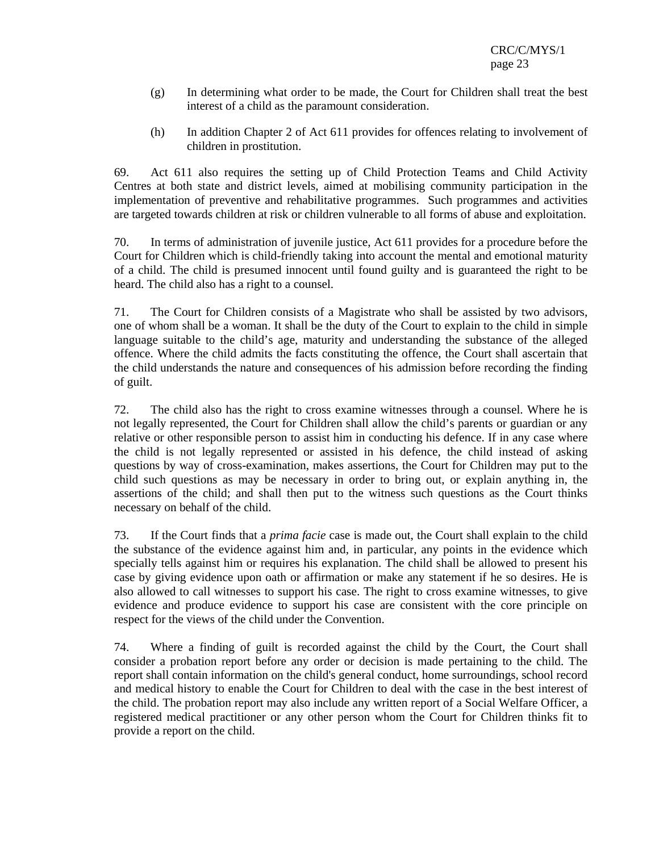- (g) In determining what order to be made, the Court for Children shall treat the best interest of a child as the paramount consideration.
- (h) In addition Chapter 2 of Act 611 provides for offences relating to involvement of children in prostitution.

69. Act 611 also requires the setting up of Child Protection Teams and Child Activity Centres at both state and district levels, aimed at mobilising community participation in the implementation of preventive and rehabilitative programmes. Such programmes and activities are targeted towards children at risk or children vulnerable to all forms of abuse and exploitation.

70. In terms of administration of juvenile justice, Act 611 provides for a procedure before the Court for Children which is child-friendly taking into account the mental and emotional maturity of a child. The child is presumed innocent until found guilty and is guaranteed the right to be heard. The child also has a right to a counsel.

71. The Court for Children consists of a Magistrate who shall be assisted by two advisors, one of whom shall be a woman. It shall be the duty of the Court to explain to the child in simple language suitable to the child's age, maturity and understanding the substance of the alleged offence. Where the child admits the facts constituting the offence, the Court shall ascertain that the child understands the nature and consequences of his admission before recording the finding of guilt.

72. The child also has the right to cross examine witnesses through a counsel. Where he is not legally represented, the Court for Children shall allow the child's parents or guardian or any relative or other responsible person to assist him in conducting his defence. If in any case where the child is not legally represented or assisted in his defence, the child instead of asking questions by way of cross-examination, makes assertions, the Court for Children may put to the child such questions as may be necessary in order to bring out, or explain anything in, the assertions of the child; and shall then put to the witness such questions as the Court thinks necessary on behalf of the child.

73. If the Court finds that a *prima facie* case is made out, the Court shall explain to the child the substance of the evidence against him and, in particular, any points in the evidence which specially tells against him or requires his explanation. The child shall be allowed to present his case by giving evidence upon oath or affirmation or make any statement if he so desires. He is also allowed to call witnesses to support his case. The right to cross examine witnesses, to give evidence and produce evidence to support his case are consistent with the core principle on respect for the views of the child under the Convention.

74. Where a finding of guilt is recorded against the child by the Court, the Court shall consider a probation report before any order or decision is made pertaining to the child. The report shall contain information on the child's general conduct, home surroundings, school record and medical history to enable the Court for Children to deal with the case in the best interest of the child. The probation report may also include any written report of a Social Welfare Officer, a registered medical practitioner or any other person whom the Court for Children thinks fit to provide a report on the child.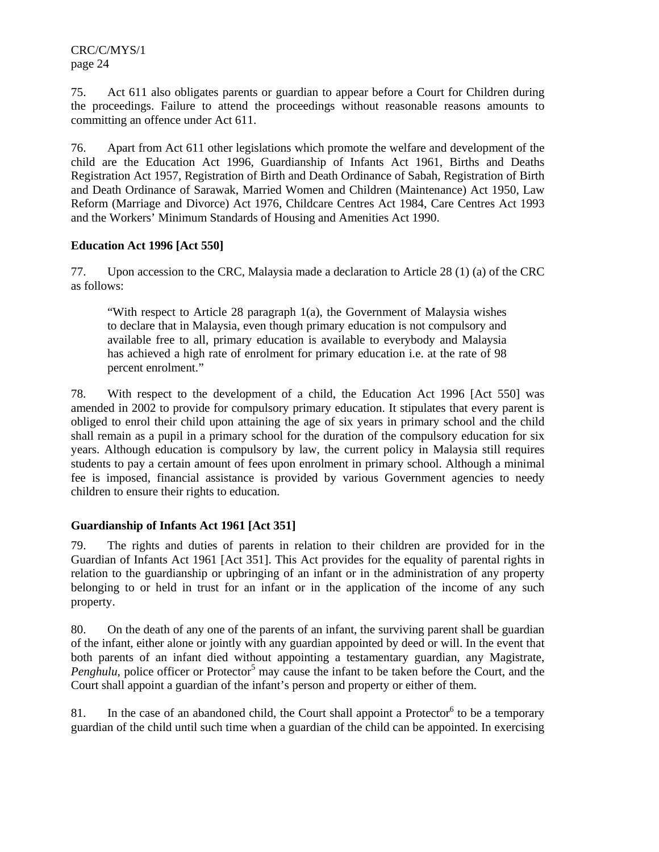75. Act 611 also obligates parents or guardian to appear before a Court for Children during the proceedings. Failure to attend the proceedings without reasonable reasons amounts to committing an offence under Act 611.

76. Apart from Act 611 other legislations which promote the welfare and development of the child are the Education Act 1996, Guardianship of Infants Act 1961, Births and Deaths Registration Act 1957, Registration of Birth and Death Ordinance of Sabah, Registration of Birth and Death Ordinance of Sarawak, Married Women and Children (Maintenance) Act 1950, Law Reform (Marriage and Divorce) Act 1976, Childcare Centres Act 1984, Care Centres Act 1993 and the Workers' Minimum Standards of Housing and Amenities Act 1990.

### **Education Act 1996 [Act 550]**

77. Upon accession to the CRC, Malaysia made a declaration to Article 28 (1) (a) of the CRC as follows:

"With respect to Article 28 paragraph 1(a), the Government of Malaysia wishes to declare that in Malaysia, even though primary education is not compulsory and available free to all, primary education is available to everybody and Malaysia has achieved a high rate of enrolment for primary education i.e. at the rate of 98 percent enrolment."

78. With respect to the development of a child, the Education Act 1996 [Act 550] was amended in 2002 to provide for compulsory primary education. It stipulates that every parent is obliged to enrol their child upon attaining the age of six years in primary school and the child shall remain as a pupil in a primary school for the duration of the compulsory education for six years. Although education is compulsory by law, the current policy in Malaysia still requires students to pay a certain amount of fees upon enrolment in primary school. Although a minimal fee is imposed, financial assistance is provided by various Government agencies to needy children to ensure their rights to education.

#### **Guardianship of Infants Act 1961 [Act 351]**

79. The rights and duties of parents in relation to their children are provided for in the Guardian of Infants Act 1961 [Act 351]. This Act provides for the equality of parental rights in relation to the guardianship or upbringing of an infant or in the administration of any property belonging to or held in trust for an infant or in the application of the income of any such property.

80. On the death of any one of the parents of an infant, the surviving parent shall be guardian of the infant, either alone or jointly with any guardian appointed by deed or will. In the event that both parents of an infant died without appointing a testamentary guardian, any Magistrate, Penghulu, police officer or Protector<sup>5</sup> may cause the infant to be taken before the Court, and the Court shall appoint a guardian of the infant's person and property or either of them.

81. In the case of an abandoned child, the Court shall appoint a Protector<sup>6</sup> to be a temporary guardian of the child until such time when a guardian of the child can be appointed. In exercising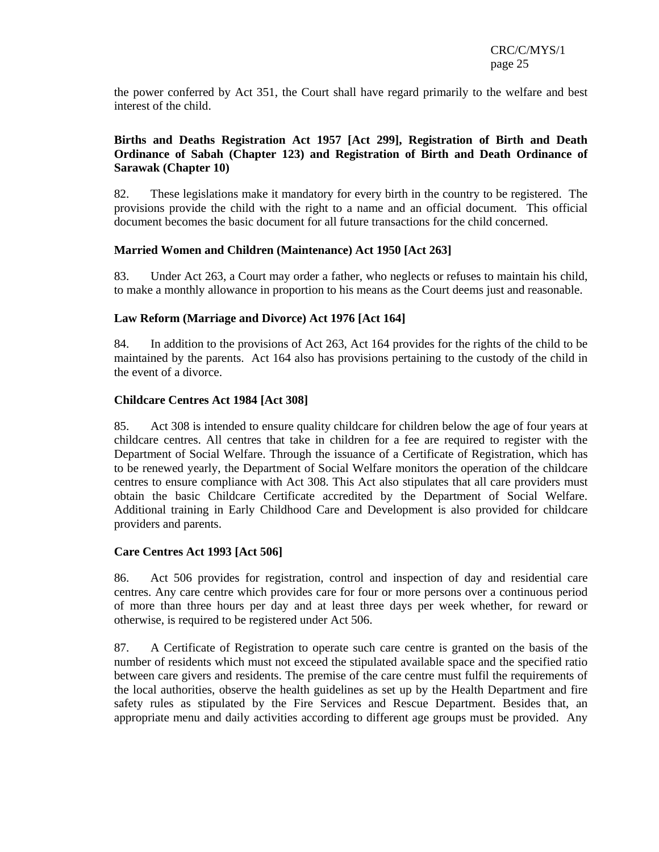the power conferred by Act 351, the Court shall have regard primarily to the welfare and best interest of the child.

## **Births and Deaths Registration Act 1957 [Act 299], Registration of Birth and Death Ordinance of Sabah (Chapter 123) and Registration of Birth and Death Ordinance of Sarawak (Chapter 10)**

82. These legislations make it mandatory for every birth in the country to be registered. The provisions provide the child with the right to a name and an official document. This official document becomes the basic document for all future transactions for the child concerned.

### **Married Women and Children (Maintenance) Act 1950 [Act 263]**

83. Under Act 263, a Court may order a father, who neglects or refuses to maintain his child, to make a monthly allowance in proportion to his means as the Court deems just and reasonable.

### **Law Reform (Marriage and Divorce) Act 1976 [Act 164]**

84. In addition to the provisions of Act 263, Act 164 provides for the rights of the child to be maintained by the parents. Act 164 also has provisions pertaining to the custody of the child in the event of a divorce.

### **Childcare Centres Act 1984 [Act 308]**

85. Act 308 is intended to ensure quality childcare for children below the age of four years at childcare centres. All centres that take in children for a fee are required to register with the Department of Social Welfare. Through the issuance of a Certificate of Registration, which has to be renewed yearly, the Department of Social Welfare monitors the operation of the childcare centres to ensure compliance with Act 308. This Act also stipulates that all care providers must obtain the basic Childcare Certificate accredited by the Department of Social Welfare. Additional training in Early Childhood Care and Development is also provided for childcare providers and parents.

#### **Care Centres Act 1993 [Act 506]**

86. Act 506 provides for registration, control and inspection of day and residential care centres. Any care centre which provides care for four or more persons over a continuous period of more than three hours per day and at least three days per week whether, for reward or otherwise, is required to be registered under Act 506.

87. A Certificate of Registration to operate such care centre is granted on the basis of the number of residents which must not exceed the stipulated available space and the specified ratio between care givers and residents. The premise of the care centre must fulfil the requirements of the local authorities, observe the health guidelines as set up by the Health Department and fire safety rules as stipulated by the Fire Services and Rescue Department. Besides that, an appropriate menu and daily activities according to different age groups must be provided. Any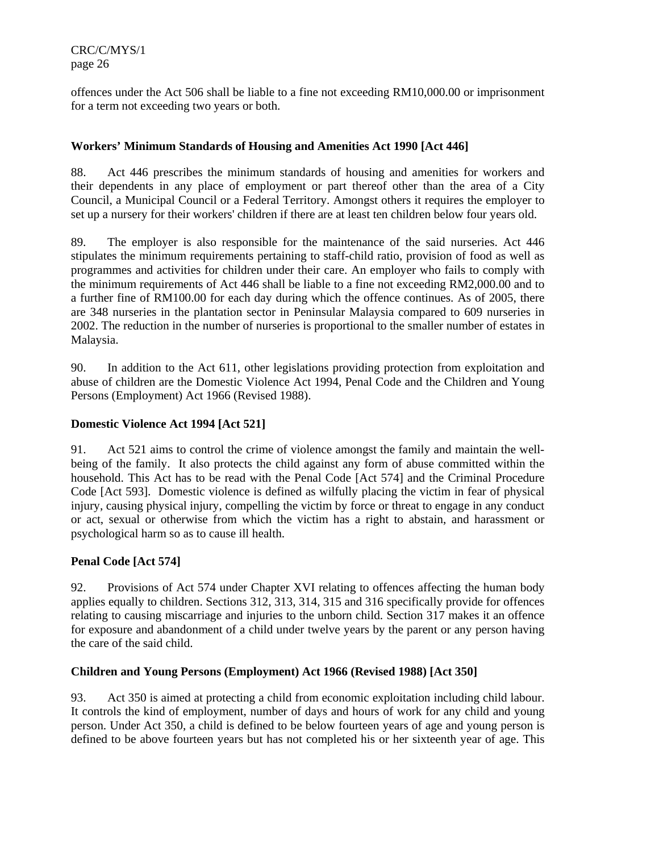offences under the Act 506 shall be liable to a fine not exceeding RM10,000.00 or imprisonment for a term not exceeding two years or both.

# **Workers' Minimum Standards of Housing and Amenities Act 1990 [Act 446]**

88. Act 446 prescribes the minimum standards of housing and amenities for workers and their dependents in any place of employment or part thereof other than the area of a City Council, a Municipal Council or a Federal Territory. Amongst others it requires the employer to set up a nursery for their workers' children if there are at least ten children below four years old.

89. The employer is also responsible for the maintenance of the said nurseries. Act 446 stipulates the minimum requirements pertaining to staff-child ratio, provision of food as well as programmes and activities for children under their care. An employer who fails to comply with the minimum requirements of Act 446 shall be liable to a fine not exceeding RM2,000.00 and to a further fine of RM100.00 for each day during which the offence continues. As of 2005, there are 348 nurseries in the plantation sector in Peninsular Malaysia compared to 609 nurseries in 2002. The reduction in the number of nurseries is proportional to the smaller number of estates in Malaysia.

90. In addition to the Act 611, other legislations providing protection from exploitation and abuse of children are the Domestic Violence Act 1994, Penal Code and the Children and Young Persons (Employment) Act 1966 (Revised 1988).

# **Domestic Violence Act 1994 [Act 521]**

91. Act 521 aims to control the crime of violence amongst the family and maintain the wellbeing of the family. It also protects the child against any form of abuse committed within the household. This Act has to be read with the Penal Code [Act 574] and the Criminal Procedure Code [Act 593]. Domestic violence is defined as wilfully placing the victim in fear of physical injury, causing physical injury, compelling the victim by force or threat to engage in any conduct or act, sexual or otherwise from which the victim has a right to abstain, and harassment or psychological harm so as to cause ill health.

# **Penal Code [Act 574]**

92. Provisions of Act 574 under Chapter XVI relating to offences affecting the human body applies equally to children. Sections 312, 313, 314, 315 and 316 specifically provide for offences relating to causing miscarriage and injuries to the unborn child. Section 317 makes it an offence for exposure and abandonment of a child under twelve years by the parent or any person having the care of the said child.

## **Children and Young Persons (Employment) Act 1966 (Revised 1988) [Act 350]**

93. Act 350 is aimed at protecting a child from economic exploitation including child labour. It controls the kind of employment, number of days and hours of work for any child and young person. Under Act 350, a child is defined to be below fourteen years of age and young person is defined to be above fourteen years but has not completed his or her sixteenth year of age. This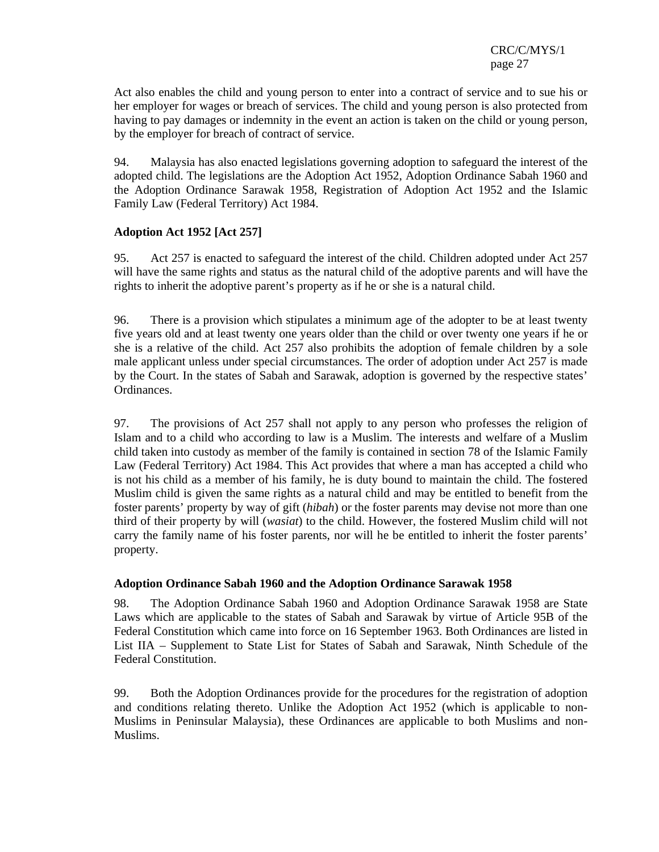Act also enables the child and young person to enter into a contract of service and to sue his or her employer for wages or breach of services. The child and young person is also protected from having to pay damages or indemnity in the event an action is taken on the child or young person, by the employer for breach of contract of service.

94. Malaysia has also enacted legislations governing adoption to safeguard the interest of the adopted child. The legislations are the Adoption Act 1952, Adoption Ordinance Sabah 1960 and the Adoption Ordinance Sarawak 1958, Registration of Adoption Act 1952 and the Islamic Family Law (Federal Territory) Act 1984.

### **Adoption Act 1952 [Act 257]**

95. Act 257 is enacted to safeguard the interest of the child. Children adopted under Act 257 will have the same rights and status as the natural child of the adoptive parents and will have the rights to inherit the adoptive parent's property as if he or she is a natural child.

96. There is a provision which stipulates a minimum age of the adopter to be at least twenty five years old and at least twenty one years older than the child or over twenty one years if he or she is a relative of the child. Act 257 also prohibits the adoption of female children by a sole male applicant unless under special circumstances. The order of adoption under Act 257 is made by the Court. In the states of Sabah and Sarawak, adoption is governed by the respective states' Ordinances.

97. The provisions of Act 257 shall not apply to any person who professes the religion of Islam and to a child who according to law is a Muslim. The interests and welfare of a Muslim child taken into custody as member of the family is contained in section 78 of the Islamic Family Law (Federal Territory) Act 1984. This Act provides that where a man has accepted a child who is not his child as a member of his family, he is duty bound to maintain the child. The fostered Muslim child is given the same rights as a natural child and may be entitled to benefit from the foster parents' property by way of gift (*hibah*) or the foster parents may devise not more than one third of their property by will (*wasiat*) to the child. However, the fostered Muslim child will not carry the family name of his foster parents, nor will he be entitled to inherit the foster parents' property.

#### **Adoption Ordinance Sabah 1960 and the Adoption Ordinance Sarawak 1958**

98. The Adoption Ordinance Sabah 1960 and Adoption Ordinance Sarawak 1958 are State Laws which are applicable to the states of Sabah and Sarawak by virtue of Article 95B of the Federal Constitution which came into force on 16 September 1963. Both Ordinances are listed in List IIA – Supplement to State List for States of Sabah and Sarawak, Ninth Schedule of the Federal Constitution.

99. Both the Adoption Ordinances provide for the procedures for the registration of adoption and conditions relating thereto. Unlike the Adoption Act 1952 (which is applicable to non-Muslims in Peninsular Malaysia), these Ordinances are applicable to both Muslims and non-Muslims.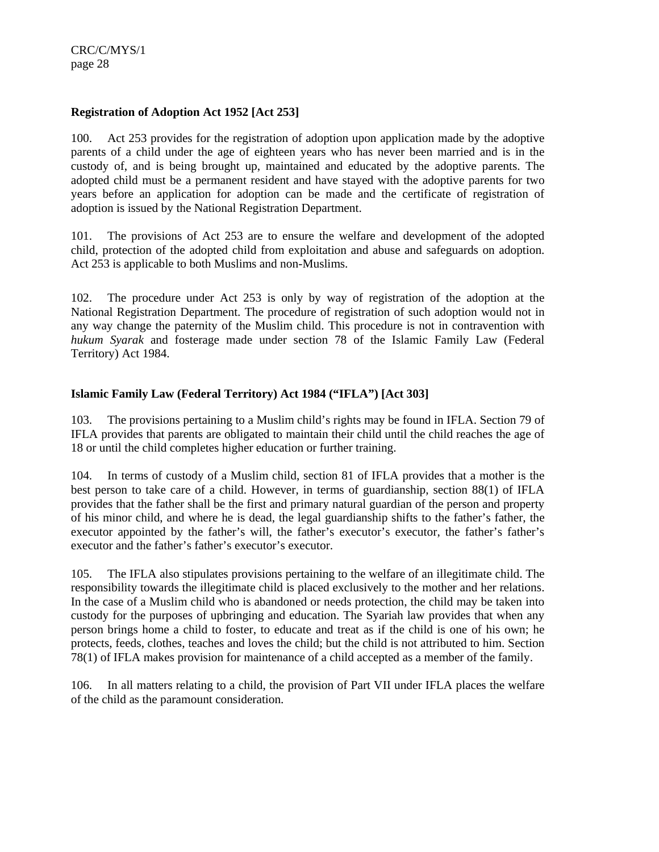## **Registration of Adoption Act 1952 [Act 253]**

100. Act 253 provides for the registration of adoption upon application made by the adoptive parents of a child under the age of eighteen years who has never been married and is in the custody of, and is being brought up, maintained and educated by the adoptive parents. The adopted child must be a permanent resident and have stayed with the adoptive parents for two years before an application for adoption can be made and the certificate of registration of adoption is issued by the National Registration Department.

101. The provisions of Act 253 are to ensure the welfare and development of the adopted child, protection of the adopted child from exploitation and abuse and safeguards on adoption. Act 253 is applicable to both Muslims and non-Muslims.

102. The procedure under Act 253 is only by way of registration of the adoption at the National Registration Department. The procedure of registration of such adoption would not in any way change the paternity of the Muslim child. This procedure is not in contravention with *hukum Syarak* and fosterage made under section 78 of the Islamic Family Law (Federal Territory) Act 1984.

### **Islamic Family Law (Federal Territory) Act 1984 ("IFLA") [Act 303]**

103. The provisions pertaining to a Muslim child's rights may be found in IFLA. Section 79 of IFLA provides that parents are obligated to maintain their child until the child reaches the age of 18 or until the child completes higher education or further training.

104. In terms of custody of a Muslim child, section 81 of IFLA provides that a mother is the best person to take care of a child. However, in terms of guardianship, section 88(1) of IFLA provides that the father shall be the first and primary natural guardian of the person and property of his minor child, and where he is dead, the legal guardianship shifts to the father's father, the executor appointed by the father's will, the father's executor's executor, the father's father's executor and the father's father's executor's executor.

105. The IFLA also stipulates provisions pertaining to the welfare of an illegitimate child. The responsibility towards the illegitimate child is placed exclusively to the mother and her relations. In the case of a Muslim child who is abandoned or needs protection, the child may be taken into custody for the purposes of upbringing and education. The Syariah law provides that when any person brings home a child to foster, to educate and treat as if the child is one of his own; he protects, feeds, clothes, teaches and loves the child; but the child is not attributed to him. Section 78(1) of IFLA makes provision for maintenance of a child accepted as a member of the family.

106. In all matters relating to a child, the provision of Part VII under IFLA places the welfare of the child as the paramount consideration.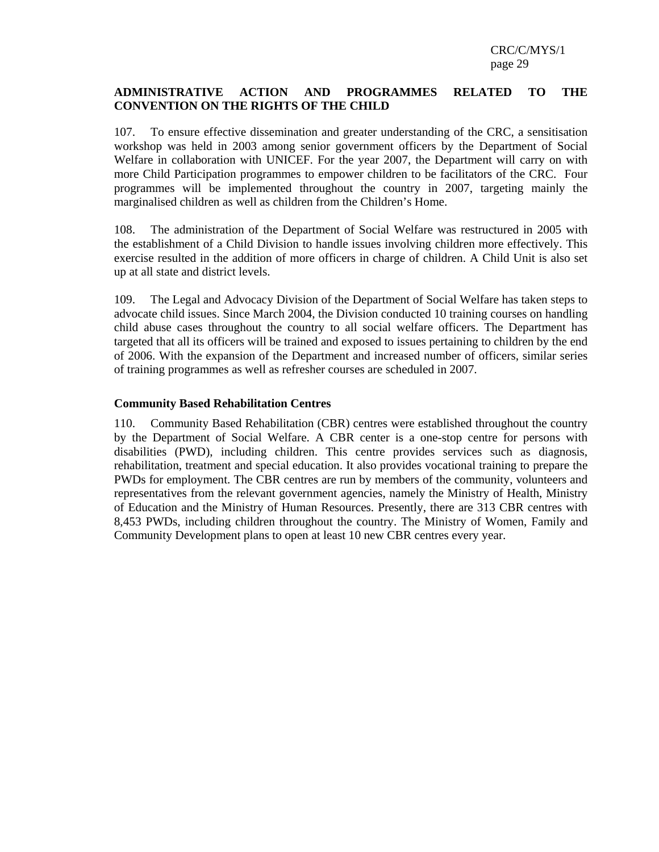## **ADMINISTRATIVE ACTION AND PROGRAMMES RELATED TO THE CONVENTION ON THE RIGHTS OF THE CHILD**

107. To ensure effective dissemination and greater understanding of the CRC, a sensitisation workshop was held in 2003 among senior government officers by the Department of Social Welfare in collaboration with UNICEF. For the year 2007, the Department will carry on with more Child Participation programmes to empower children to be facilitators of the CRC. Four programmes will be implemented throughout the country in 2007, targeting mainly the marginalised children as well as children from the Children's Home.

108. The administration of the Department of Social Welfare was restructured in 2005 with the establishment of a Child Division to handle issues involving children more effectively. This exercise resulted in the addition of more officers in charge of children. A Child Unit is also set up at all state and district levels.

109. The Legal and Advocacy Division of the Department of Social Welfare has taken steps to advocate child issues. Since March 2004, the Division conducted 10 training courses on handling child abuse cases throughout the country to all social welfare officers. The Department has targeted that all its officers will be trained and exposed to issues pertaining to children by the end of 2006. With the expansion of the Department and increased number of officers, similar series of training programmes as well as refresher courses are scheduled in 2007.

#### **Community Based Rehabilitation Centres**

110. Community Based Rehabilitation (CBR) centres were established throughout the country by the Department of Social Welfare. A CBR center is a one-stop centre for persons with disabilities (PWD), including children. This centre provides services such as diagnosis, rehabilitation, treatment and special education. It also provides vocational training to prepare the PWDs for employment. The CBR centres are run by members of the community, volunteers and representatives from the relevant government agencies, namely the Ministry of Health, Ministry of Education and the Ministry of Human Resources. Presently, there are 313 CBR centres with 8,453 PWDs, including children throughout the country. The Ministry of Women, Family and Community Development plans to open at least 10 new CBR centres every year.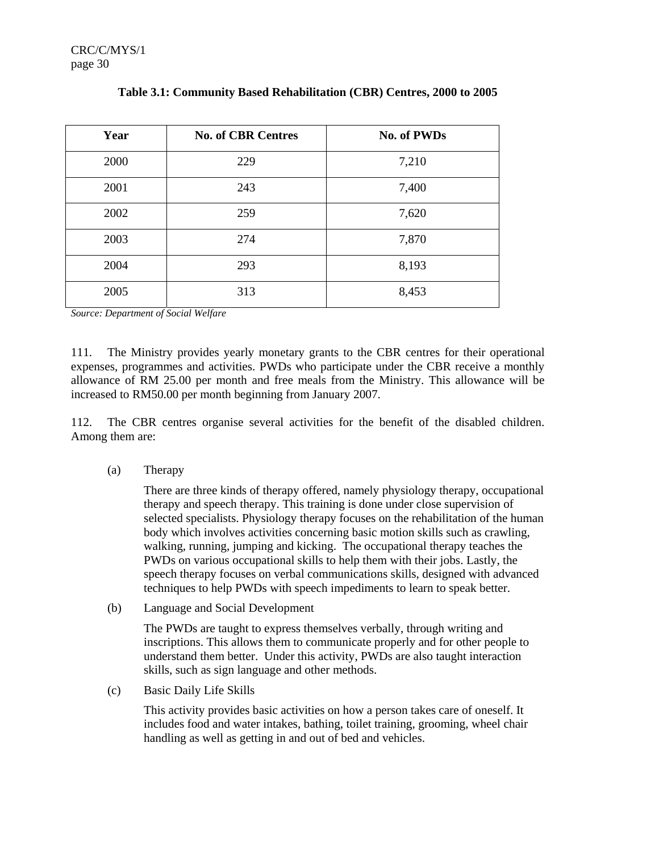| Year | <b>No. of CBR Centres</b> | No. of PWDs |
|------|---------------------------|-------------|
| 2000 | 229                       | 7,210       |
| 2001 | 243                       | 7,400       |
| 2002 | 259                       | 7,620       |
| 2003 | 274                       | 7,870       |
| 2004 | 293                       | 8,193       |
| 2005 | 313                       | 8,453       |

# **Table 3.1: Community Based Rehabilitation (CBR) Centres, 2000 to 2005**

*Source: Department of Social Welfare* 

111. The Ministry provides yearly monetary grants to the CBR centres for their operational expenses, programmes and activities. PWDs who participate under the CBR receive a monthly allowance of RM 25.00 per month and free meals from the Ministry. This allowance will be increased to RM50.00 per month beginning from January 2007.

112. The CBR centres organise several activities for the benefit of the disabled children. Among them are:

(a) Therapy

There are three kinds of therapy offered, namely physiology therapy, occupational therapy and speech therapy. This training is done under close supervision of selected specialists. Physiology therapy focuses on the rehabilitation of the human body which involves activities concerning basic motion skills such as crawling, walking, running, jumping and kicking. The occupational therapy teaches the PWDs on various occupational skills to help them with their jobs. Lastly, the speech therapy focuses on verbal communications skills, designed with advanced techniques to help PWDs with speech impediments to learn to speak better.

(b) Language and Social Development

The PWDs are taught to express themselves verbally, through writing and inscriptions. This allows them to communicate properly and for other people to understand them better. Under this activity, PWDs are also taught interaction skills, such as sign language and other methods.

(c) Basic Daily Life Skills

This activity provides basic activities on how a person takes care of oneself. It includes food and water intakes, bathing, toilet training, grooming, wheel chair handling as well as getting in and out of bed and vehicles.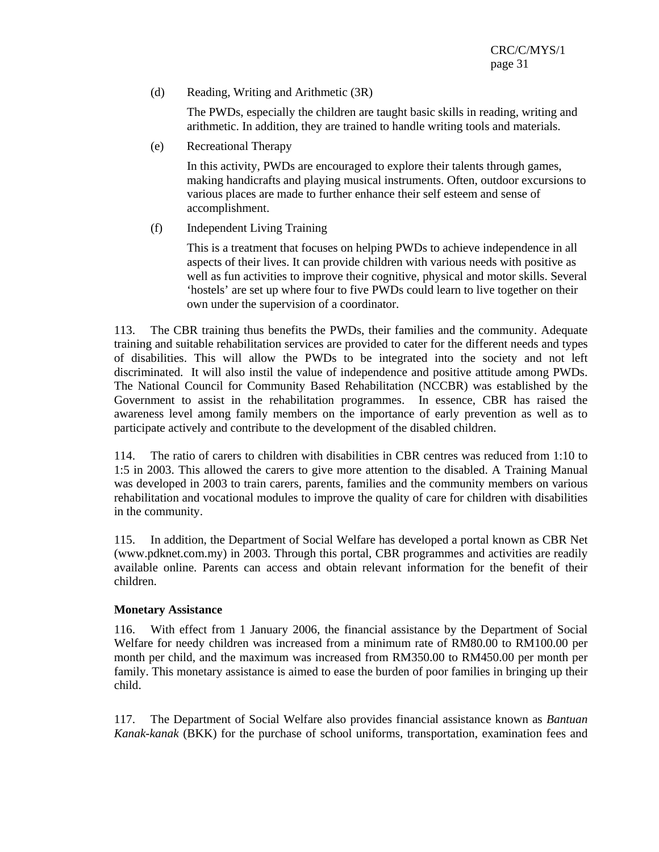(d) Reading, Writing and Arithmetic (3R)

The PWDs, especially the children are taught basic skills in reading, writing and arithmetic. In addition, they are trained to handle writing tools and materials.

(e) Recreational Therapy

In this activity, PWDs are encouraged to explore their talents through games, making handicrafts and playing musical instruments. Often, outdoor excursions to various places are made to further enhance their self esteem and sense of accomplishment.

(f) Independent Living Training

This is a treatment that focuses on helping PWDs to achieve independence in all aspects of their lives. It can provide children with various needs with positive as well as fun activities to improve their cognitive, physical and motor skills. Several 'hostels' are set up where four to five PWDs could learn to live together on their own under the supervision of a coordinator.

113. The CBR training thus benefits the PWDs, their families and the community. Adequate training and suitable rehabilitation services are provided to cater for the different needs and types of disabilities. This will allow the PWDs to be integrated into the society and not left discriminated. It will also instil the value of independence and positive attitude among PWDs. The National Council for Community Based Rehabilitation (NCCBR) was established by the Government to assist in the rehabilitation programmes. In essence, CBR has raised the awareness level among family members on the importance of early prevention as well as to participate actively and contribute to the development of the disabled children.

114. The ratio of carers to children with disabilities in CBR centres was reduced from 1:10 to 1:5 in 2003. This allowed the carers to give more attention to the disabled. A Training Manual was developed in 2003 to train carers, parents, families and the community members on various rehabilitation and vocational modules to improve the quality of care for children with disabilities in the community.

115. In addition, the Department of Social Welfare has developed a portal known as CBR Net (www.pdknet.com.my) in 2003. Through this portal, CBR programmes and activities are readily available online. Parents can access and obtain relevant information for the benefit of their children.

## **Monetary Assistance**

116. With effect from 1 January 2006, the financial assistance by the Department of Social Welfare for needy children was increased from a minimum rate of RM80.00 to RM100.00 per month per child, and the maximum was increased from RM350.00 to RM450.00 per month per family. This monetary assistance is aimed to ease the burden of poor families in bringing up their child.

117. The Department of Social Welfare also provides financial assistance known as *Bantuan Kanak-kanak* (BKK) for the purchase of school uniforms, transportation, examination fees and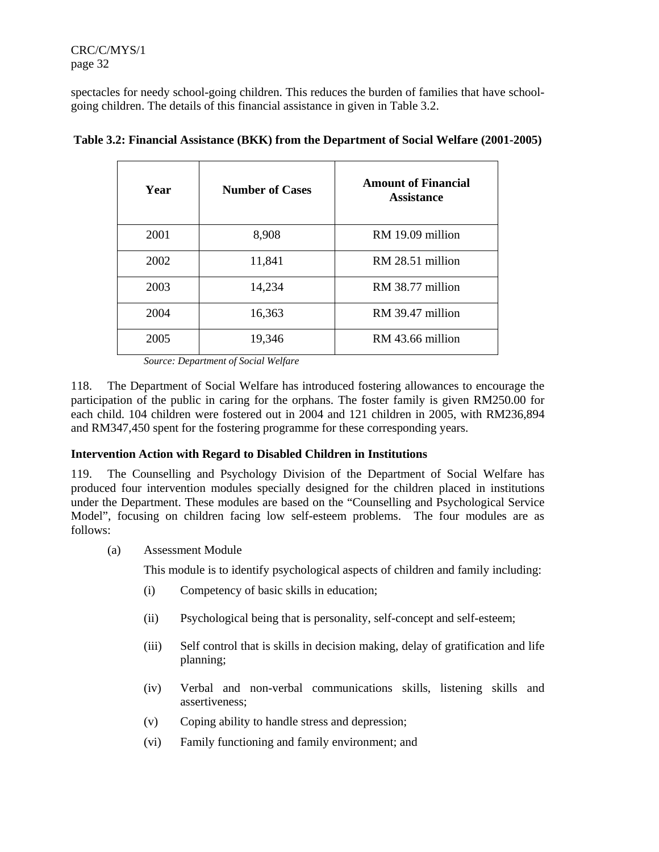spectacles for needy school-going children. This reduces the burden of families that have schoolgoing children. The details of this financial assistance in given in Table 3.2.

| Year | <b>Number of Cases</b> | <b>Amount of Financial</b><br><b>Assistance</b> |
|------|------------------------|-------------------------------------------------|
| 2001 | 8,908                  | RM 19.09 million                                |
| 2002 | 11,841                 | RM 28.51 million                                |
| 2003 | 14,234                 | RM 38.77 million                                |
| 2004 | 16,363                 | RM 39.47 million                                |
| 2005 | 19,346                 | RM 43.66 million                                |

| Table 3.2: Financial Assistance (BKK) from the Department of Social Welfare (2001-2005) |  |  |  |
|-----------------------------------------------------------------------------------------|--|--|--|
|-----------------------------------------------------------------------------------------|--|--|--|

 *Source: Department of Social Welfare* 

118. The Department of Social Welfare has introduced fostering allowances to encourage the participation of the public in caring for the orphans. The foster family is given RM250.00 for each child. 104 children were fostered out in 2004 and 121 children in 2005, with RM236,894 and RM347,450 spent for the fostering programme for these corresponding years.

#### **Intervention Action with Regard to Disabled Children in Institutions**

119. The Counselling and Psychology Division of the Department of Social Welfare has produced four intervention modules specially designed for the children placed in institutions under the Department. These modules are based on the "Counselling and Psychological Service Model", focusing on children facing low self-esteem problems. The four modules are as follows:

(a)Assessment Module

This module is to identify psychological aspects of children and family including:

- (i) Competency of basic skills in education;
- (ii) Psychological being that is personality, self-concept and self-esteem;
- (iii) Self control that is skills in decision making, delay of gratification and life planning;
- (iv) Verbal and non-verbal communications skills, listening skills and assertiveness;
- (v) Coping ability to handle stress and depression;
- (vi) Family functioning and family environment; and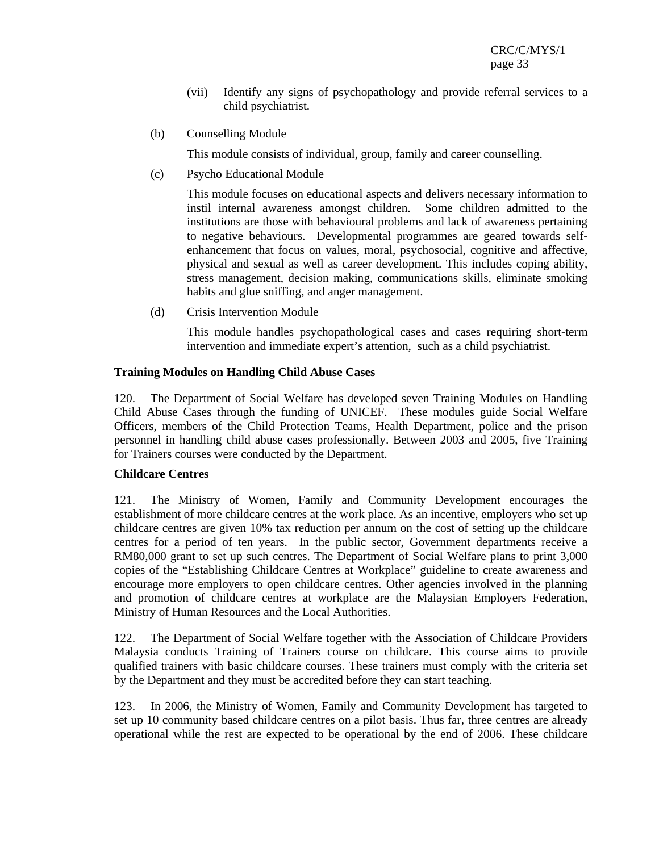- (vii) Identify any signs of psychopathology and provide referral services to a child psychiatrist.
- (b) Counselling Module

This module consists of individual, group, family and career counselling.

(c) Psycho Educational Module

This module focuses on educational aspects and delivers necessary information to instil internal awareness amongst children. Some children admitted to the institutions are those with behavioural problems and lack of awareness pertaining to negative behaviours. Developmental programmes are geared towards selfenhancement that focus on values, moral, psychosocial, cognitive and affective, physical and sexual as well as career development. This includes coping ability, stress management, decision making, communications skills, eliminate smoking habits and glue sniffing, and anger management.

(d) Crisis Intervention Module

This module handles psychopathological cases and cases requiring short-term intervention and immediate expert's attention, such as a child psychiatrist.

# **Training Modules on Handling Child Abuse Cases**

120. The Department of Social Welfare has developed seven Training Modules on Handling Child Abuse Cases through the funding of UNICEF. These modules guide Social Welfare Officers, members of the Child Protection Teams, Health Department, police and the prison personnel in handling child abuse cases professionally. Between 2003 and 2005, five Training for Trainers courses were conducted by the Department.

## **Childcare Centres**

121. The Ministry of Women, Family and Community Development encourages the establishment of more childcare centres at the work place. As an incentive, employers who set up childcare centres are given 10% tax reduction per annum on the cost of setting up the childcare centres for a period of ten years. In the public sector, Government departments receive a RM80,000 grant to set up such centres. The Department of Social Welfare plans to print 3,000 copies of the "Establishing Childcare Centres at Workplace" guideline to create awareness and encourage more employers to open childcare centres. Other agencies involved in the planning and promotion of childcare centres at workplace are the Malaysian Employers Federation, Ministry of Human Resources and the Local Authorities.

122. The Department of Social Welfare together with the Association of Childcare Providers Malaysia conducts Training of Trainers course on childcare. This course aims to provide qualified trainers with basic childcare courses. These trainers must comply with the criteria set by the Department and they must be accredited before they can start teaching.

123. In 2006, the Ministry of Women, Family and Community Development has targeted to set up 10 community based childcare centres on a pilot basis. Thus far, three centres are already operational while the rest are expected to be operational by the end of 2006. These childcare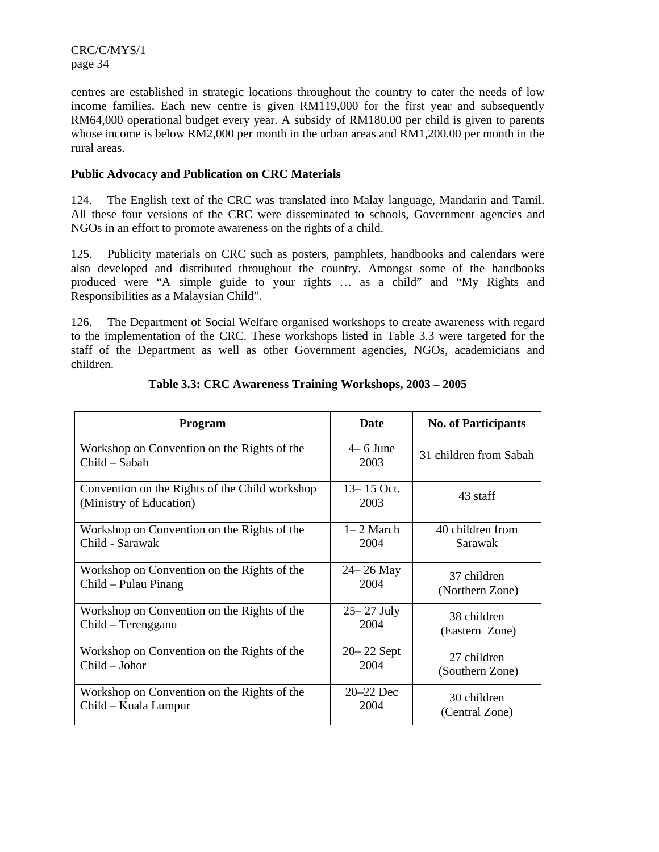centres are established in strategic locations throughout the country to cater the needs of low income families. Each new centre is given RM119,000 for the first year and subsequently RM64,000 operational budget every year. A subsidy of RM180.00 per child is given to parents whose income is below RM2,000 per month in the urban areas and RM1,200.00 per month in the rural areas.

### **Public Advocacy and Publication on CRC Materials**

124. The English text of the CRC was translated into Malay language*,* Mandarin and Tamil. All these four versions of the CRC were disseminated to schools, Government agencies and NGOs in an effort to promote awareness on the rights of a child.

125. Publicity materials on CRC such as posters, pamphlets, handbooks and calendars were also developed and distributed throughout the country. Amongst some of the handbooks produced were "A simple guide to your rights … as a child" and "My Rights and Responsibilities as a Malaysian Child".

126. The Department of Social Welfare organised workshops to create awareness with regard to the implementation of the CRC. These workshops listed in Table 3.3 were targeted for the staff of the Department as well as other Government agencies, NGOs, academicians and children.

| <b>Program</b>                                                            | <b>Date</b>            | <b>No. of Participants</b> |
|---------------------------------------------------------------------------|------------------------|----------------------------|
| Workshop on Convention on the Rights of the<br>Child – Sabah              | $4-6$ June<br>2003     | 31 children from Sabah     |
| Convention on the Rights of the Child workshop<br>(Ministry of Education) | $13 - 15$ Oct.<br>2003 | 43 staff                   |
| Workshop on Convention on the Rights of the                               | $1 - 2$ March          | 40 children from           |
| Child - Sarawak                                                           | 2004                   | Sarawak                    |
| Workshop on Convention on the Rights of the                               | $24 - 26$ May          | 37 children                |
| Child – Pulau Pinang                                                      | 2004                   | (Northern Zone)            |
| Workshop on Convention on the Rights of the                               | $25 - 27$ July         | 38 children                |
| Child – Terengganu                                                        | 2004                   | (Eastern Zone)             |
| Workshop on Convention on the Rights of the                               | $20 - 22$ Sept         | 27 children                |
| Child – Johor                                                             | 2004                   | (Southern Zone)            |
| Workshop on Convention on the Rights of the                               | $20-22$ Dec            | 30 children                |
| Child – Kuala Lumpur                                                      | 2004                   | (Central Zone)             |

#### **Table 3.3: CRC Awareness Training Workshops, 2003 – 2005**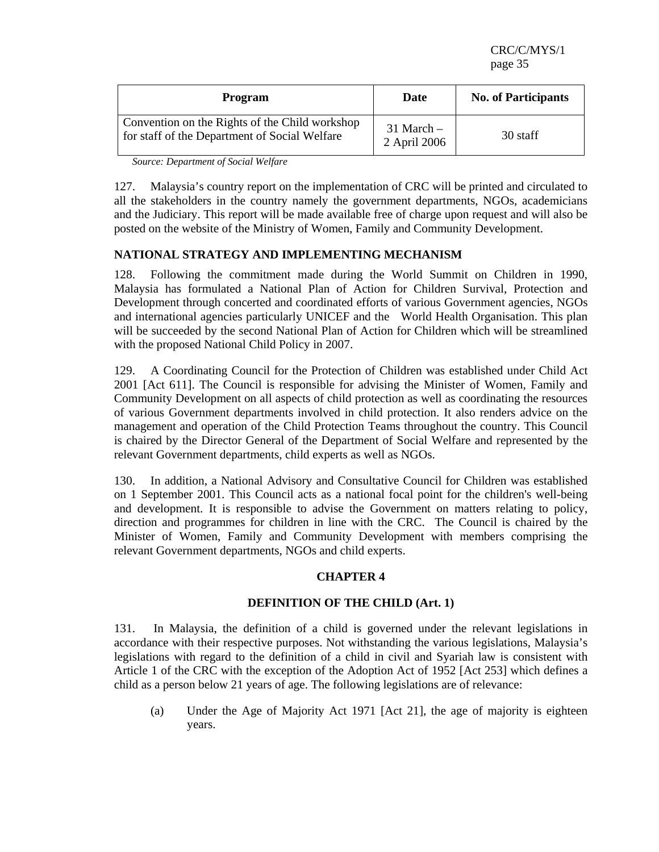| Program                                                                                         | Date                           | <b>No. of Participants</b> |
|-------------------------------------------------------------------------------------------------|--------------------------------|----------------------------|
| Convention on the Rights of the Child workshop<br>for staff of the Department of Social Welfare | $31$ March $-$<br>2 April 2006 | 30 staff                   |

*Source: Department of Social Welfare* 

127. Malaysia's country report on the implementation of CRC will be printed and circulated to all the stakeholders in the country namely the government departments, NGOs, academicians and the Judiciary. This report will be made available free of charge upon request and will also be posted on the website of the Ministry of Women, Family and Community Development.

## **NATIONAL STRATEGY AND IMPLEMENTING MECHANISM**

128. Following the commitment made during the World Summit on Children in 1990, Malaysia has formulated a National Plan of Action for Children Survival, Protection and Development through concerted and coordinated efforts of various Government agencies, NGOs and international agencies particularly UNICEF and the World Health Organisation. This plan will be succeeded by the second National Plan of Action for Children which will be streamlined with the proposed National Child Policy in 2007.

129. A Coordinating Council for the Protection of Children was established under Child Act 2001 [Act 611]. The Council is responsible for advising the Minister of Women, Family and Community Development on all aspects of child protection as well as coordinating the resources of various Government departments involved in child protection. It also renders advice on the management and operation of the Child Protection Teams throughout the country. This Council is chaired by the Director General of the Department of Social Welfare and represented by the relevant Government departments, child experts as well as NGOs.

130. In addition, a National Advisory and Consultative Council for Children was established on 1 September 2001. This Council acts as a national focal point for the children's well-being and development. It is responsible to advise the Government on matters relating to policy, direction and programmes for children in line with the CRC. The Council is chaired by the Minister of Women, Family and Community Development with members comprising the relevant Government departments, NGOs and child experts.

## **CHAPTER 4**

#### **DEFINITION OF THE CHILD (Art. 1)**

131. In Malaysia, the definition of a child is governed under the relevant legislations in accordance with their respective purposes. Not withstanding the various legislations, Malaysia's legislations with regard to the definition of a child in civil and Syariah law is consistent with Article 1 of the CRC with the exception of the Adoption Act of 1952 [Act 253] which defines a child as a person below 21 years of age. The following legislations are of relevance:

(a) Under the Age of Majority Act 1971 [Act 21], the age of majority is eighteen years.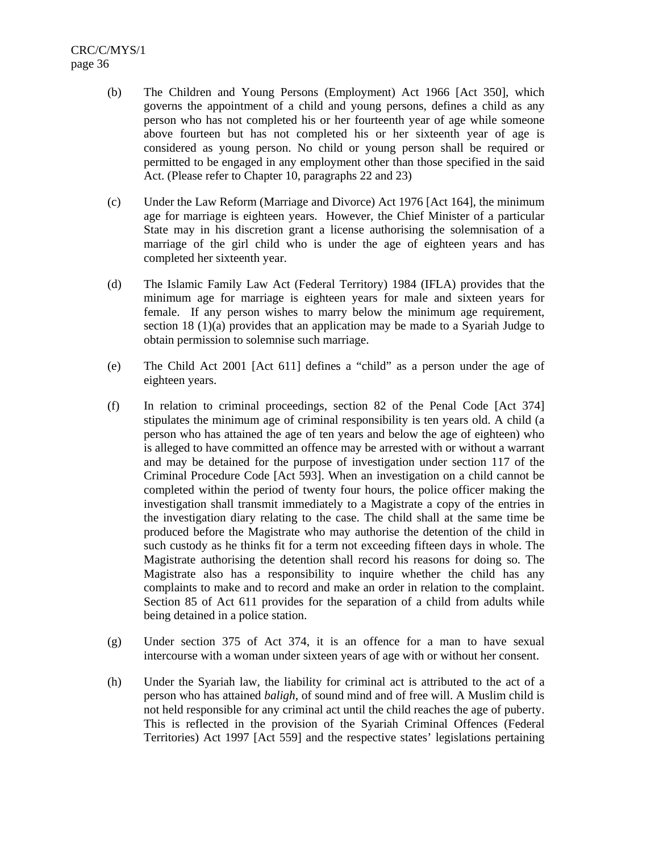- (b) The Children and Young Persons (Employment) Act 1966 [Act 350], which governs the appointment of a child and young persons, defines a child as any person who has not completed his or her fourteenth year of age while someone above fourteen but has not completed his or her sixteenth year of age is considered as young person. No child or young person shall be required or permitted to be engaged in any employment other than those specified in the said Act. (Please refer to Chapter 10, paragraphs 22 and 23)
- (c) Under the Law Reform (Marriage and Divorce) Act 1976 [Act 164], the minimum age for marriage is eighteen years. However, the Chief Minister of a particular State may in his discretion grant a license authorising the solemnisation of a marriage of the girl child who is under the age of eighteen years and has completed her sixteenth year.
- (d) The Islamic Family Law Act (Federal Territory) 1984 (IFLA) provides that the minimum age for marriage is eighteen years for male and sixteen years for female. If any person wishes to marry below the minimum age requirement, section 18 (1)(a) provides that an application may be made to a Syariah Judge to obtain permission to solemnise such marriage.
- (e) The Child Act 2001 [Act 611] defines a "child" as a person under the age of eighteen years.
- (f) In relation to criminal proceedings, section 82 of the Penal Code [Act 374] stipulates the minimum age of criminal responsibility is ten years old. A child (a person who has attained the age of ten years and below the age of eighteen) who is alleged to have committed an offence may be arrested with or without a warrant and may be detained for the purpose of investigation under section 117 of the Criminal Procedure Code [Act 593]. When an investigation on a child cannot be completed within the period of twenty four hours, the police officer making the investigation shall transmit immediately to a Magistrate a copy of the entries in the investigation diary relating to the case. The child shall at the same time be produced before the Magistrate who may authorise the detention of the child in such custody as he thinks fit for a term not exceeding fifteen days in whole. The Magistrate authorising the detention shall record his reasons for doing so. The Magistrate also has a responsibility to inquire whether the child has any complaints to make and to record and make an order in relation to the complaint. Section 85 of Act 611 provides for the separation of a child from adults while being detained in a police station.
- (g) Under section 375 of Act 374, it is an offence for a man to have sexual intercourse with a woman under sixteen years of age with or without her consent.
- (h) Under the Syariah law, the liability for criminal act is attributed to the act of a person who has attained *baligh*, of sound mind and of free will. A Muslim child is not held responsible for any criminal act until the child reaches the age of puberty. This is reflected in the provision of the Syariah Criminal Offences (Federal Territories) Act 1997 [Act 559] and the respective states' legislations pertaining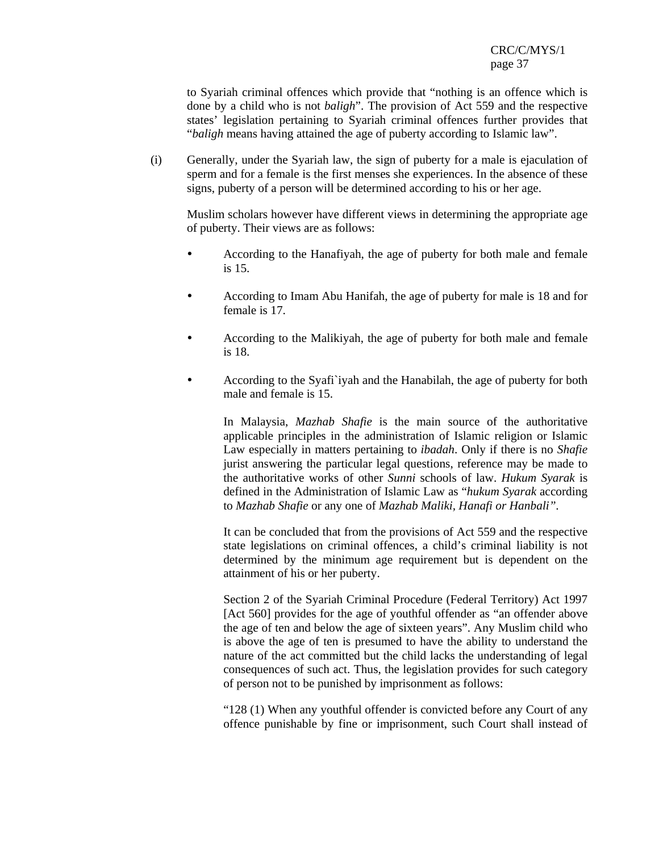to Syariah criminal offences which provide that "nothing is an offence which is done by a child who is not *baligh*". The provision of Act 559 and the respective states' legislation pertaining to Syariah criminal offences further provides that "*baligh* means having attained the age of puberty according to Islamic law".

(i) Generally, under the Syariah law, the sign of puberty for a male is ejaculation of sperm and for a female is the first menses she experiences. In the absence of these signs, puberty of a person will be determined according to his or her age.

Muslim scholars however have different views in determining the appropriate age of puberty. Their views are as follows:

- According to the Hanafiyah, the age of puberty for both male and female is 15.
- According to Imam Abu Hanifah, the age of puberty for male is 18 and for female is 17
- According to the Malikiyah, the age of puberty for both male and female is 18.
- According to the Syafi`iyah and the Hanabilah, the age of puberty for both male and female is 15.

In Malaysia, *Mazhab Shafie* is the main source of the authoritative applicable principles in the administration of Islamic religion or Islamic Law especially in matters pertaining to *ibadah*. Only if there is no *Shafie* jurist answering the particular legal questions, reference may be made to the authoritative works of other *Sunni* schools of law. *Hukum Syarak* is defined in the Administration of Islamic Law as "*hukum Syarak* according to *Mazhab Shafie* or any one of *Mazhab Maliki, Hanafi or Hanbali".*

It can be concluded that from the provisions of Act 559 and the respective state legislations on criminal offences, a child's criminal liability is not determined by the minimum age requirement but is dependent on the attainment of his or her puberty.

Section 2 of the Syariah Criminal Procedure (Federal Territory) Act 1997 [Act 560] provides for the age of youthful offender as "an offender above the age of ten and below the age of sixteen years". Any Muslim child who is above the age of ten is presumed to have the ability to understand the nature of the act committed but the child lacks the understanding of legal consequences of such act. Thus, the legislation provides for such category of person not to be punished by imprisonment as follows:

"128 (1) When any youthful offender is convicted before any Court of any offence punishable by fine or imprisonment, such Court shall instead of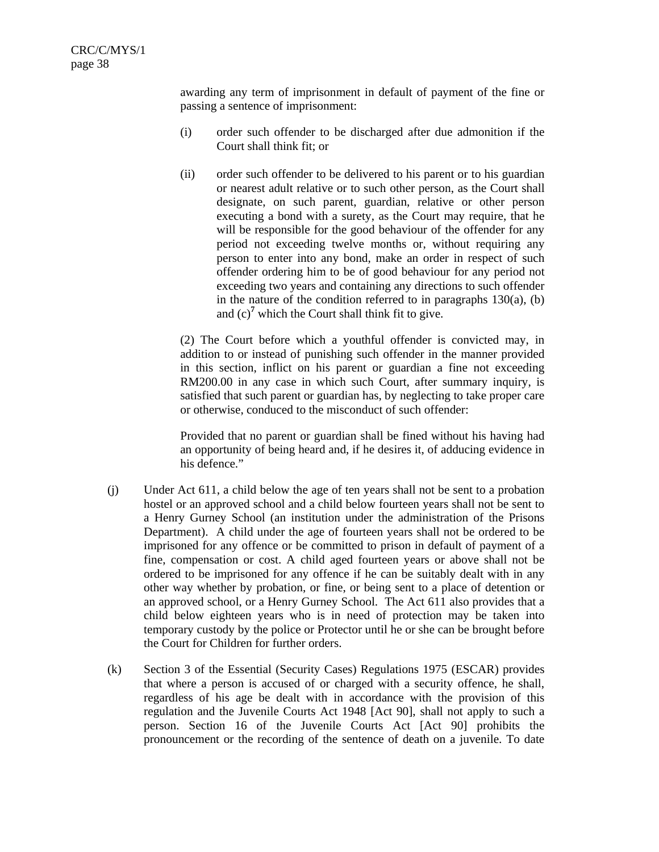awarding any term of imprisonment in default of payment of the fine or passing a sentence of imprisonment:

- (i) order such offender to be discharged after due admonition if the Court shall think fit; or
- (ii) order such offender to be delivered to his parent or to his guardian or nearest adult relative or to such other person, as the Court shall designate, on such parent, guardian, relative or other person executing a bond with a surety, as the Court may require, that he will be responsible for the good behaviour of the offender for any period not exceeding twelve months or, without requiring any person to enter into any bond, make an order in respect of such offender ordering him to be of good behaviour for any period not exceeding two years and containing any directions to such offender in the nature of the condition referred to in paragraphs  $130(a)$ , (b) and  $(c)^7$  which the Court shall think fit to give.

(2) The Court before which a youthful offender is convicted may, in addition to or instead of punishing such offender in the manner provided in this section, inflict on his parent or guardian a fine not exceeding RM200.00 in any case in which such Court, after summary inquiry, is satisfied that such parent or guardian has, by neglecting to take proper care or otherwise, conduced to the misconduct of such offender:

Provided that no parent or guardian shall be fined without his having had an opportunity of being heard and, if he desires it, of adducing evidence in his defence."

- (j) Under Act 611, a child below the age of ten years shall not be sent to a probation hostel or an approved school and a child below fourteen years shall not be sent to a Henry Gurney School (an institution under the administration of the Prisons Department). A child under the age of fourteen years shall not be ordered to be imprisoned for any offence or be committed to prison in default of payment of a fine, compensation or cost. A child aged fourteen years or above shall not be ordered to be imprisoned for any offence if he can be suitably dealt with in any other way whether by probation, or fine, or being sent to a place of detention or an approved school, or a Henry Gurney School. The Act 611 also provides that a child below eighteen years who is in need of protection may be taken into temporary custody by the police or Protector until he or she can be brought before the Court for Children for further orders.
- (k) Section 3 of the Essential (Security Cases) Regulations 1975 (ESCAR) provides that where a person is accused of or charged with a security offence, he shall, regardless of his age be dealt with in accordance with the provision of this regulation and the Juvenile Courts Act 1948 [Act 90], shall not apply to such a person. Section 16 of the Juvenile Courts Act [Act 90] prohibits the pronouncement or the recording of the sentence of death on a juvenile. To date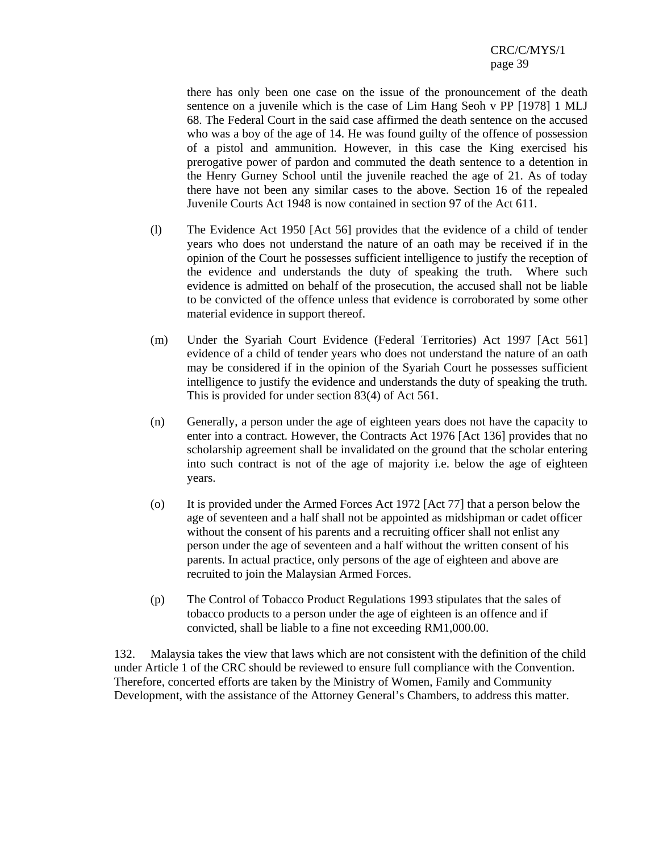there has only been one case on the issue of the pronouncement of the death sentence on a juvenile which is the case of Lim Hang Seoh v PP [1978] 1 MLJ 68. The Federal Court in the said case affirmed the death sentence on the accused who was a boy of the age of 14. He was found guilty of the offence of possession of a pistol and ammunition. However, in this case the King exercised his prerogative power of pardon and commuted the death sentence to a detention in the Henry Gurney School until the juvenile reached the age of 21. As of today there have not been any similar cases to the above. Section 16 of the repealed Juvenile Courts Act 1948 is now contained in section 97 of the Act 611.

- (l) The Evidence Act 1950 [Act 56] provides that the evidence of a child of tender years who does not understand the nature of an oath may be received if in the opinion of the Court he possesses sufficient intelligence to justify the reception of the evidence and understands the duty of speaking the truth. Where such evidence is admitted on behalf of the prosecution, the accused shall not be liable to be convicted of the offence unless that evidence is corroborated by some other material evidence in support thereof.
- (m) Under the Syariah Court Evidence (Federal Territories) Act 1997 [Act 561] evidence of a child of tender years who does not understand the nature of an oath may be considered if in the opinion of the Syariah Court he possesses sufficient intelligence to justify the evidence and understands the duty of speaking the truth. This is provided for under section 83(4) of Act 561.
- (n) Generally, a person under the age of eighteen years does not have the capacity to enter into a contract. However, the Contracts Act 1976 [Act 136] provides that no scholarship agreement shall be invalidated on the ground that the scholar entering into such contract is not of the age of majority i.e. below the age of eighteen years.
- (o) It is provided under the Armed Forces Act 1972 [Act 77] that a person below the age of seventeen and a half shall not be appointed as midshipman or cadet officer without the consent of his parents and a recruiting officer shall not enlist any person under the age of seventeen and a half without the written consent of his parents. In actual practice, only persons of the age of eighteen and above are recruited to join the Malaysian Armed Forces.
- (p) The Control of Tobacco Product Regulations 1993 stipulates that the sales of tobacco products to a person under the age of eighteen is an offence and if convicted, shall be liable to a fine not exceeding RM1,000.00.

132. Malaysia takes the view that laws which are not consistent with the definition of the child under Article 1 of the CRC should be reviewed to ensure full compliance with the Convention. Therefore, concerted efforts are taken by the Ministry of Women, Family and Community Development, with the assistance of the Attorney General's Chambers, to address this matter.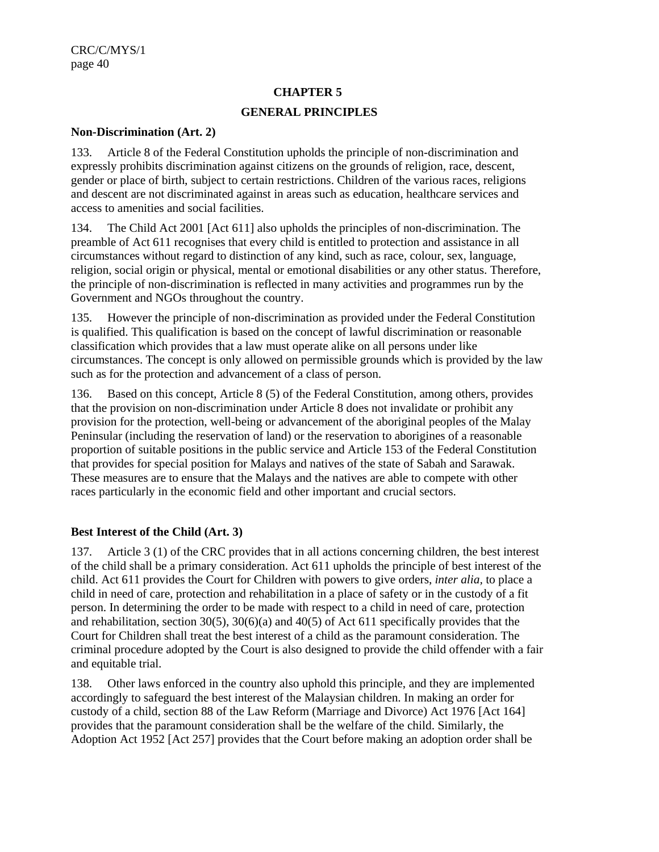# **CHAPTER 5**

#### **GENERAL PRINCIPLES**

#### **Non-Discrimination (Art. 2)**

133. Article 8 of the Federal Constitution upholds the principle of non-discrimination and expressly prohibits discrimination against citizens on the grounds of religion, race, descent, gender or place of birth, subject to certain restrictions. Children of the various races, religions and descent are not discriminated against in areas such as education, healthcare services and access to amenities and social facilities.

134. The Child Act 2001 [Act 611] also upholds the principles of non-discrimination. The preamble of Act 611 recognises that every child is entitled to protection and assistance in all circumstances without regard to distinction of any kind, such as race, colour, sex, language, religion, social origin or physical, mental or emotional disabilities or any other status. Therefore, the principle of non-discrimination is reflected in many activities and programmes run by the Government and NGOs throughout the country.

135. However the principle of non-discrimination as provided under the Federal Constitution is qualified. This qualification is based on the concept of lawful discrimination or reasonable classification which provides that a law must operate alike on all persons under like circumstances. The concept is only allowed on permissible grounds which is provided by the law such as for the protection and advancement of a class of person.

136. Based on this concept, Article 8 (5) of the Federal Constitution, among others, provides that the provision on non-discrimination under Article 8 does not invalidate or prohibit any provision for the protection, well-being or advancement of the aboriginal peoples of the Malay Peninsular (including the reservation of land) or the reservation to aborigines of a reasonable proportion of suitable positions in the public service and Article 153 of the Federal Constitution that provides for special position for Malays and natives of the state of Sabah and Sarawak. These measures are to ensure that the Malays and the natives are able to compete with other races particularly in the economic field and other important and crucial sectors.

#### **Best Interest of the Child (Art. 3)**

137. Article 3 (1) of the CRC provides that in all actions concerning children, the best interest of the child shall be a primary consideration. Act 611 upholds the principle of best interest of the child. Act 611 provides the Court for Children with powers to give orders, *inter alia,* to place a child in need of care, protection and rehabilitation in a place of safety or in the custody of a fit person. In determining the order to be made with respect to a child in need of care, protection and rehabilitation, section 30(5), 30(6)(a) and 40(5) of Act 611 specifically provides that the Court for Children shall treat the best interest of a child as the paramount consideration. The criminal procedure adopted by the Court is also designed to provide the child offender with a fair and equitable trial.

138. Other laws enforced in the country also uphold this principle, and they are implemented accordingly to safeguard the best interest of the Malaysian children. In making an order for custody of a child, section 88 of the Law Reform (Marriage and Divorce) Act 1976 [Act 164] provides that the paramount consideration shall be the welfare of the child. Similarly, the Adoption Act 1952 [Act 257] provides that the Court before making an adoption order shall be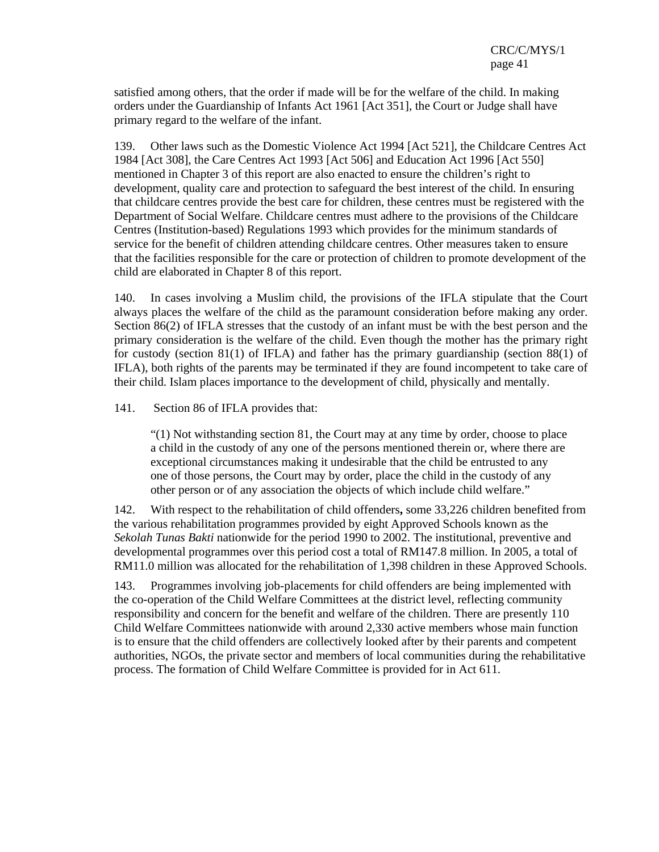satisfied among others, that the order if made will be for the welfare of the child. In making orders under the Guardianship of Infants Act 1961 [Act 351], the Court or Judge shall have primary regard to the welfare of the infant.

139. Other laws such as the Domestic Violence Act 1994 [Act 521], the Childcare Centres Act 1984 [Act 308], the Care Centres Act 1993 [Act 506] and Education Act 1996 [Act 550] mentioned in Chapter 3 of this report are also enacted to ensure the children's right to development, quality care and protection to safeguard the best interest of the child. In ensuring that childcare centres provide the best care for children, these centres must be registered with the Department of Social Welfare. Childcare centres must adhere to the provisions of the Childcare Centres (Institution-based) Regulations 1993 which provides for the minimum standards of service for the benefit of children attending childcare centres. Other measures taken to ensure that the facilities responsible for the care or protection of children to promote development of the child are elaborated in Chapter 8 of this report.

140. In cases involving a Muslim child, the provisions of the IFLA stipulate that the Court always places the welfare of the child as the paramount consideration before making any order. Section 86(2) of IFLA stresses that the custody of an infant must be with the best person and the primary consideration is the welfare of the child. Even though the mother has the primary right for custody (section  $81(1)$  of IFLA) and father has the primary guardianship (section  $88(1)$  of IFLA), both rights of the parents may be terminated if they are found incompetent to take care of their child. Islam places importance to the development of child, physically and mentally.

141. Section 86 of IFLA provides that:

 $(1)$  Not withstanding section 81, the Court may at any time by order, choose to place a child in the custody of any one of the persons mentioned therein or, where there are exceptional circumstances making it undesirable that the child be entrusted to any one of those persons, the Court may by order, place the child in the custody of any other person or of any association the objects of which include child welfare."

142. With respect to the rehabilitation of child offenders**,** some 33,226 children benefited from the various rehabilitation programmes provided by eight Approved Schools known as the *Sekolah Tunas Bakti* nationwide for the period 1990 to 2002. The institutional, preventive and developmental programmes over this period cost a total of RM147.8 million. In 2005, a total of RM11.0 million was allocated for the rehabilitation of 1,398 children in these Approved Schools.

143. Programmes involving job-placements for child offenders are being implemented with the co-operation of the Child Welfare Committees at the district level, reflecting community responsibility and concern for the benefit and welfare of the children. There are presently 110 Child Welfare Committees nationwide with around 2,330 active members whose main function is to ensure that the child offenders are collectively looked after by their parents and competent authorities, NGOs, the private sector and members of local communities during the rehabilitative process. The formation of Child Welfare Committee is provided for in Act 611.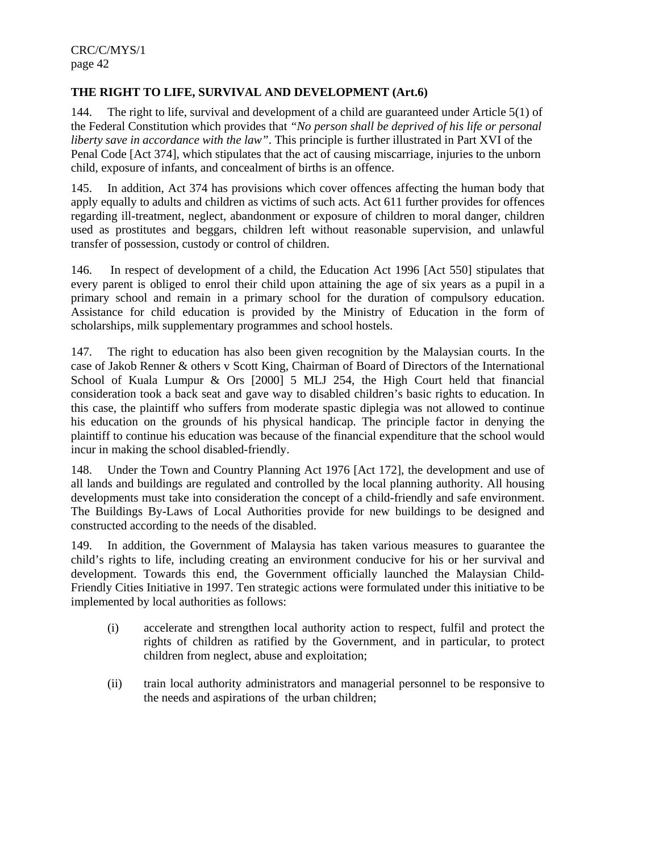# **THE RIGHT TO LIFE, SURVIVAL AND DEVELOPMENT (Art.6)**

144. The right to life, survival and development of a child are guaranteed under Article 5(1) of the Federal Constitution which provides that *"No person shall be deprived of his life or personal liberty save in accordance with the law"*. This principle is further illustrated in Part XVI of the Penal Code [Act 374], which stipulates that the act of causing miscarriage, injuries to the unborn child, exposure of infants, and concealment of births is an offence.

145. In addition, Act 374 has provisions which cover offences affecting the human body that apply equally to adults and children as victims of such acts. Act 611 further provides for offences regarding ill-treatment, neglect, abandonment or exposure of children to moral danger, children used as prostitutes and beggars, children left without reasonable supervision, and unlawful transfer of possession, custody or control of children.

146. In respect of development of a child, the Education Act 1996 [Act 550] stipulates that every parent is obliged to enrol their child upon attaining the age of six years as a pupil in a primary school and remain in a primary school for the duration of compulsory education. Assistance for child education is provided by the Ministry of Education in the form of scholarships, milk supplementary programmes and school hostels.

147. The right to education has also been given recognition by the Malaysian courts. In the case of Jakob Renner & others v Scott King, Chairman of Board of Directors of the International School of Kuala Lumpur & Ors [2000] 5 MLJ 254, the High Court held that financial consideration took a back seat and gave way to disabled children's basic rights to education. In this case, the plaintiff who suffers from moderate spastic diplegia was not allowed to continue his education on the grounds of his physical handicap. The principle factor in denying the plaintiff to continue his education was because of the financial expenditure that the school would incur in making the school disabled-friendly.

148. Under the Town and Country Planning Act 1976 [Act 172], the development and use of all lands and buildings are regulated and controlled by the local planning authority. All housing developments must take into consideration the concept of a child-friendly and safe environment. The Buildings By-Laws of Local Authorities provide for new buildings to be designed and constructed according to the needs of the disabled.

149. In addition, the Government of Malaysia has taken various measures to guarantee the child's rights to life, including creating an environment conducive for his or her survival and development. Towards this end, the Government officially launched the Malaysian Child-Friendly Cities Initiative in 1997. Ten strategic actions were formulated under this initiative to be implemented by local authorities as follows:

- (i) accelerate and strengthen local authority action to respect, fulfil and protect the rights of children as ratified by the Government, and in particular, to protect children from neglect, abuse and exploitation;
- (ii) train local authority administrators and managerial personnel to be responsive to the needs and aspirations of the urban children;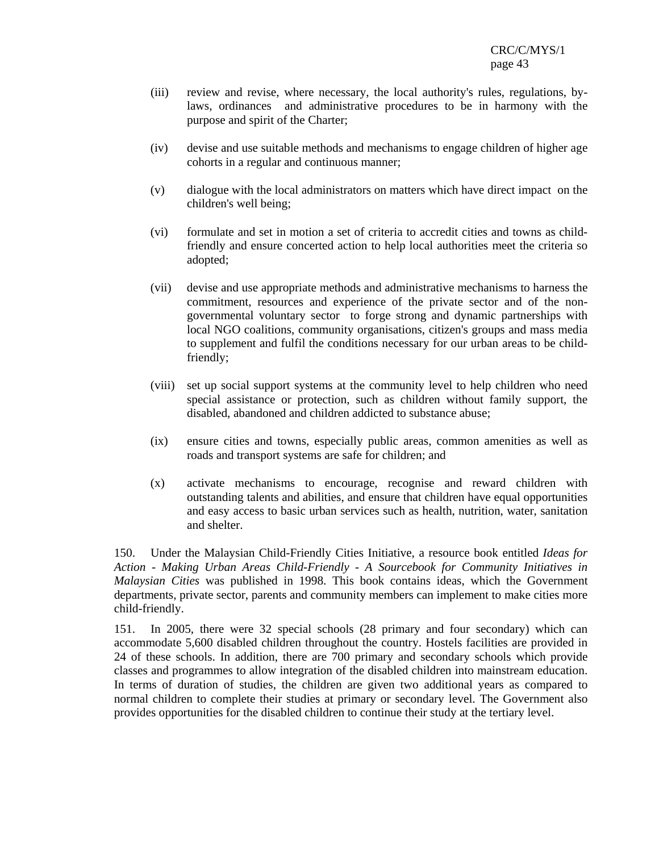- (iii) review and revise, where necessary, the local authority's rules, regulations, bylaws, ordinances and administrative procedures to be in harmony with the purpose and spirit of the Charter;
- (iv) devise and use suitable methods and mechanisms to engage children of higher age cohorts in a regular and continuous manner;
- (v) dialogue with the local administrators on matters which have direct impact on the children's well being;
- (vi) formulate and set in motion a set of criteria to accredit cities and towns as childfriendly and ensure concerted action to help local authorities meet the criteria so adopted;
- (vii) devise and use appropriate methods and administrative mechanisms to harness the commitment, resources and experience of the private sector and of the nongovernmental voluntary sector to forge strong and dynamic partnerships with local NGO coalitions, community organisations, citizen's groups and mass media to supplement and fulfil the conditions necessary for our urban areas to be childfriendly;
- (viii) set up social support systems at the community level to help children who need special assistance or protection, such as children without family support, the disabled, abandoned and children addicted to substance abuse;
- (ix) ensure cities and towns, especially public areas, common amenities as well as roads and transport systems are safe for children; and
- (x) activate mechanisms to encourage, recognise and reward children with outstanding talents and abilities, and ensure that children have equal opportunities and easy access to basic urban services such as health, nutrition, water, sanitation and shelter.

150. Under the Malaysian Child-Friendly Cities Initiative, a resource book entitled *Ideas for Action - Making Urban Areas Child-Friendly - A Sourcebook for Community Initiatives in Malaysian Cities* was published in 1998. This book contains ideas, which the Government departments, private sector, parents and community members can implement to make cities more child-friendly.

151. In 2005, there were 32 special schools (28 primary and four secondary) which can accommodate 5,600 disabled children throughout the country. Hostels facilities are provided in 24 of these schools. In addition, there are 700 primary and secondary schools which provide classes and programmes to allow integration of the disabled children into mainstream education. In terms of duration of studies, the children are given two additional years as compared to normal children to complete their studies at primary or secondary level. The Government also provides opportunities for the disabled children to continue their study at the tertiary level.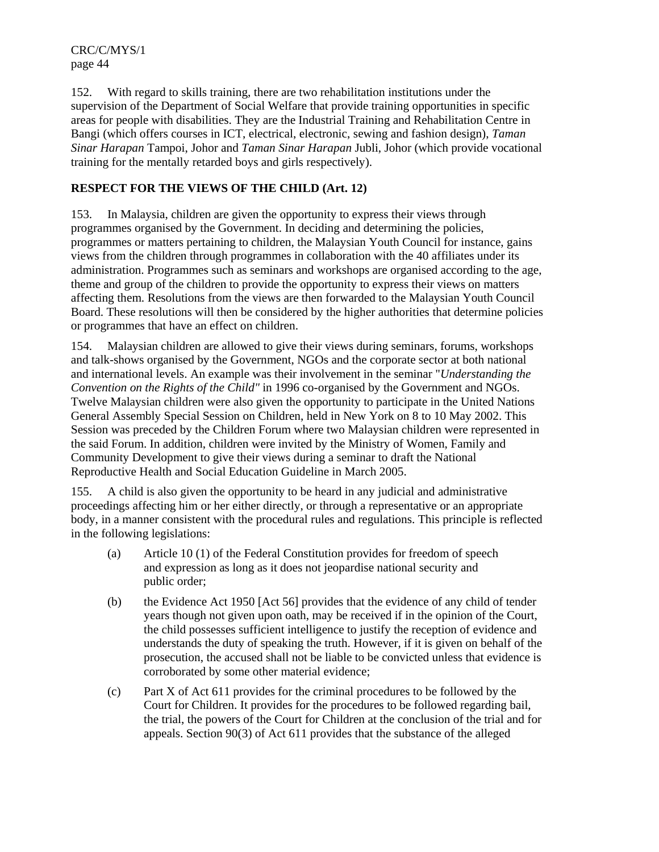152. With regard to skills training, there are two rehabilitation institutions under the supervision of the Department of Social Welfare that provide training opportunities in specific areas for people with disabilities. They are the Industrial Training and Rehabilitation Centre in Bangi (which offers courses in ICT, electrical, electronic, sewing and fashion design), *Taman Sinar Harapan* Tampoi, Johor and *Taman Sinar Harapan* Jubli, Johor (which provide vocational training for the mentally retarded boys and girls respectively).

# **RESPECT FOR THE VIEWS OF THE CHILD (Art. 12)**

153. In Malaysia, children are given the opportunity to express their views through programmes organised by the Government. In deciding and determining the policies, programmes or matters pertaining to children, the Malaysian Youth Council for instance, gains views from the children through programmes in collaboration with the 40 affiliates under its administration. Programmes such as seminars and workshops are organised according to the age, theme and group of the children to provide the opportunity to express their views on matters affecting them. Resolutions from the views are then forwarded to the Malaysian Youth Council Board. These resolutions will then be considered by the higher authorities that determine policies or programmes that have an effect on children.

154. Malaysian children are allowed to give their views during seminars, forums, workshops and talk-shows organised by the Government, NGOs and the corporate sector at both national and international levels. An example was their involvement in the seminar "*Understanding the Convention on the Rights of the Child"* in 1996 co-organised by the Government and NGOs. Twelve Malaysian children were also given the opportunity to participate in the United Nations General Assembly Special Session on Children, held in New York on 8 to 10 May 2002. This Session was preceded by the Children Forum where two Malaysian children were represented in the said Forum. In addition, children were invited by the Ministry of Women, Family and Community Development to give their views during a seminar to draft the National Reproductive Health and Social Education Guideline in March 2005.

155. A child is also given the opportunity to be heard in any judicial and administrative proceedings affecting him or her either directly, or through a representative or an appropriate body, in a manner consistent with the procedural rules and regulations. This principle is reflected in the following legislations:

- (a) Article 10 (1) of the Federal Constitution provides for freedom of speech and expression as long as it does not jeopardise national security and public order;
- (b) the Evidence Act 1950 [Act 56] provides that the evidence of any child of tender years though not given upon oath, may be received if in the opinion of the Court, the child possesses sufficient intelligence to justify the reception of evidence and understands the duty of speaking the truth. However, if it is given on behalf of the prosecution, the accused shall not be liable to be convicted unless that evidence is corroborated by some other material evidence;
- (c) Part X of Act 611 provides for the criminal procedures to be followed by the Court for Children. It provides for the procedures to be followed regarding bail, the trial, the powers of the Court for Children at the conclusion of the trial and for appeals. Section 90(3) of Act 611 provides that the substance of the alleged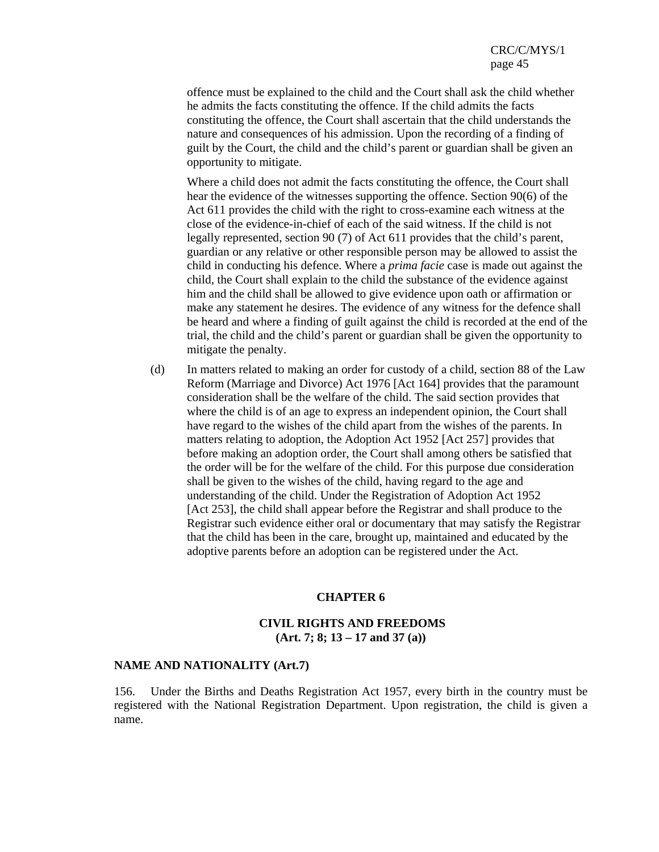offence must be explained to the child and the Court shall ask the child whether he admits the facts constituting the offence. If the child admits the facts constituting the offence, the Court shall ascertain that the child understands the nature and consequences of his admission. Upon the recording of a finding of guilt by the Court, the child and the child's parent or guardian shall be given an opportunity to mitigate.

 Where a child does not admit the facts constituting the offence, the Court shall hear the evidence of the witnesses supporting the offence. Section 90(6) of the Act 611 provides the child with the right to cross-examine each witness at the close of the evidence-in-chief of each of the said witness. If the child is not legally represented, section 90 (7) of Act 611 provides that the child's parent, guardian or any relative or other responsible person may be allowed to assist the child in conducting his defence. Where a *prima facie* case is made out against the child, the Court shall explain to the child the substance of the evidence against him and the child shall be allowed to give evidence upon oath or affirmation or make any statement he desires. The evidence of any witness for the defence shall be heard and where a finding of guilt against the child is recorded at the end of the trial, the child and the child's parent or guardian shall be given the opportunity to mitigate the penalty.

 (d) In matters related to making an order for custody of a child, section 88 of the Law Reform (Marriage and Divorce) Act 1976 [Act 164] provides that the paramount consideration shall be the welfare of the child. The said section provides that where the child is of an age to express an independent opinion, the Court shall have regard to the wishes of the child apart from the wishes of the parents. In matters relating to adoption, the Adoption Act 1952 [Act 257] provides that before making an adoption order, the Court shall among others be satisfied that the order will be for the welfare of the child. For this purpose due consideration shall be given to the wishes of the child, having regard to the age and understanding of the child. Under the Registration of Adoption Act 1952 [Act 253], the child shall appear before the Registrar and shall produce to the Registrar such evidence either oral or documentary that may satisfy the Registrar that the child has been in the care, brought up, maintained and educated by the adoptive parents before an adoption can be registered under the Act.

#### **CHAPTER 6**

#### **CIVIL RIGHTS AND FREEDOMS (Art. 7; 8; 13 – 17 and 37 (a))**

#### **NAME AND NATIONALITY (Art.7)**

156. Under the Births and Deaths Registration Act 1957, every birth in the country must be registered with the National Registration Department. Upon registration, the child is given a name.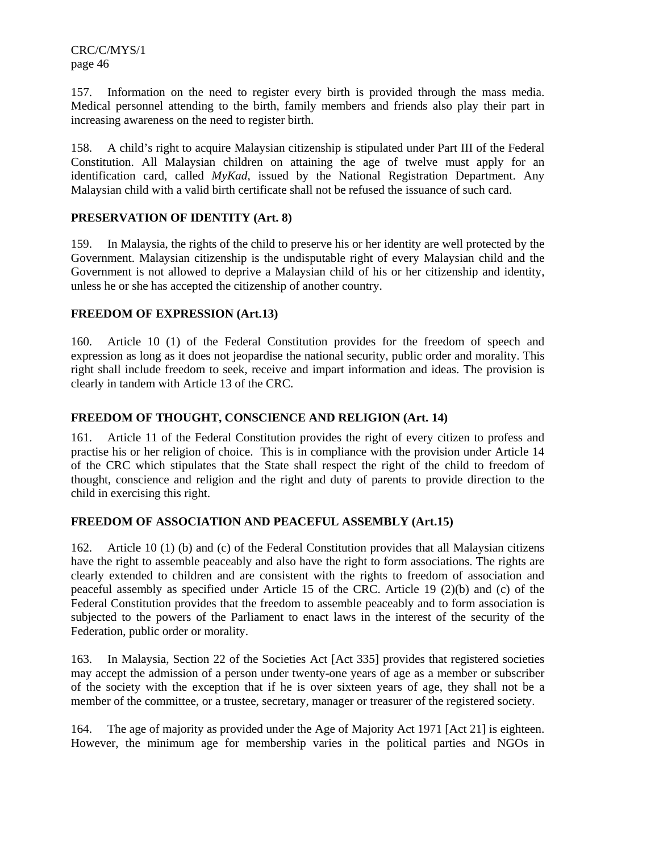157. Information on the need to register every birth is provided through the mass media. Medical personnel attending to the birth, family members and friends also play their part in increasing awareness on the need to register birth.

158. A child's right to acquire Malaysian citizenship is stipulated under Part III of the Federal Constitution. All Malaysian children on attaining the age of twelve must apply for an identification card, called *MyKad*, issued by the National Registration Department. Any Malaysian child with a valid birth certificate shall not be refused the issuance of such card.

### **PRESERVATION OF IDENTITY (Art. 8)**

159. In Malaysia, the rights of the child to preserve his or her identity are well protected by the Government. Malaysian citizenship is the undisputable right of every Malaysian child and the Government is not allowed to deprive a Malaysian child of his or her citizenship and identity, unless he or she has accepted the citizenship of another country.

### **FREEDOM OF EXPRESSION (Art.13)**

160. Article 10 (1) of the Federal Constitution provides for the freedom of speech and expression as long as it does not jeopardise the national security, public order and morality. This right shall include freedom to seek, receive and impart information and ideas. The provision is clearly in tandem with Article 13 of the CRC.

### **FREEDOM OF THOUGHT, CONSCIENCE AND RELIGION (Art. 14)**

161. Article 11 of the Federal Constitution provides the right of every citizen to profess and practise his or her religion of choice. This is in compliance with the provision under Article 14 of the CRC which stipulates that the State shall respect the right of the child to freedom of thought, conscience and religion and the right and duty of parents to provide direction to the child in exercising this right.

#### **FREEDOM OF ASSOCIATION AND PEACEFUL ASSEMBLY (Art.15)**

162. Article 10 (1) (b) and (c) of the Federal Constitution provides that all Malaysian citizens have the right to assemble peaceably and also have the right to form associations. The rights are clearly extended to children and are consistent with the rights to freedom of association and peaceful assembly as specified under Article 15 of the CRC. Article 19 (2)(b) and (c) of the Federal Constitution provides that the freedom to assemble peaceably and to form association is subjected to the powers of the Parliament to enact laws in the interest of the security of the Federation, public order or morality.

163. In Malaysia, Section 22 of the Societies Act [Act 335] provides that registered societies may accept the admission of a person under twenty-one years of age as a member or subscriber of the society with the exception that if he is over sixteen years of age, they shall not be a member of the committee, or a trustee, secretary, manager or treasurer of the registered society.

164. The age of majority as provided under the Age of Majority Act 1971 [Act 21] is eighteen. However, the minimum age for membership varies in the political parties and NGOs in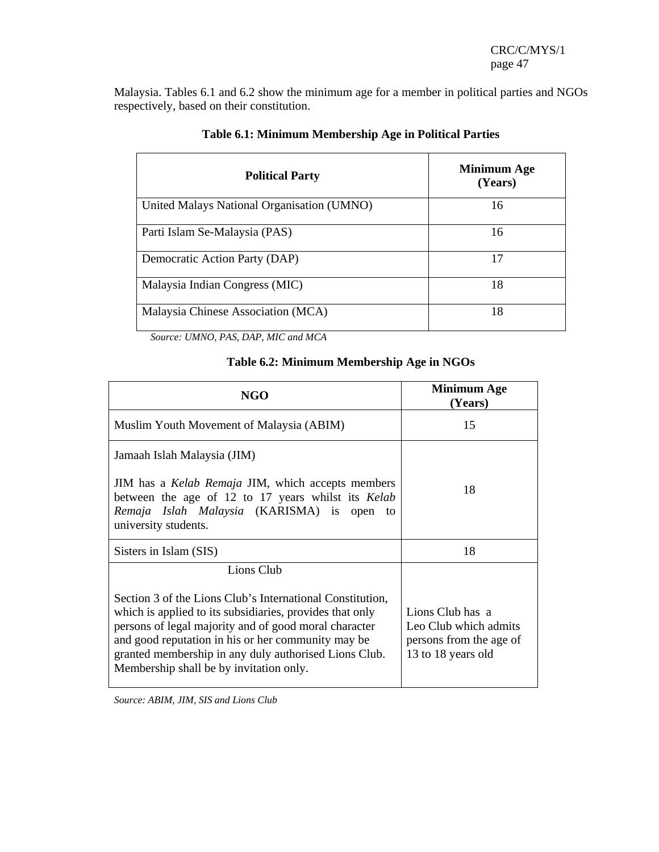Malaysia. Tables 6.1 and 6.2 show the minimum age for a member in political parties and NGOs respectively, based on their constitution.

| <b>Political Party</b>                     | <b>Minimum Age</b><br>(Years) |  |  |
|--------------------------------------------|-------------------------------|--|--|
| United Malays National Organisation (UMNO) | 16                            |  |  |
| Parti Islam Se-Malaysia (PAS)              | 16                            |  |  |
| Democratic Action Party (DAP)              | 17                            |  |  |
| Malaysia Indian Congress (MIC)             | 18                            |  |  |
| Malaysia Chinese Association (MCA)         | 18                            |  |  |

# **Table 6.1: Minimum Membership Age in Political Parties**

 *Source: UMNO, PAS, DAP, MIC and MCA* 

# **Table 6.2: Minimum Membership Age in NGOs**

| NGO                                                                                                                                                                                                                                                                                                                                      | <b>Minimum Age</b><br>(Years)                                                              |  |  |
|------------------------------------------------------------------------------------------------------------------------------------------------------------------------------------------------------------------------------------------------------------------------------------------------------------------------------------------|--------------------------------------------------------------------------------------------|--|--|
| Muslim Youth Movement of Malaysia (ABIM)                                                                                                                                                                                                                                                                                                 | 15                                                                                         |  |  |
| Jamaah Islah Malaysia (JIM)<br>JIM has a <i>Kelab Remaja</i> JIM, which accepts members<br>between the age of 12 to 17 years whilst its Kelab                                                                                                                                                                                            | 18                                                                                         |  |  |
| Remaja Islah Malaysia (KARISMA) is open<br>to<br>university students.                                                                                                                                                                                                                                                                    |                                                                                            |  |  |
| Sisters in Islam (SIS)                                                                                                                                                                                                                                                                                                                   | 18                                                                                         |  |  |
| Lions Club                                                                                                                                                                                                                                                                                                                               |                                                                                            |  |  |
| Section 3 of the Lions Club's International Constitution,<br>which is applied to its subsidiaries, provides that only<br>persons of legal majority and of good moral character<br>and good reputation in his or her community may be<br>granted membership in any duly authorised Lions Club.<br>Membership shall be by invitation only. | Lions Club has a<br>Leo Club which admits<br>persons from the age of<br>13 to 18 years old |  |  |

*Source: ABIM, JIM, SIS and Lions Club*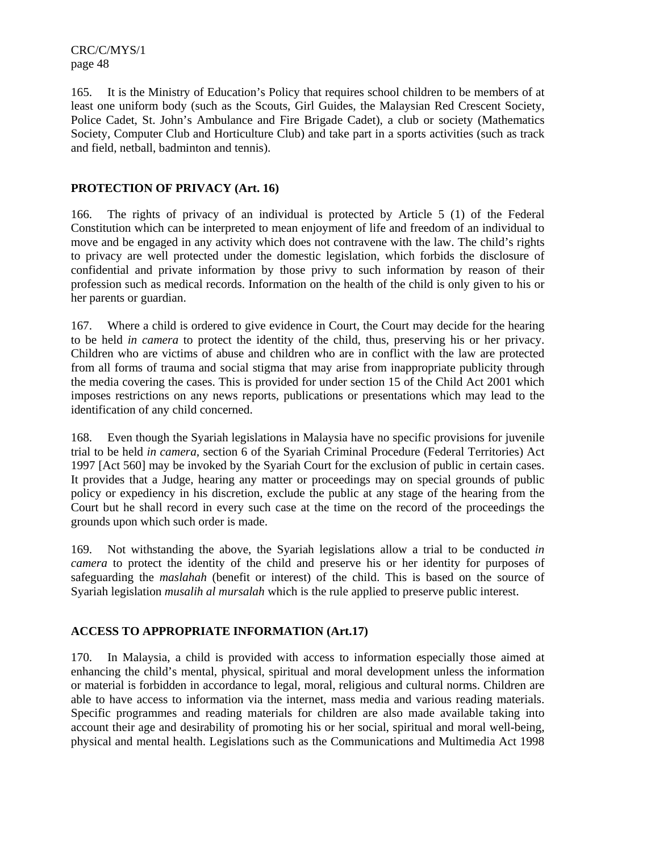165. It is the Ministry of Education's Policy that requires school children to be members of at least one uniform body (such as the Scouts, Girl Guides, the Malaysian Red Crescent Society, Police Cadet, St. John's Ambulance and Fire Brigade Cadet), a club or society (Mathematics Society, Computer Club and Horticulture Club) and take part in a sports activities (such as track and field, netball, badminton and tennis).

### **PROTECTION OF PRIVACY (Art. 16)**

166. The rights of privacy of an individual is protected by Article 5 (1) of the Federal Constitution which can be interpreted to mean enjoyment of life and freedom of an individual to move and be engaged in any activity which does not contravene with the law. The child's rights to privacy are well protected under the domestic legislation, which forbids the disclosure of confidential and private information by those privy to such information by reason of their profession such as medical records. Information on the health of the child is only given to his or her parents or guardian.

167. Where a child is ordered to give evidence in Court, the Court may decide for the hearing to be held *in camera* to protect the identity of the child, thus, preserving his or her privacy. Children who are victims of abuse and children who are in conflict with the law are protected from all forms of trauma and social stigma that may arise from inappropriate publicity through the media covering the cases. This is provided for under section 15 of the Child Act 2001 which imposes restrictions on any news reports, publications or presentations which may lead to the identification of any child concerned.

168. Even though the Syariah legislations in Malaysia have no specific provisions for juvenile trial to be held *in camera,* section 6 of the Syariah Criminal Procedure (Federal Territories) Act 1997 [Act 560] may be invoked by the Syariah Court for the exclusion of public in certain cases. It provides that a Judge, hearing any matter or proceedings may on special grounds of public policy or expediency in his discretion, exclude the public at any stage of the hearing from the Court but he shall record in every such case at the time on the record of the proceedings the grounds upon which such order is made.

169. Not withstanding the above, the Syariah legislations allow a trial to be conducted *in camera* to protect the identity of the child and preserve his or her identity for purposes of safeguarding the *maslahah* (benefit or interest) of the child. This is based on the source of Syariah legislation *musalih al mursalah* which is the rule applied to preserve public interest.

# **ACCESS TO APPROPRIATE INFORMATION (Art.17)**

170. In Malaysia, a child is provided with access to information especially those aimed at enhancing the child's mental, physical, spiritual and moral development unless the information or material is forbidden in accordance to legal, moral, religious and cultural norms. Children are able to have access to information via the internet, mass media and various reading materials. Specific programmes and reading materials for children are also made available taking into account their age and desirability of promoting his or her social, spiritual and moral well-being, physical and mental health. Legislations such as the Communications and Multimedia Act 1998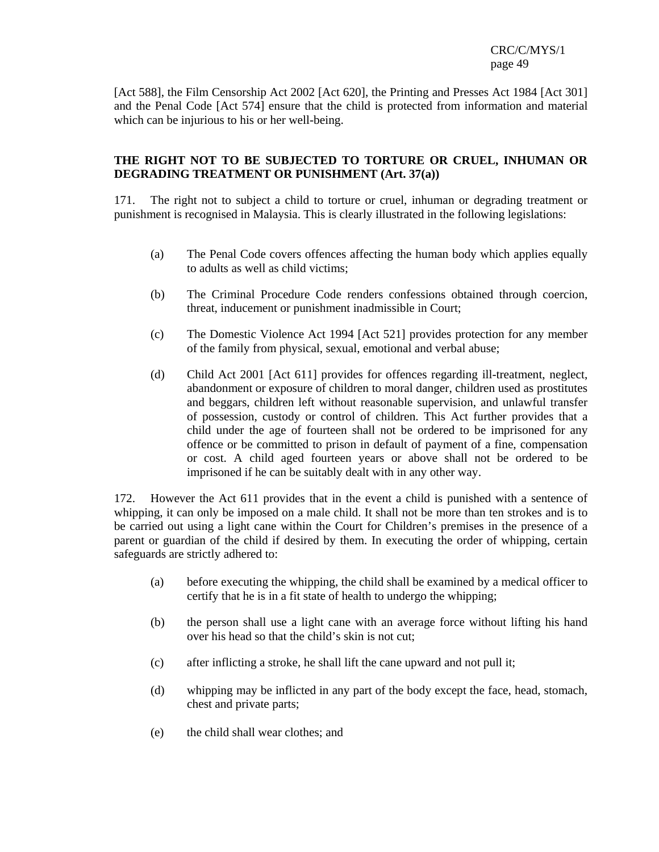[Act 588], the Film Censorship Act 2002 [Act 620], the Printing and Presses Act 1984 [Act 301] and the Penal Code [Act 574] ensure that the child is protected from information and material which can be injurious to his or her well-being.

### **THE RIGHT NOT TO BE SUBJECTED TO TORTURE OR CRUEL, INHUMAN OR DEGRADING TREATMENT OR PUNISHMENT (Art. 37(a))**

171. The right not to subject a child to torture or cruel, inhuman or degrading treatment or punishment is recognised in Malaysia. This is clearly illustrated in the following legislations:

- (a) The Penal Code covers offences affecting the human body which applies equally to adults as well as child victims;
- (b) The Criminal Procedure Code renders confessions obtained through coercion, threat, inducement or punishment inadmissible in Court;
- (c) The Domestic Violence Act 1994 [Act 521] provides protection for any member of the family from physical, sexual, emotional and verbal abuse;
- (d) Child Act 2001 [Act 611] provides for offences regarding ill-treatment, neglect, abandonment or exposure of children to moral danger, children used as prostitutes and beggars, children left without reasonable supervision, and unlawful transfer of possession, custody or control of children. This Act further provides that a child under the age of fourteen shall not be ordered to be imprisoned for any offence or be committed to prison in default of payment of a fine, compensation or cost. A child aged fourteen years or above shall not be ordered to be imprisoned if he can be suitably dealt with in any other way.

172. However the Act 611 provides that in the event a child is punished with a sentence of whipping, it can only be imposed on a male child. It shall not be more than ten strokes and is to be carried out using a light cane within the Court for Children's premises in the presence of a parent or guardian of the child if desired by them. In executing the order of whipping, certain safeguards are strictly adhered to:

- (a) before executing the whipping, the child shall be examined by a medical officer to certify that he is in a fit state of health to undergo the whipping;
- (b) the person shall use a light cane with an average force without lifting his hand over his head so that the child's skin is not cut;
- (c) after inflicting a stroke, he shall lift the cane upward and not pull it;
- (d) whipping may be inflicted in any part of the body except the face, head, stomach, chest and private parts;
- (e) the child shall wear clothes; and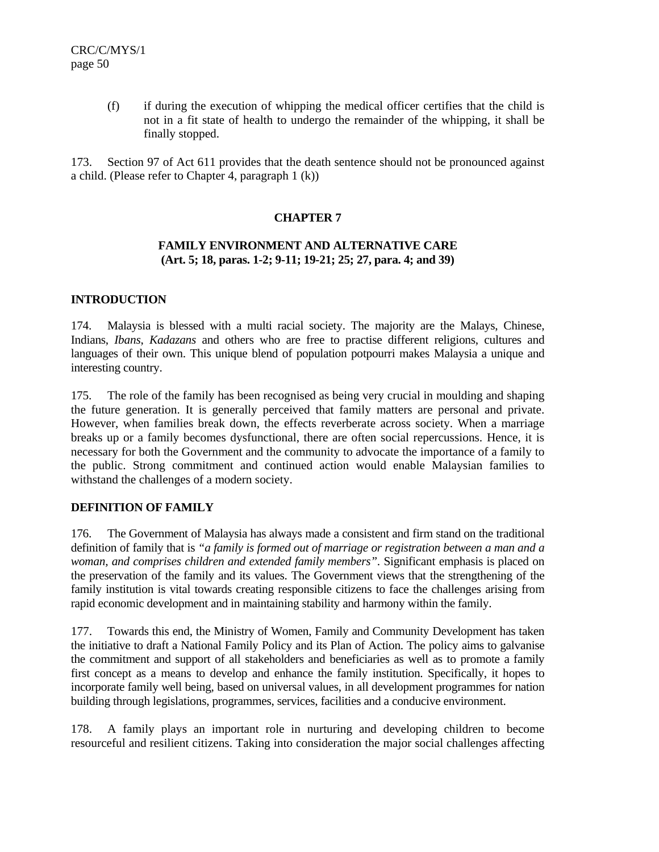(f) if during the execution of whipping the medical officer certifies that the child is not in a fit state of health to undergo the remainder of the whipping, it shall be finally stopped.

173. Section 97 of Act 611 provides that the death sentence should not be pronounced against a child. (Please refer to Chapter 4, paragraph 1 (k))

### **CHAPTER 7**

#### **FAMILY ENVIRONMENT AND ALTERNATIVE CARE (Art. 5; 18, paras. 1-2; 9-11; 19-21; 25; 27, para. 4; and 39)**

### **INTRODUCTION**

174. Malaysia is blessed with a multi racial society. The majority are the Malays, Chinese, Indians, *Ibans*, *Kadazans* and others who are free to practise different religions, cultures and languages of their own. This unique blend of population potpourri makes Malaysia a unique and interesting country.

175. The role of the family has been recognised as being very crucial in moulding and shaping the future generation. It is generally perceived that family matters are personal and private. However, when families break down, the effects reverberate across society. When a marriage breaks up or a family becomes dysfunctional, there are often social repercussions. Hence, it is necessary for both the Government and the community to advocate the importance of a family to the public. Strong commitment and continued action would enable Malaysian families to withstand the challenges of a modern society.

#### **DEFINITION OF FAMILY**

176. The Government of Malaysia has always made a consistent and firm stand on the traditional definition of family that is *"a family is formed out of marriage or registration between a man and a woman, and comprises children and extended family members"*. Significant emphasis is placed on the preservation of the family and its values. The Government views that the strengthening of the family institution is vital towards creating responsible citizens to face the challenges arising from rapid economic development and in maintaining stability and harmony within the family.

177. Towards this end, the Ministry of Women, Family and Community Development has taken the initiative to draft a National Family Policy and its Plan of Action. The policy aims to galvanise the commitment and support of all stakeholders and beneficiaries as well as to promote a family first concept as a means to develop and enhance the family institution. Specifically, it hopes to incorporate family well being, based on universal values, in all development programmes for nation building through legislations, programmes, services, facilities and a conducive environment.

178. A family plays an important role in nurturing and developing children to become resourceful and resilient citizens. Taking into consideration the major social challenges affecting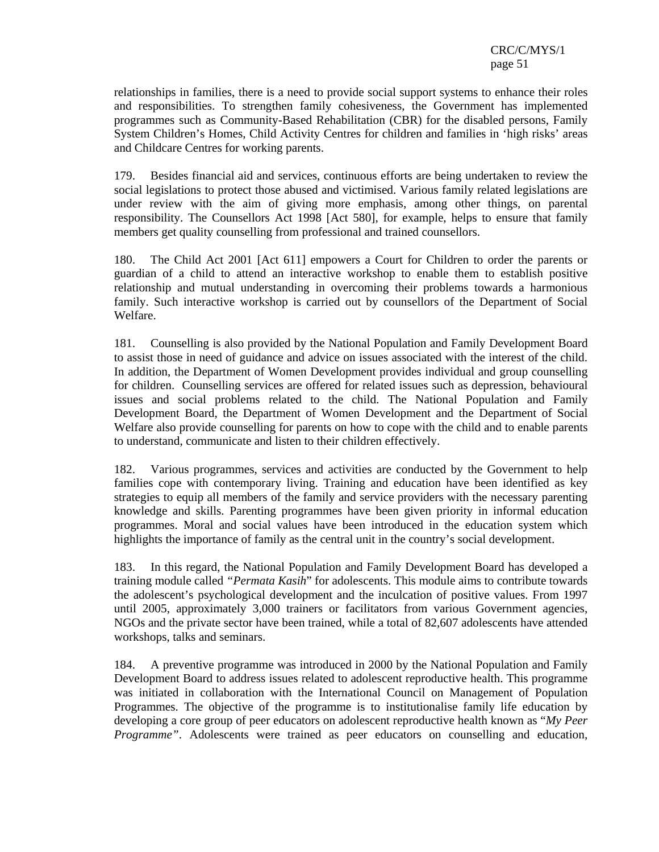relationships in families, there is a need to provide social support systems to enhance their roles and responsibilities. To strengthen family cohesiveness, the Government has implemented programmes such as Community-Based Rehabilitation (CBR) for the disabled persons, Family System Children's Homes, Child Activity Centres for children and families in 'high risks' areas and Childcare Centres for working parents.

179. Besides financial aid and services, continuous efforts are being undertaken to review the social legislations to protect those abused and victimised. Various family related legislations are under review with the aim of giving more emphasis, among other things, on parental responsibility. The Counsellors Act 1998 [Act 580], for example, helps to ensure that family members get quality counselling from professional and trained counsellors.

180. The Child Act 2001 [Act 611] empowers a Court for Children to order the parents or guardian of a child to attend an interactive workshop to enable them to establish positive relationship and mutual understanding in overcoming their problems towards a harmonious family. Such interactive workshop is carried out by counsellors of the Department of Social Welfare.

181. Counselling is also provided by the National Population and Family Development Board to assist those in need of guidance and advice on issues associated with the interest of the child. In addition, the Department of Women Development provides individual and group counselling for children. Counselling services are offered for related issues such as depression, behavioural issues and social problems related to the child. The National Population and Family Development Board, the Department of Women Development and the Department of Social Welfare also provide counselling for parents on how to cope with the child and to enable parents to understand, communicate and listen to their children effectively.

182. Various programmes, services and activities are conducted by the Government to help families cope with contemporary living. Training and education have been identified as key strategies to equip all members of the family and service providers with the necessary parenting knowledge and skills. Parenting programmes have been given priority in informal education programmes. Moral and social values have been introduced in the education system which highlights the importance of family as the central unit in the country's social development.

183. In this regard, the National Population and Family Development Board has developed a training module called *"Permata Kasih*" for adolescents. This module aims to contribute towards the adolescent's psychological development and the inculcation of positive values. From 1997 until 2005, approximately 3,000 trainers or facilitators from various Government agencies, NGOs and the private sector have been trained, while a total of 82,607 adolescents have attended workshops, talks and seminars.

184. A preventive programme was introduced in 2000 by the National Population and Family Development Board to address issues related to adolescent reproductive health. This programme was initiated in collaboration with the International Council on Management of Population Programmes. The objective of the programme is to institutionalise family life education by developing a core group of peer educators on adolescent reproductive health known as "*My Peer Programme"*. Adolescents were trained as peer educators on counselling and education,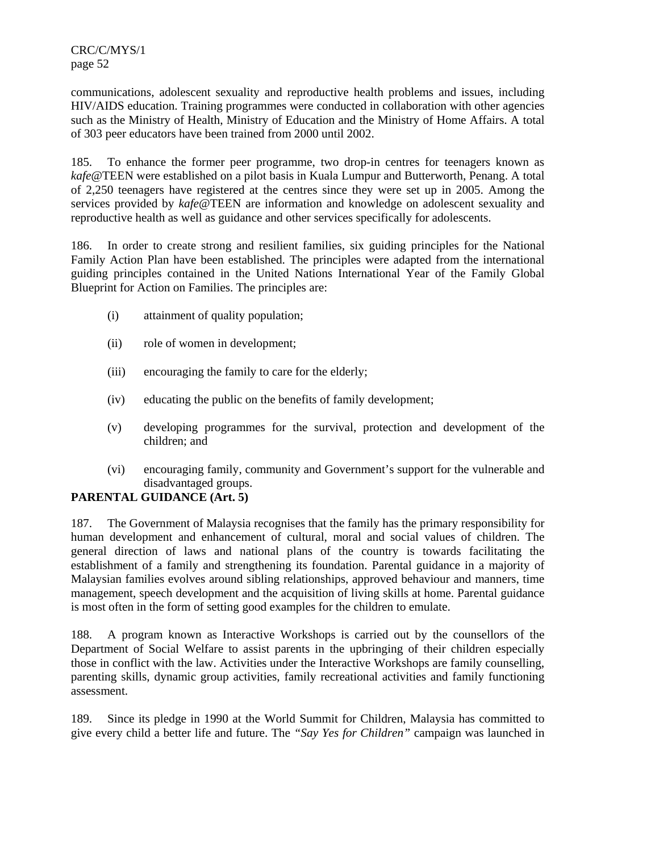communications, adolescent sexuality and reproductive health problems and issues, including HIV/AIDS education. Training programmes were conducted in collaboration with other agencies such as the Ministry of Health, Ministry of Education and the Ministry of Home Affairs. A total of 303 peer educators have been trained from 2000 until 2002.

185. To enhance the former peer programme, two drop-in centres for teenagers known as *kafe@*TEEN were established on a pilot basis in Kuala Lumpur and Butterworth, Penang. A total of 2,250 teenagers have registered at the centres since they were set up in 2005. Among the services provided by *kafe*@TEEN are information and knowledge on adolescent sexuality and reproductive health as well as guidance and other services specifically for adolescents.

186. In order to create strong and resilient families, six guiding principles for the National Family Action Plan have been established. The principles were adapted from the international guiding principles contained in the United Nations International Year of the Family Global Blueprint for Action on Families. The principles are:

- (i) attainment of quality population;
- (ii) role of women in development;
- (iii) encouraging the family to care for the elderly;
- (iv) educating the public on the benefits of family development;
- (v) developing programmes for the survival, protection and development of the children; and
- (vi) encouraging family, community and Government's support for the vulnerable and disadvantaged groups.

# **PARENTAL GUIDANCE (Art. 5)**

187. The Government of Malaysia recognises that the family has the primary responsibility for human development and enhancement of cultural, moral and social values of children. The general direction of laws and national plans of the country is towards facilitating the establishment of a family and strengthening its foundation. Parental guidance in a majority of Malaysian families evolves around sibling relationships, approved behaviour and manners, time management, speech development and the acquisition of living skills at home. Parental guidance is most often in the form of setting good examples for the children to emulate.

188. A program known as Interactive Workshops is carried out by the counsellors of the Department of Social Welfare to assist parents in the upbringing of their children especially those in conflict with the law. Activities under the Interactive Workshops are family counselling, parenting skills, dynamic group activities, family recreational activities and family functioning assessment.

189. Since its pledge in 1990 at the World Summit for Children, Malaysia has committed to give every child a better life and future. The *"Say Yes for Children"* campaign was launched in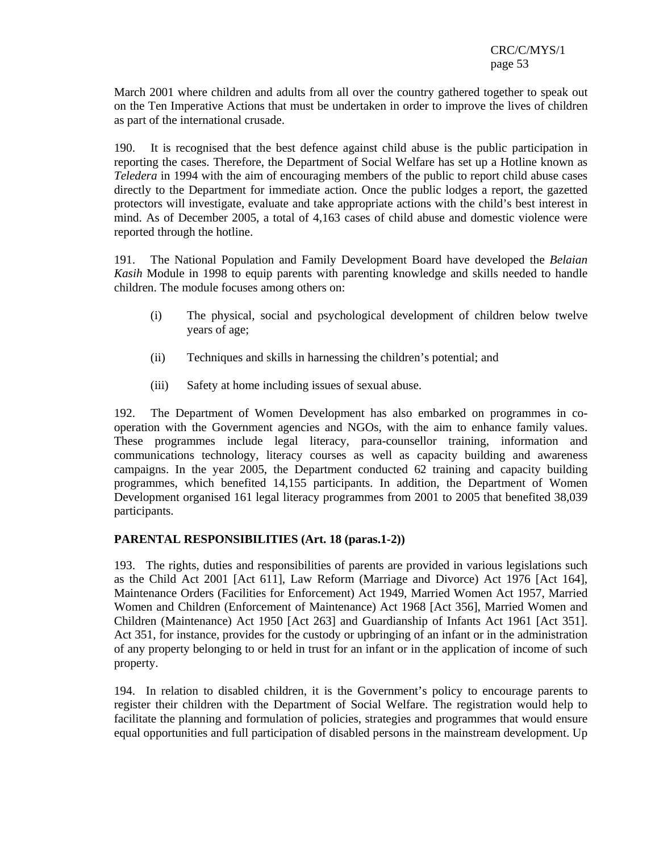March 2001 where children and adults from all over the country gathered together to speak out on the Ten Imperative Actions that must be undertaken in order to improve the lives of children as part of the international crusade.

190. It is recognised that the best defence against child abuse is the public participation in reporting the cases. Therefore, the Department of Social Welfare has set up a Hotline known as *Teledera* in 1994 with the aim of encouraging members of the public to report child abuse cases directly to the Department for immediate action. Once the public lodges a report, the gazetted protectors will investigate, evaluate and take appropriate actions with the child's best interest in mind. As of December 2005, a total of 4,163 cases of child abuse and domestic violence were reported through the hotline.

191. The National Population and Family Development Board have developed the *Belaian Kasih* Module in 1998 to equip parents with parenting knowledge and skills needed to handle children. The module focuses among others on:

- (i) The physical, social and psychological development of children below twelve years of age;
- (ii) Techniques and skills in harnessing the children's potential; and
- (iii) Safety at home including issues of sexual abuse.

192. The Department of Women Development has also embarked on programmes in cooperation with the Government agencies and NGOs, with the aim to enhance family values. These programmes include legal literacy, para-counsellor training, information and communications technology, literacy courses as well as capacity building and awareness campaigns. In the year 2005, the Department conducted 62 training and capacity building programmes, which benefited 14,155 participants. In addition, the Department of Women Development organised 161 legal literacy programmes from 2001 to 2005 that benefited 38,039 participants.

# **PARENTAL RESPONSIBILITIES (Art. 18 (paras.1-2))**

193. The rights, duties and responsibilities of parents are provided in various legislations such as the Child Act 2001 [Act 611], Law Reform (Marriage and Divorce) Act 1976 [Act 164], Maintenance Orders (Facilities for Enforcement) Act 1949, Married Women Act 1957, Married Women and Children (Enforcement of Maintenance) Act 1968 [Act 356], Married Women and Children (Maintenance) Act 1950 [Act 263] and Guardianship of Infants Act 1961 [Act 351]. Act 351, for instance, provides for the custody or upbringing of an infant or in the administration of any property belonging to or held in trust for an infant or in the application of income of such property.

194. In relation to disabled children, it is the Government's policy to encourage parents to register their children with the Department of Social Welfare. The registration would help to facilitate the planning and formulation of policies, strategies and programmes that would ensure equal opportunities and full participation of disabled persons in the mainstream development. Up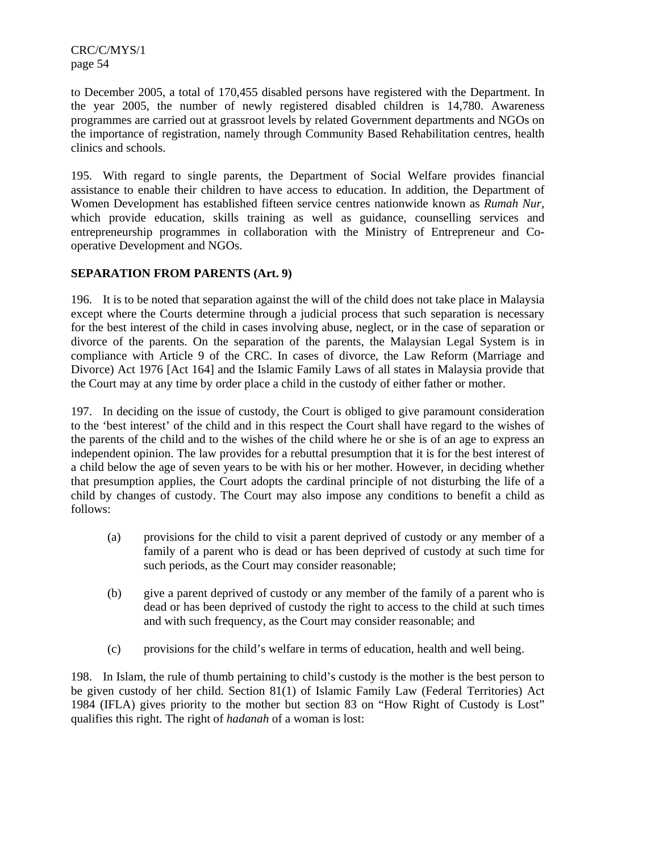to December 2005, a total of 170,455 disabled persons have registered with the Department. In the year 2005, the number of newly registered disabled children is 14,780. Awareness programmes are carried out at grassroot levels by related Government departments and NGOs on the importance of registration, namely through Community Based Rehabilitation centres, health clinics and schools.

195. With regard to single parents, the Department of Social Welfare provides financial assistance to enable their children to have access to education. In addition, the Department of Women Development has established fifteen service centres nationwide known as *Rumah Nur*, which provide education, skills training as well as guidance, counselling services and entrepreneurship programmes in collaboration with the Ministry of Entrepreneur and Cooperative Development and NGOs.

### **SEPARATION FROM PARENTS (Art. 9)**

196. It is to be noted that separation against the will of the child does not take place in Malaysia except where the Courts determine through a judicial process that such separation is necessary for the best interest of the child in cases involving abuse, neglect, or in the case of separation or divorce of the parents. On the separation of the parents, the Malaysian Legal System is in compliance with Article 9 of the CRC. In cases of divorce, the Law Reform (Marriage and Divorce) Act 1976 [Act 164] and the Islamic Family Laws of all states in Malaysia provide that the Court may at any time by order place a child in the custody of either father or mother.

197. In deciding on the issue of custody, the Court is obliged to give paramount consideration to the 'best interest' of the child and in this respect the Court shall have regard to the wishes of the parents of the child and to the wishes of the child where he or she is of an age to express an independent opinion. The law provides for a rebuttal presumption that it is for the best interest of a child below the age of seven years to be with his or her mother. However, in deciding whether that presumption applies, the Court adopts the cardinal principle of not disturbing the life of a child by changes of custody. The Court may also impose any conditions to benefit a child as follows:

- (a) provisions for the child to visit a parent deprived of custody or any member of a family of a parent who is dead or has been deprived of custody at such time for such periods, as the Court may consider reasonable;
- (b) give a parent deprived of custody or any member of the family of a parent who is dead or has been deprived of custody the right to access to the child at such times and with such frequency, as the Court may consider reasonable; and
- (c) provisions for the child's welfare in terms of education, health and well being.

198. In Islam, the rule of thumb pertaining to child's custody is the mother is the best person to be given custody of her child. Section 81(1) of Islamic Family Law (Federal Territories) Act 1984 (IFLA) gives priority to the mother but section 83 on "How Right of Custody is Lost" qualifies this right. The right of *hadanah* of a woman is lost: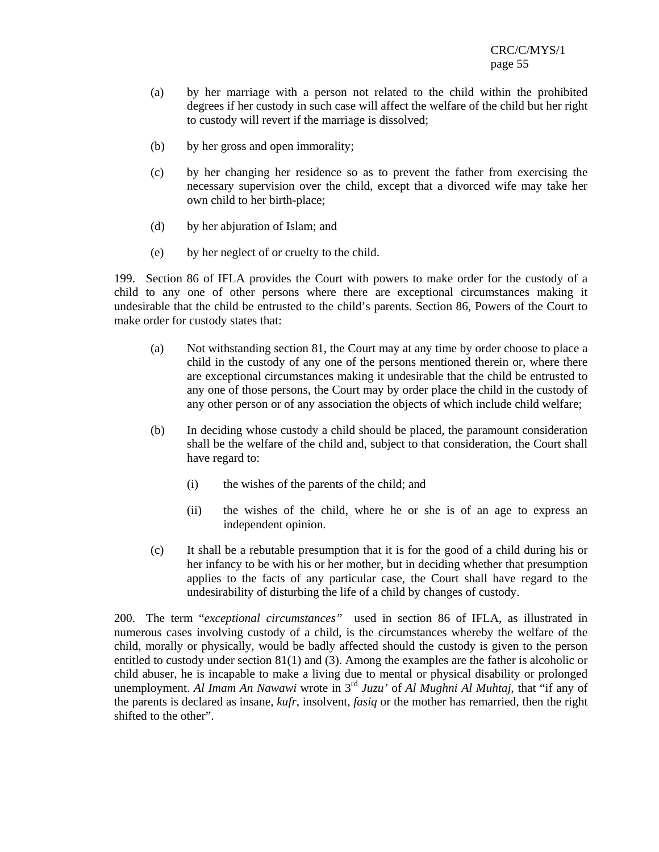- (a) by her marriage with a person not related to the child within the prohibited degrees if her custody in such case will affect the welfare of the child but her right to custody will revert if the marriage is dissolved;
- (b) by her gross and open immorality;
- (c) by her changing her residence so as to prevent the father from exercising the necessary supervision over the child, except that a divorced wife may take her own child to her birth-place;
- (d) by her abjuration of Islam; and
- (e) by her neglect of or cruelty to the child.

199. Section 86 of IFLA provides the Court with powers to make order for the custody of a child to any one of other persons where there are exceptional circumstances making it undesirable that the child be entrusted to the child's parents. Section 86, Powers of the Court to make order for custody states that:

- (a) Not withstanding section 81, the Court may at any time by order choose to place a child in the custody of any one of the persons mentioned therein or, where there are exceptional circumstances making it undesirable that the child be entrusted to any one of those persons, the Court may by order place the child in the custody of any other person or of any association the objects of which include child welfare;
- (b) In deciding whose custody a child should be placed, the paramount consideration shall be the welfare of the child and, subject to that consideration, the Court shall have regard to:
	- (i) the wishes of the parents of the child; and
	- (ii) the wishes of the child, where he or she is of an age to express an independent opinion.
- (c) It shall be a rebutable presumption that it is for the good of a child during his or her infancy to be with his or her mother, but in deciding whether that presumption applies to the facts of any particular case, the Court shall have regard to the undesirability of disturbing the life of a child by changes of custody.

200. The term "*exceptional circumstances"* used in section 86 of IFLA, as illustrated in numerous cases involving custody of a child, is the circumstances whereby the welfare of the child, morally or physically, would be badly affected should the custody is given to the person entitled to custody under section 81(1) and (3). Among the examples are the father is alcoholic or child abuser, he is incapable to make a living due to mental or physical disability or prolonged unemployment. *Al Imam An Nawawi* wrote in 3rd *Juzu'* of *Al Mughni Al Muhtaj*, that "if any of the parents is declared as insane, *kufr*, insolvent, *fasiq* or the mother has remarried, then the right shifted to the other".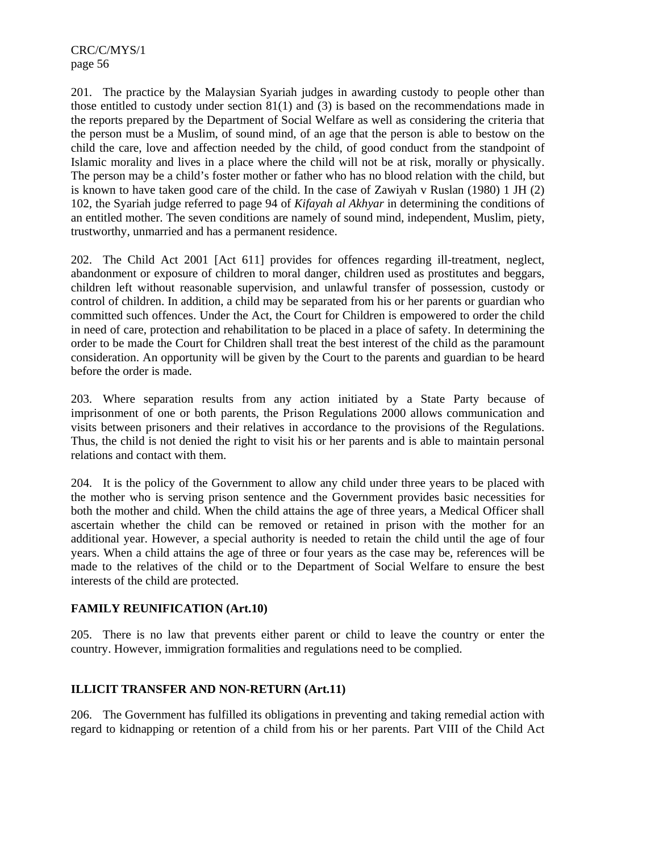201. The practice by the Malaysian Syariah judges in awarding custody to people other than those entitled to custody under section 81(1) and (3) is based on the recommendations made in the reports prepared by the Department of Social Welfare as well as considering the criteria that the person must be a Muslim, of sound mind, of an age that the person is able to bestow on the child the care, love and affection needed by the child, of good conduct from the standpoint of Islamic morality and lives in a place where the child will not be at risk, morally or physically. The person may be a child's foster mother or father who has no blood relation with the child, but is known to have taken good care of the child. In the case of Zawiyah v Ruslan (1980) 1 JH (2) 102, the Syariah judge referred to page 94 of *Kifayah al Akhyar* in determining the conditions of an entitled mother. The seven conditions are namely of sound mind, independent, Muslim, piety, trustworthy, unmarried and has a permanent residence.

202. The Child Act 2001 [Act 611] provides for offences regarding ill-treatment, neglect, abandonment or exposure of children to moral danger, children used as prostitutes and beggars, children left without reasonable supervision, and unlawful transfer of possession, custody or control of children. In addition, a child may be separated from his or her parents or guardian who committed such offences. Under the Act, the Court for Children is empowered to order the child in need of care, protection and rehabilitation to be placed in a place of safety. In determining the order to be made the Court for Children shall treat the best interest of the child as the paramount consideration. An opportunity will be given by the Court to the parents and guardian to be heard before the order is made.

203. Where separation results from any action initiated by a State Party because of imprisonment of one or both parents, the Prison Regulations 2000 allows communication and visits between prisoners and their relatives in accordance to the provisions of the Regulations. Thus, the child is not denied the right to visit his or her parents and is able to maintain personal relations and contact with them.

204. It is the policy of the Government to allow any child under three years to be placed with the mother who is serving prison sentence and the Government provides basic necessities for both the mother and child. When the child attains the age of three years, a Medical Officer shall ascertain whether the child can be removed or retained in prison with the mother for an additional year. However, a special authority is needed to retain the child until the age of four years. When a child attains the age of three or four years as the case may be, references will be made to the relatives of the child or to the Department of Social Welfare to ensure the best interests of the child are protected.

# **FAMILY REUNIFICATION (Art.10)**

205. There is no law that prevents either parent or child to leave the country or enter the country. However, immigration formalities and regulations need to be complied.

# **ILLICIT TRANSFER AND NON-RETURN (Art.11)**

206. The Government has fulfilled its obligations in preventing and taking remedial action with regard to kidnapping or retention of a child from his or her parents. Part VIII of the Child Act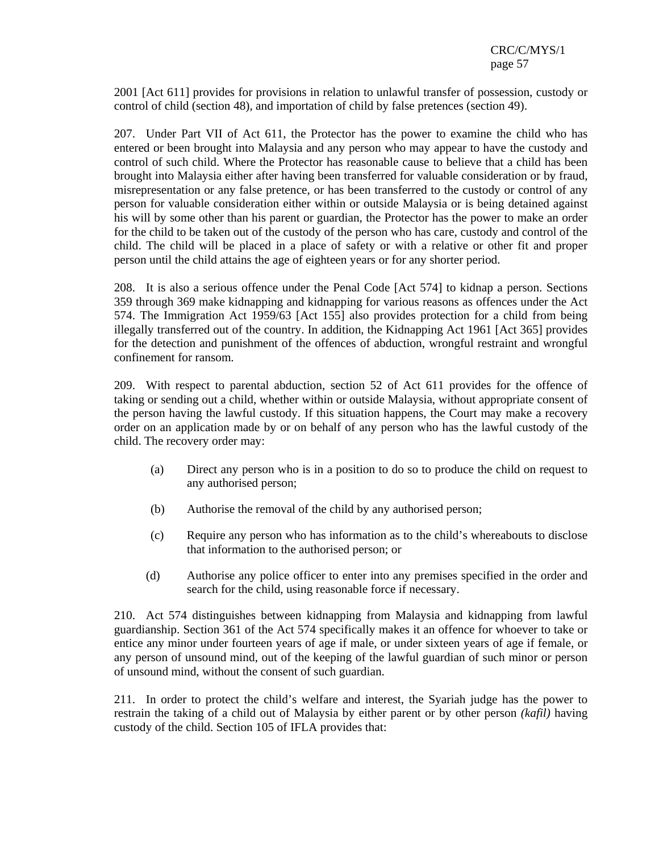2001 [Act 611] provides for provisions in relation to unlawful transfer of possession, custody or control of child (section 48), and importation of child by false pretences (section 49).

207. Under Part VII of Act 611, the Protector has the power to examine the child who has entered or been brought into Malaysia and any person who may appear to have the custody and control of such child. Where the Protector has reasonable cause to believe that a child has been brought into Malaysia either after having been transferred for valuable consideration or by fraud, misrepresentation or any false pretence, or has been transferred to the custody or control of any person for valuable consideration either within or outside Malaysia or is being detained against his will by some other than his parent or guardian, the Protector has the power to make an order for the child to be taken out of the custody of the person who has care, custody and control of the child. The child will be placed in a place of safety or with a relative or other fit and proper person until the child attains the age of eighteen years or for any shorter period.

208. It is also a serious offence under the Penal Code [Act 574] to kidnap a person. Sections 359 through 369 make kidnapping and kidnapping for various reasons as offences under the Act 574. The Immigration Act 1959/63 [Act 155] also provides protection for a child from being illegally transferred out of the country. In addition, the Kidnapping Act 1961 [Act 365] provides for the detection and punishment of the offences of abduction, wrongful restraint and wrongful confinement for ransom.

209. With respect to parental abduction, section 52 of Act 611 provides for the offence of taking or sending out a child, whether within or outside Malaysia, without appropriate consent of the person having the lawful custody. If this situation happens, the Court may make a recovery order on an application made by or on behalf of any person who has the lawful custody of the child. The recovery order may:

- (a) Direct any person who is in a position to do so to produce the child on request to any authorised person;
- (b) Authorise the removal of the child by any authorised person;
- (c) Require any person who has information as to the child's whereabouts to disclose that information to the authorised person; or
- (d) Authorise any police officer to enter into any premises specified in the order and search for the child, using reasonable force if necessary.

210. Act 574 distinguishes between kidnapping from Malaysia and kidnapping from lawful guardianship. Section 361 of the Act 574 specifically makes it an offence for whoever to take or entice any minor under fourteen years of age if male, or under sixteen years of age if female, or any person of unsound mind, out of the keeping of the lawful guardian of such minor or person of unsound mind, without the consent of such guardian.

211. In order to protect the child's welfare and interest, the Syariah judge has the power to restrain the taking of a child out of Malaysia by either parent or by other person *(kafil)* having custody of the child. Section 105 of IFLA provides that: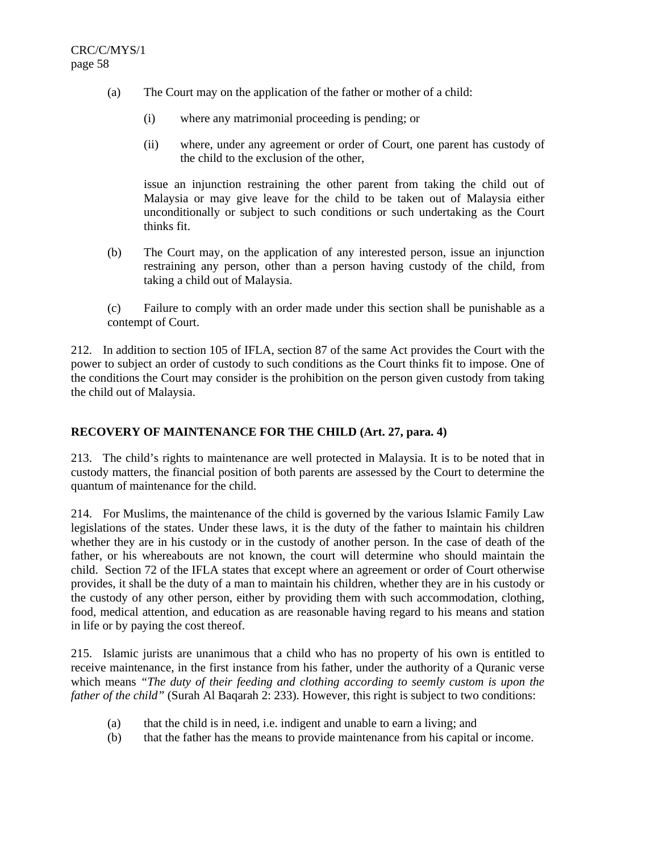- (a) The Court may on the application of the father or mother of a child:
	- (i) where any matrimonial proceeding is pending; or
	- (ii) where, under any agreement or order of Court, one parent has custody of the child to the exclusion of the other,

issue an injunction restraining the other parent from taking the child out of Malaysia or may give leave for the child to be taken out of Malaysia either unconditionally or subject to such conditions or such undertaking as the Court thinks fit.

(b) The Court may, on the application of any interested person, issue an injunction restraining any person, other than a person having custody of the child, from taking a child out of Malaysia.

(c) Failure to comply with an order made under this section shall be punishable as a contempt of Court.

212. In addition to section 105 of IFLA, section 87 of the same Act provides the Court with the power to subject an order of custody to such conditions as the Court thinks fit to impose. One of the conditions the Court may consider is the prohibition on the person given custody from taking the child out of Malaysia.

# **RECOVERY OF MAINTENANCE FOR THE CHILD (Art. 27, para. 4)**

213. The child's rights to maintenance are well protected in Malaysia. It is to be noted that in custody matters, the financial position of both parents are assessed by the Court to determine the quantum of maintenance for the child.

214. For Muslims, the maintenance of the child is governed by the various Islamic Family Law legislations of the states. Under these laws, it is the duty of the father to maintain his children whether they are in his custody or in the custody of another person. In the case of death of the father, or his whereabouts are not known, the court will determine who should maintain the child. Section 72 of the IFLA states that except where an agreement or order of Court otherwise provides, it shall be the duty of a man to maintain his children, whether they are in his custody or the custody of any other person, either by providing them with such accommodation, clothing, food, medical attention, and education as are reasonable having regard to his means and station in life or by paying the cost thereof.

215. Islamic jurists are unanimous that a child who has no property of his own is entitled to receive maintenance, in the first instance from his father, under the authority of a Quranic verse which means *"The duty of their feeding and clothing according to seemly custom is upon the father of the child"* (Surah Al Baqarah 2: 233). However, this right is subject to two conditions:

- (a) that the child is in need, i.e. indigent and unable to earn a living; and
- (b) that the father has the means to provide maintenance from his capital or income.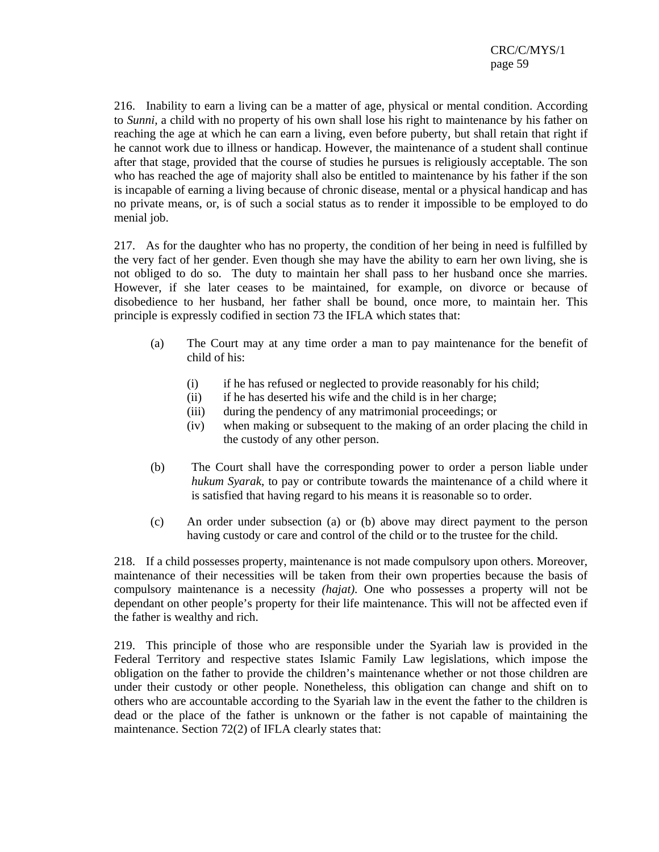216. Inability to earn a living can be a matter of age, physical or mental condition. According to *Sunni,* a child with no property of his own shall lose his right to maintenance by his father on reaching the age at which he can earn a living, even before puberty, but shall retain that right if he cannot work due to illness or handicap. However, the maintenance of a student shall continue after that stage, provided that the course of studies he pursues is religiously acceptable. The son who has reached the age of majority shall also be entitled to maintenance by his father if the son is incapable of earning a living because of chronic disease, mental or a physical handicap and has no private means, or, is of such a social status as to render it impossible to be employed to do menial job.

217. As for the daughter who has no property, the condition of her being in need is fulfilled by the very fact of her gender. Even though she may have the ability to earn her own living, she is not obliged to do so. The duty to maintain her shall pass to her husband once she marries. However, if she later ceases to be maintained, for example, on divorce or because of disobedience to her husband, her father shall be bound, once more, to maintain her. This principle is expressly codified in section 73 the IFLA which states that:

- (a) The Court may at any time order a man to pay maintenance for the benefit of child of his:
	- (i) if he has refused or neglected to provide reasonably for his child;
	- (ii) if he has deserted his wife and the child is in her charge;
	- (iii) during the pendency of any matrimonial proceedings; or
	- (iv) when making or subsequent to the making of an order placing the child in the custody of any other person.
- (b) The Court shall have the corresponding power to order a person liable under *hukum Syarak*, to pay or contribute towards the maintenance of a child where it is satisfied that having regard to his means it is reasonable so to order.
- (c) An order under subsection (a) or (b) above may direct payment to the person having custody or care and control of the child or to the trustee for the child.

218. If a child possesses property, maintenance is not made compulsory upon others. Moreover, maintenance of their necessities will be taken from their own properties because the basis of compulsory maintenance is a necessity *(hajat).* One who possesses a property will not be dependant on other people's property for their life maintenance. This will not be affected even if the father is wealthy and rich.

219. This principle of those who are responsible under the Syariah law is provided in the Federal Territory and respective states Islamic Family Law legislations, which impose the obligation on the father to provide the children's maintenance whether or not those children are under their custody or other people. Nonetheless, this obligation can change and shift on to others who are accountable according to the Syariah law in the event the father to the children is dead or the place of the father is unknown or the father is not capable of maintaining the maintenance. Section 72(2) of IFLA clearly states that: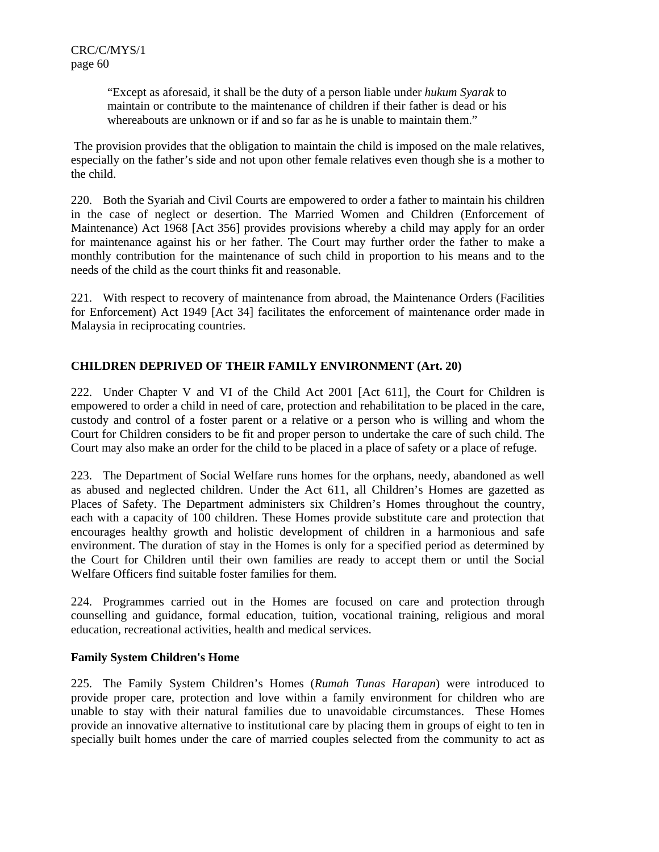"Except as aforesaid, it shall be the duty of a person liable under *hukum Syarak* to maintain or contribute to the maintenance of children if their father is dead or his whereabouts are unknown or if and so far as he is unable to maintain them."

 The provision provides that the obligation to maintain the child is imposed on the male relatives, especially on the father's side and not upon other female relatives even though she is a mother to the child.

220. Both the Syariah and Civil Courts are empowered to order a father to maintain his children in the case of neglect or desertion. The Married Women and Children (Enforcement of Maintenance) Act 1968 [Act 356] provides provisions whereby a child may apply for an order for maintenance against his or her father. The Court may further order the father to make a monthly contribution for the maintenance of such child in proportion to his means and to the needs of the child as the court thinks fit and reasonable.

221. With respect to recovery of maintenance from abroad, the Maintenance Orders (Facilities for Enforcement) Act 1949 [Act 34] facilitates the enforcement of maintenance order made in Malaysia in reciprocating countries.

# **CHILDREN DEPRIVED OF THEIR FAMILY ENVIRONMENT (Art. 20)**

222. Under Chapter V and VI of the Child Act 2001 [Act 611], the Court for Children is empowered to order a child in need of care, protection and rehabilitation to be placed in the care, custody and control of a foster parent or a relative or a person who is willing and whom the Court for Children considers to be fit and proper person to undertake the care of such child. The Court may also make an order for the child to be placed in a place of safety or a place of refuge.

223. The Department of Social Welfare runs homes for the orphans, needy, abandoned as well as abused and neglected children. Under the Act 611, all Children's Homes are gazetted as Places of Safety. The Department administers six Children's Homes throughout the country, each with a capacity of 100 children. These Homes provide substitute care and protection that encourages healthy growth and holistic development of children in a harmonious and safe environment. The duration of stay in the Homes is only for a specified period as determined by the Court for Children until their own families are ready to accept them or until the Social Welfare Officers find suitable foster families for them.

224. Programmes carried out in the Homes are focused on care and protection through counselling and guidance, formal education, tuition, vocational training, religious and moral education, recreational activities, health and medical services.

#### **Family System Children's Home**

225. The Family System Children's Homes (*Rumah Tunas Harapan*) were introduced to provide proper care, protection and love within a family environment for children who are unable to stay with their natural families due to unavoidable circumstances. These Homes provide an innovative alternative to institutional care by placing them in groups of eight to ten in specially built homes under the care of married couples selected from the community to act as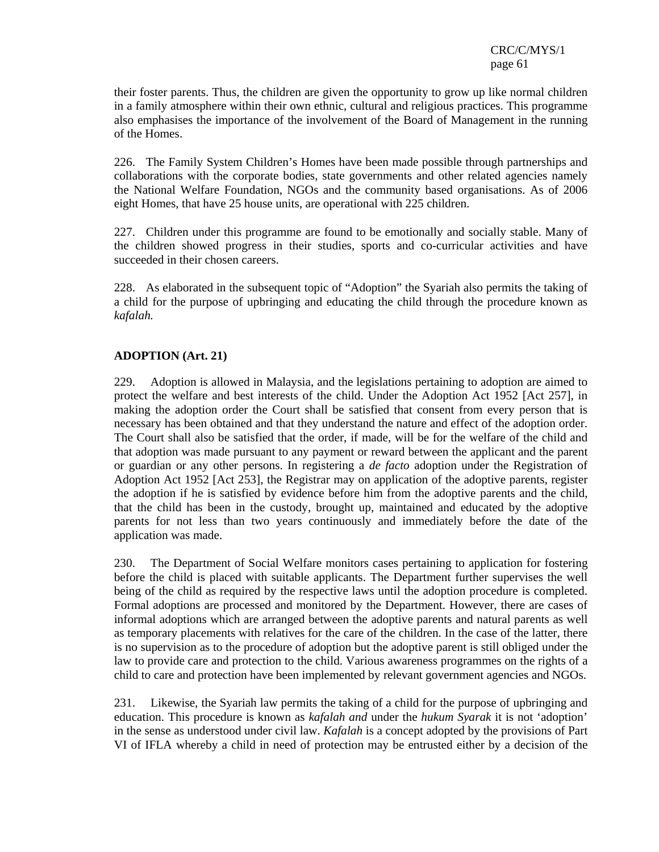their foster parents. Thus, the children are given the opportunity to grow up like normal children in a family atmosphere within their own ethnic, cultural and religious practices. This programme also emphasises the importance of the involvement of the Board of Management in the running of the Homes.

226. The Family System Children's Homes have been made possible through partnerships and collaborations with the corporate bodies, state governments and other related agencies namely the National Welfare Foundation, NGOs and the community based organisations. As of 2006 eight Homes, that have 25 house units, are operational with 225 children.

227. Children under this programme are found to be emotionally and socially stable. Many of the children showed progress in their studies, sports and co-curricular activities and have succeeded in their chosen careers.

228. As elaborated in the subsequent topic of "Adoption" the Syariah also permits the taking of a child for the purpose of upbringing and educating the child through the procedure known as *kafalah.*

# **ADOPTION (Art. 21)**

229. Adoption is allowed in Malaysia, and the legislations pertaining to adoption are aimed to protect the welfare and best interests of the child. Under the Adoption Act 1952 [Act 257], in making the adoption order the Court shall be satisfied that consent from every person that is necessary has been obtained and that they understand the nature and effect of the adoption order. The Court shall also be satisfied that the order, if made, will be for the welfare of the child and that adoption was made pursuant to any payment or reward between the applicant and the parent or guardian or any other persons. In registering a *de facto* adoption under the Registration of Adoption Act 1952 [Act 253], the Registrar may on application of the adoptive parents, register the adoption if he is satisfied by evidence before him from the adoptive parents and the child, that the child has been in the custody, brought up, maintained and educated by the adoptive parents for not less than two years continuously and immediately before the date of the application was made.

230. The Department of Social Welfare monitors cases pertaining to application for fostering before the child is placed with suitable applicants. The Department further supervises the well being of the child as required by the respective laws until the adoption procedure is completed. Formal adoptions are processed and monitored by the Department. However, there are cases of informal adoptions which are arranged between the adoptive parents and natural parents as well as temporary placements with relatives for the care of the children. In the case of the latter, there is no supervision as to the procedure of adoption but the adoptive parent is still obliged under the law to provide care and protection to the child. Various awareness programmes on the rights of a child to care and protection have been implemented by relevant government agencies and NGOs.

231. Likewise, the Syariah law permits the taking of a child for the purpose of upbringing and education. This procedure is known as *kafalah and* under the *hukum Syarak* it is not 'adoption' in the sense as understood under civil law. *Kafalah* is a concept adopted by the provisions of Part VI of IFLA whereby a child in need of protection may be entrusted either by a decision of the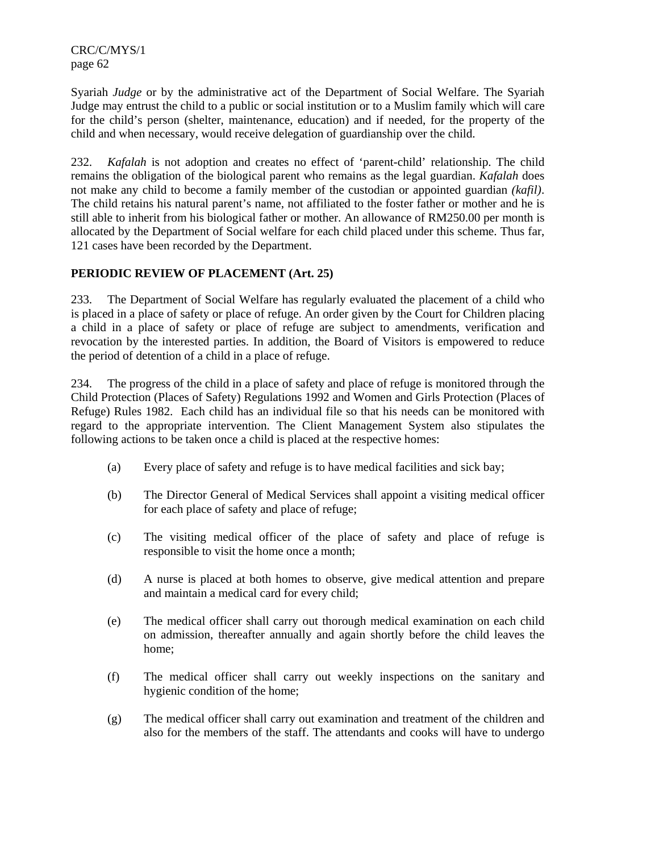Syariah *Judge* or by the administrative act of the Department of Social Welfare. The Syariah Judge may entrust the child to a public or social institution or to a Muslim family which will care for the child's person (shelter, maintenance, education) and if needed, for the property of the child and when necessary, would receive delegation of guardianship over the child.

232. *Kafalah* is not adoption and creates no effect of 'parent-child' relationship. The child remains the obligation of the biological parent who remains as the legal guardian. *Kafalah* does not make any child to become a family member of the custodian or appointed guardian *(kafil)*. The child retains his natural parent's name, not affiliated to the foster father or mother and he is still able to inherit from his biological father or mother. An allowance of RM250.00 per month is allocated by the Department of Social welfare for each child placed under this scheme. Thus far, 121 cases have been recorded by the Department.

# **PERIODIC REVIEW OF PLACEMENT (Art. 25)**

233. The Department of Social Welfare has regularly evaluated the placement of a child who is placed in a place of safety or place of refuge. An order given by the Court for Children placing a child in a place of safety or place of refuge are subject to amendments, verification and revocation by the interested parties. In addition, the Board of Visitors is empowered to reduce the period of detention of a child in a place of refuge.

234. The progress of the child in a place of safety and place of refuge is monitored through the Child Protection (Places of Safety) Regulations 1992 and Women and Girls Protection (Places of Refuge) Rules 1982. Each child has an individual file so that his needs can be monitored with regard to the appropriate intervention. The Client Management System also stipulates the following actions to be taken once a child is placed at the respective homes:

- (a) Every place of safety and refuge is to have medical facilities and sick bay;
- (b) The Director General of Medical Services shall appoint a visiting medical officer for each place of safety and place of refuge;
- (c) The visiting medical officer of the place of safety and place of refuge is responsible to visit the home once a month;
- (d) A nurse is placed at both homes to observe, give medical attention and prepare and maintain a medical card for every child;
- (e) The medical officer shall carry out thorough medical examination on each child on admission, thereafter annually and again shortly before the child leaves the home;
- (f) The medical officer shall carry out weekly inspections on the sanitary and hygienic condition of the home;
- (g) The medical officer shall carry out examination and treatment of the children and also for the members of the staff. The attendants and cooks will have to undergo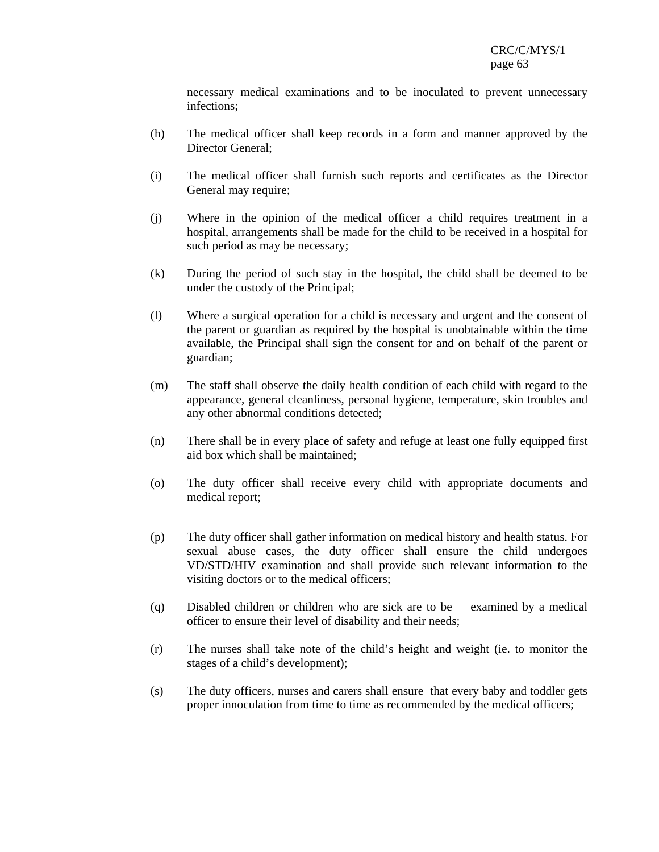necessary medical examinations and to be inoculated to prevent unnecessary infections;

- (h) The medical officer shall keep records in a form and manner approved by the Director General;
- (i) The medical officer shall furnish such reports and certificates as the Director General may require;
- (j) Where in the opinion of the medical officer a child requires treatment in a hospital, arrangements shall be made for the child to be received in a hospital for such period as may be necessary;
- (k) During the period of such stay in the hospital, the child shall be deemed to be under the custody of the Principal;
- (l) Where a surgical operation for a child is necessary and urgent and the consent of the parent or guardian as required by the hospital is unobtainable within the time available, the Principal shall sign the consent for and on behalf of the parent or guardian;
- (m) The staff shall observe the daily health condition of each child with regard to the appearance, general cleanliness, personal hygiene, temperature, skin troubles and any other abnormal conditions detected;
- (n) There shall be in every place of safety and refuge at least one fully equipped first aid box which shall be maintained;
- (o) The duty officer shall receive every child with appropriate documents and medical report;
- (p) The duty officer shall gather information on medical history and health status. For sexual abuse cases, the duty officer shall ensure the child undergoes VD/STD/HIV examination and shall provide such relevant information to the visiting doctors or to the medical officers;
- (q) Disabled children or children who are sick are to be examined by a medical officer to ensure their level of disability and their needs;
- (r) The nurses shall take note of the child's height and weight (ie. to monitor the stages of a child's development);
- (s) The duty officers, nurses and carers shall ensure that every baby and toddler gets proper innoculation from time to time as recommended by the medical officers;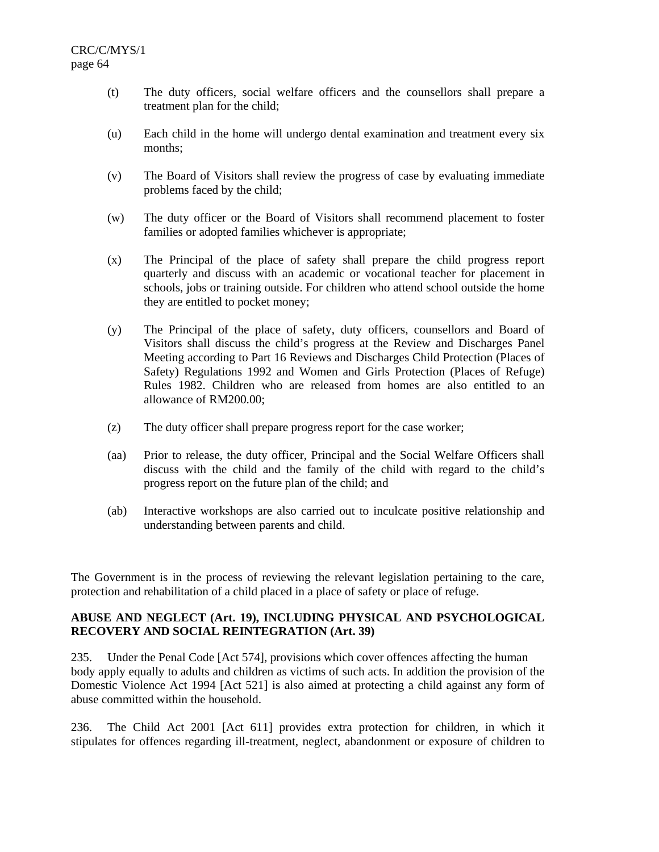- (t) The duty officers, social welfare officers and the counsellors shall prepare a treatment plan for the child;
- (u) Each child in the home will undergo dental examination and treatment every six months;
- (v) The Board of Visitors shall review the progress of case by evaluating immediate problems faced by the child;
- (w) The duty officer or the Board of Visitors shall recommend placement to foster families or adopted families whichever is appropriate;
- (x) The Principal of the place of safety shall prepare the child progress report quarterly and discuss with an academic or vocational teacher for placement in schools, jobs or training outside. For children who attend school outside the home they are entitled to pocket money;
- (y) The Principal of the place of safety, duty officers, counsellors and Board of Visitors shall discuss the child's progress at the Review and Discharges Panel Meeting according to Part 16 Reviews and Discharges Child Protection (Places of Safety) Regulations 1992 and Women and Girls Protection (Places of Refuge) Rules 1982. Children who are released from homes are also entitled to an allowance of RM200.00;
- (z) The duty officer shall prepare progress report for the case worker;
- (aa) Prior to release, the duty officer, Principal and the Social Welfare Officers shall discuss with the child and the family of the child with regard to the child's progress report on the future plan of the child; and
- (ab) Interactive workshops are also carried out to inculcate positive relationship and understanding between parents and child.

The Government is in the process of reviewing the relevant legislation pertaining to the care, protection and rehabilitation of a child placed in a place of safety or place of refuge.

## **ABUSE AND NEGLECT (Art. 19), INCLUDING PHYSICAL AND PSYCHOLOGICAL RECOVERY AND SOCIAL REINTEGRATION (Art. 39)**

235. Under the Penal Code [Act 574], provisions which cover offences affecting the human body apply equally to adults and children as victims of such acts. In addition the provision of the Domestic Violence Act 1994 [Act 521] is also aimed at protecting a child against any form of abuse committed within the household.

236. The Child Act 2001 [Act 611] provides extra protection for children, in which it stipulates for offences regarding ill-treatment, neglect, abandonment or exposure of children to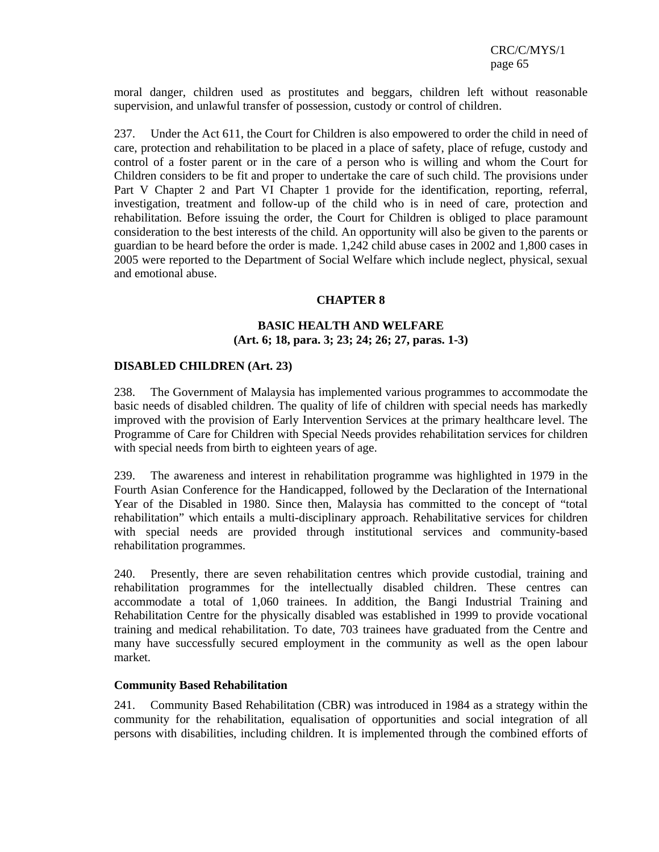moral danger, children used as prostitutes and beggars, children left without reasonable supervision, and unlawful transfer of possession, custody or control of children.

237. Under the Act 611, the Court for Children is also empowered to order the child in need of care, protection and rehabilitation to be placed in a place of safety, place of refuge, custody and control of a foster parent or in the care of a person who is willing and whom the Court for Children considers to be fit and proper to undertake the care of such child. The provisions under Part V Chapter 2 and Part VI Chapter 1 provide for the identification, reporting, referral, investigation, treatment and follow-up of the child who is in need of care, protection and rehabilitation. Before issuing the order, the Court for Children is obliged to place paramount consideration to the best interests of the child. An opportunity will also be given to the parents or guardian to be heard before the order is made. 1,242 child abuse cases in 2002 and 1,800 cases in 2005 were reported to the Department of Social Welfare which include neglect, physical, sexual and emotional abuse.

#### **CHAPTER 8**

#### **BASIC HEALTH AND WELFARE (Art. 6; 18, para. 3; 23; 24; 26; 27, paras. 1-3)**

#### **DISABLED CHILDREN (Art. 23)**

238. The Government of Malaysia has implemented various programmes to accommodate the basic needs of disabled children. The quality of life of children with special needs has markedly improved with the provision of Early Intervention Services at the primary healthcare level. The Programme of Care for Children with Special Needs provides rehabilitation services for children with special needs from birth to eighteen years of age.

239. The awareness and interest in rehabilitation programme was highlighted in 1979 in the Fourth Asian Conference for the Handicapped, followed by the Declaration of the International Year of the Disabled in 1980. Since then, Malaysia has committed to the concept of "total rehabilitation" which entails a multi-disciplinary approach. Rehabilitative services for children with special needs are provided through institutional services and community-based rehabilitation programmes.

240. Presently, there are seven rehabilitation centres which provide custodial, training and rehabilitation programmes for the intellectually disabled children. These centres can accommodate a total of 1,060 trainees. In addition, the Bangi Industrial Training and Rehabilitation Centre for the physically disabled was established in 1999 to provide vocational training and medical rehabilitation. To date, 703 trainees have graduated from the Centre and many have successfully secured employment in the community as well as the open labour market.

#### **Community Based Rehabilitation**

241. Community Based Rehabilitation (CBR) was introduced in 1984 as a strategy within the community for the rehabilitation, equalisation of opportunities and social integration of all persons with disabilities, including children. It is implemented through the combined efforts of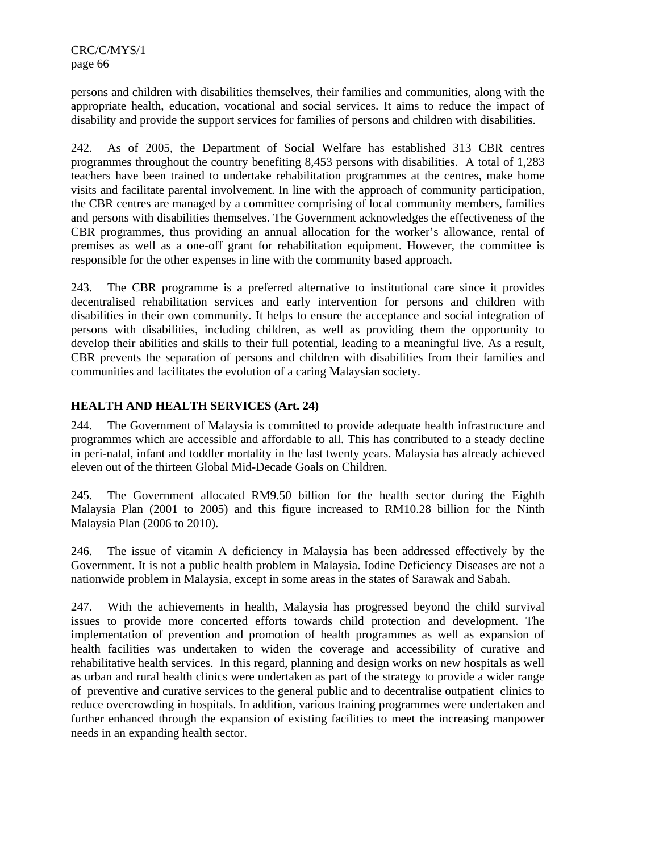persons and children with disabilities themselves, their families and communities, along with the appropriate health, education, vocational and social services. It aims to reduce the impact of disability and provide the support services for families of persons and children with disabilities.

242. As of 2005, the Department of Social Welfare has established 313 CBR centres programmes throughout the country benefiting 8,453 persons with disabilities. A total of 1,283 teachers have been trained to undertake rehabilitation programmes at the centres, make home visits and facilitate parental involvement. In line with the approach of community participation, the CBR centres are managed by a committee comprising of local community members, families and persons with disabilities themselves. The Government acknowledges the effectiveness of the CBR programmes, thus providing an annual allocation for the worker's allowance, rental of premises as well as a one-off grant for rehabilitation equipment. However, the committee is responsible for the other expenses in line with the community based approach.

243. The CBR programme is a preferred alternative to institutional care since it provides decentralised rehabilitation services and early intervention for persons and children with disabilities in their own community. It helps to ensure the acceptance and social integration of persons with disabilities, including children, as well as providing them the opportunity to develop their abilities and skills to their full potential, leading to a meaningful live. As a result, CBR prevents the separation of persons and children with disabilities from their families and communities and facilitates the evolution of a caring Malaysian society.

# **HEALTH AND HEALTH SERVICES (Art. 24)**

244. The Government of Malaysia is committed to provide adequate health infrastructure and programmes which are accessible and affordable to all. This has contributed to a steady decline in peri-natal, infant and toddler mortality in the last twenty years. Malaysia has already achieved eleven out of the thirteen Global Mid-Decade Goals on Children.

245. The Government allocated RM9.50 billion for the health sector during the Eighth Malaysia Plan (2001 to 2005) and this figure increased to RM10.28 billion for the Ninth Malaysia Plan (2006 to 2010).

246. The issue of vitamin A deficiency in Malaysia has been addressed effectively by the Government. It is not a public health problem in Malaysia. Iodine Deficiency Diseases are not a nationwide problem in Malaysia, except in some areas in the states of Sarawak and Sabah.

247. With the achievements in health, Malaysia has progressed beyond the child survival issues to provide more concerted efforts towards child protection and development. The implementation of prevention and promotion of health programmes as well as expansion of health facilities was undertaken to widen the coverage and accessibility of curative and rehabilitative health services. In this regard, planning and design works on new hospitals as well as urban and rural health clinics were undertaken as part of the strategy to provide a wider range of preventive and curative services to the general public and to decentralise outpatient clinics to reduce overcrowding in hospitals. In addition, various training programmes were undertaken and further enhanced through the expansion of existing facilities to meet the increasing manpower needs in an expanding health sector.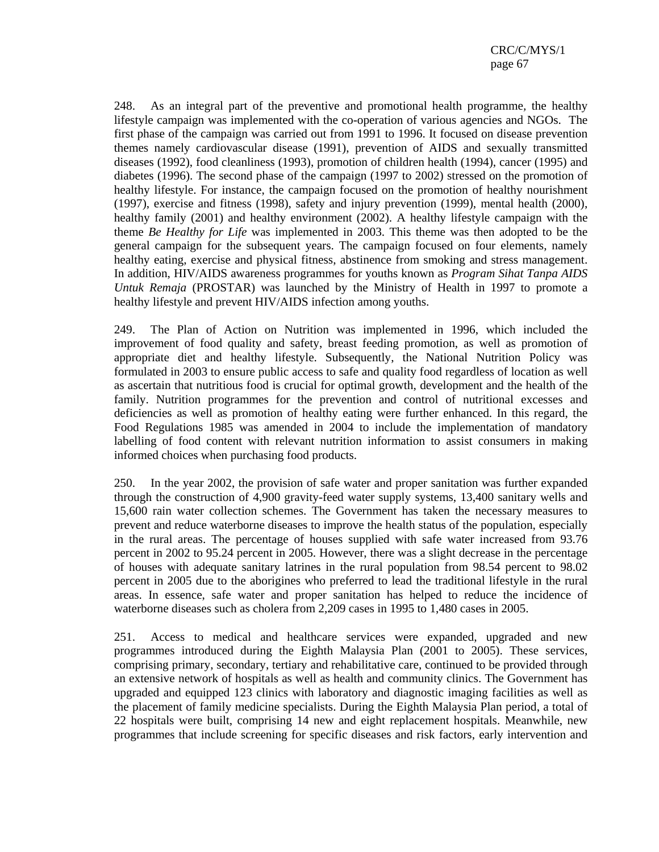248. As an integral part of the preventive and promotional health programme*,* the healthy lifestyle campaign was implemented with the co-operation of various agencies and NGOs. The first phase of the campaign was carried out from 1991 to 1996. It focused on disease prevention themes namely cardiovascular disease (1991), prevention of AIDS and sexually transmitted diseases (1992), food cleanliness (1993), promotion of children health (1994), cancer (1995) and diabetes (1996). The second phase of the campaign (1997 to 2002) stressed on the promotion of healthy lifestyle. For instance, the campaign focused on the promotion of healthy nourishment (1997), exercise and fitness (1998), safety and injury prevention (1999), mental health (2000), healthy family (2001) and healthy environment (2002). A healthy lifestyle campaign with the theme *Be Healthy for Life* was implemented in 2003. This theme was then adopted to be the general campaign for the subsequent years. The campaign focused on four elements, namely healthy eating, exercise and physical fitness, abstinence from smoking and stress management. In addition, HIV/AIDS awareness programmes for youths known as *Program Sihat Tanpa AIDS Untuk Remaja* (PROSTAR) was launched by the Ministry of Health in 1997 to promote a healthy lifestyle and prevent HIV/AIDS infection among youths.

249. The Plan of Action on Nutrition was implemented in 1996, which included the improvement of food quality and safety, breast feeding promotion, as well as promotion of appropriate diet and healthy lifestyle. Subsequently, the National Nutrition Policy was formulated in 2003 to ensure public access to safe and quality food regardless of location as well as ascertain that nutritious food is crucial for optimal growth, development and the health of the family. Nutrition programmes for the prevention and control of nutritional excesses and deficiencies as well as promotion of healthy eating were further enhanced. In this regard, the Food Regulations 1985 was amended in 2004 to include the implementation of mandatory labelling of food content with relevant nutrition information to assist consumers in making informed choices when purchasing food products.

250. In the year 2002, the provision of safe water and proper sanitation was further expanded through the construction of 4,900 gravity-feed water supply systems, 13,400 sanitary wells and 15,600 rain water collection schemes. The Government has taken the necessary measures to prevent and reduce waterborne diseases to improve the health status of the population, especially in the rural areas. The percentage of houses supplied with safe water increased from 93.76 percent in 2002 to 95.24 percent in 2005. However, there was a slight decrease in the percentage of houses with adequate sanitary latrines in the rural population from 98.54 percent to 98.02 percent in 2005 due to the aborigines who preferred to lead the traditional lifestyle in the rural areas. In essence, safe water and proper sanitation has helped to reduce the incidence of waterborne diseases such as cholera from 2,209 cases in 1995 to 1,480 cases in 2005.

251. Access to medical and healthcare services were expanded, upgraded and new programmes introduced during the Eighth Malaysia Plan (2001 to 2005). These services, comprising primary, secondary, tertiary and rehabilitative care, continued to be provided through an extensive network of hospitals as well as health and community clinics. The Government has upgraded and equipped 123 clinics with laboratory and diagnostic imaging facilities as well as the placement of family medicine specialists. During the Eighth Malaysia Plan period, a total of 22 hospitals were built, comprising 14 new and eight replacement hospitals. Meanwhile, new programmes that include screening for specific diseases and risk factors, early intervention and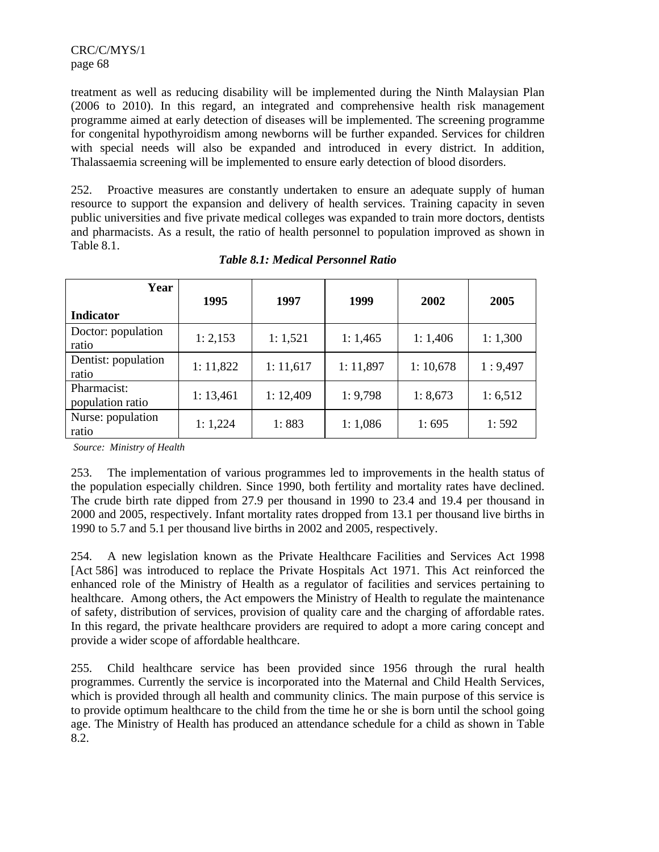treatment as well as reducing disability will be implemented during the Ninth Malaysian Plan (2006 to 2010). In this regard, an integrated and comprehensive health risk management programme aimed at early detection of diseases will be implemented. The screening programme for congenital hypothyroidism among newborns will be further expanded. Services for children with special needs will also be expanded and introduced in every district. In addition, Thalassaemia screening will be implemented to ensure early detection of blood disorders.

252. Proactive measures are constantly undertaken to ensure an adequate supply of human resource to support the expansion and delivery of health services. Training capacity in seven public universities and five private medical colleges was expanded to train more doctors, dentists and pharmacists. As a result, the ratio of health personnel to population improved as shown in Table 8.1.

| Year                            | 1995      | 1997      | 1999      | 2002     | 2005      |
|---------------------------------|-----------|-----------|-----------|----------|-----------|
| <b>Indicator</b>                |           |           |           |          |           |
| Doctor: population<br>ratio     | 1: 2,153  | 1:1,521   | 1:1,465   | 1:1,406  | 1:1,300   |
| Dentist: population<br>ratio    | 1: 11,822 | 1: 11,617 | 1: 11,897 | 1:10,678 | 1:9,497   |
| Pharmacist:<br>population ratio | 1: 13,461 | 1:12,409  | 1: 9,798  | 1:8,673  | 1: 6, 512 |
| Nurse: population<br>ratio      | 1: 1,224  | 1:883     | 1:1,086   | 1:695    | 1:592     |

*Table 8.1: Medical Personnel Ratio* 

 *Source: Ministry of Health* 

253. The implementation of various programmes led to improvements in the health status of the population especially children. Since 1990, both fertility and mortality rates have declined. The crude birth rate dipped from 27.9 per thousand in 1990 to 23.4 and 19.4 per thousand in 2000 and 2005, respectively. Infant mortality rates dropped from 13.1 per thousand live births in 1990 to 5.7 and 5.1 per thousand live births in 2002 and 2005, respectively.

254. A new legislation known as the Private Healthcare Facilities and Services Act 1998 [Act 586] was introduced to replace the Private Hospitals Act 1971. This Act reinforced the enhanced role of the Ministry of Health as a regulator of facilities and services pertaining to healthcare. Among others, the Act empowers the Ministry of Health to regulate the maintenance of safety, distribution of services, provision of quality care and the charging of affordable rates. In this regard, the private healthcare providers are required to adopt a more caring concept and provide a wider scope of affordable healthcare.

255. Child healthcare service has been provided since 1956 through the rural health programmes. Currently the service is incorporated into the Maternal and Child Health Services, which is provided through all health and community clinics. The main purpose of this service is to provide optimum healthcare to the child from the time he or she is born until the school going age. The Ministry of Health has produced an attendance schedule for a child as shown in Table 8.2.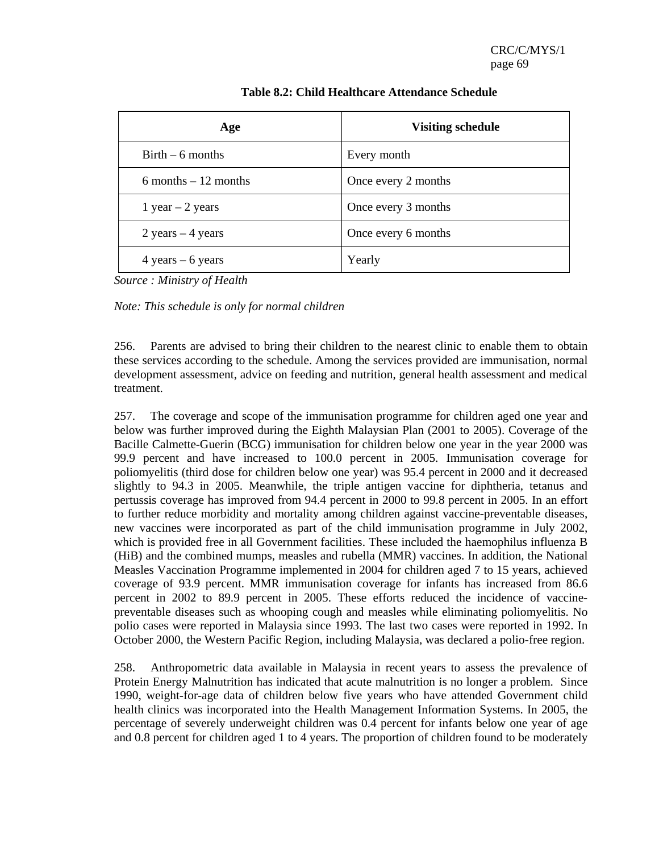| Age                                 | <b>Visiting schedule</b> |
|-------------------------------------|--------------------------|
| $Birth - 6$ months                  | Every month              |
| 6 months $-12$ months               | Once every 2 months      |
| $1$ year $-2$ years                 | Once every 3 months      |
| $2 \text{ years} - 4 \text{ years}$ | Once every 6 months      |
| $4 \text{ years} - 6 \text{ years}$ | Yearly                   |

### **Table 8.2: Child Healthcare Attendance Schedule**

*Source : Ministry of Health* 

*Note: This schedule is only for normal children* 

256. Parents are advised to bring their children to the nearest clinic to enable them to obtain these services according to the schedule. Among the services provided are immunisation, normal development assessment, advice on feeding and nutrition, general health assessment and medical treatment.

257. The coverage and scope of the immunisation programme for children aged one year and below was further improved during the Eighth Malaysian Plan (2001 to 2005). Coverage of the Bacille Calmette-Guerin (BCG) immunisation for children below one year in the year 2000 was 99.9 percent and have increased to 100.0 percent in 2005. Immunisation coverage for poliomyelitis (third dose for children below one year) was 95.4 percent in 2000 and it decreased slightly to 94.3 in 2005. Meanwhile, the triple antigen vaccine for diphtheria, tetanus and pertussis coverage has improved from 94.4 percent in 2000 to 99.8 percent in 2005. In an effort to further reduce morbidity and mortality among children against vaccine-preventable diseases, new vaccines were incorporated as part of the child immunisation programme in July 2002, which is provided free in all Government facilities. These included the haemophilus influenza B (HiB) and the combined mumps, measles and rubella (MMR) vaccines. In addition, the National Measles Vaccination Programme implemented in 2004 for children aged 7 to 15 years, achieved coverage of 93.9 percent. MMR immunisation coverage for infants has increased from 86.6 percent in 2002 to 89.9 percent in 2005. These efforts reduced the incidence of vaccinepreventable diseases such as whooping cough and measles while eliminating poliomyelitis. No polio cases were reported in Malaysia since 1993. The last two cases were reported in 1992. In October 2000, the Western Pacific Region, including Malaysia, was declared a polio-free region.

258. Anthropometric data available in Malaysia in recent years to assess the prevalence of Protein Energy Malnutrition has indicated that acute malnutrition is no longer a problem. Since 1990, weight-for-age data of children below five years who have attended Government child health clinics was incorporated into the Health Management Information Systems. In 2005, the percentage of severely underweight children was 0.4 percent for infants below one year of age and 0.8 percent for children aged 1 to 4 years. The proportion of children found to be moderately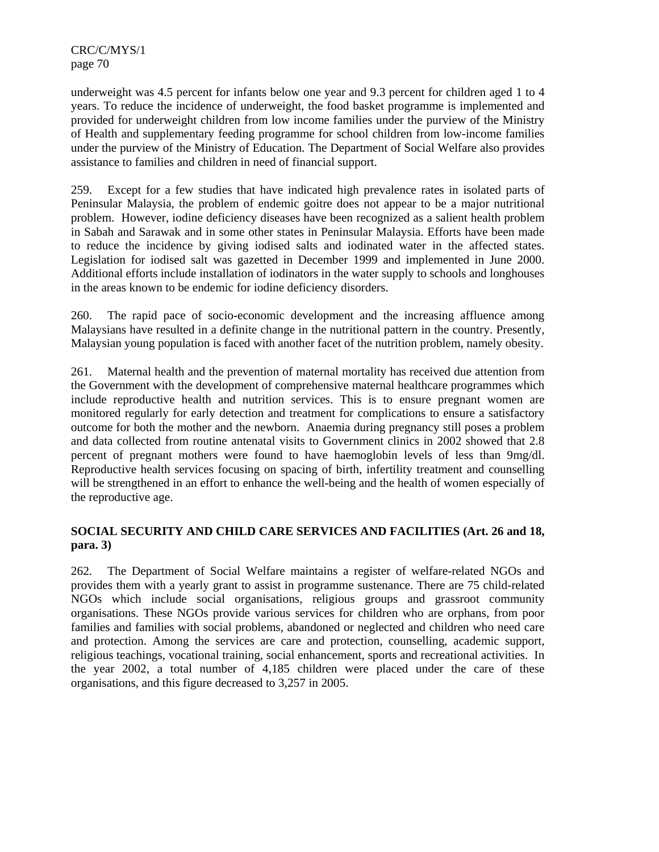underweight was 4.5 percent for infants below one year and 9.3 percent for children aged 1 to 4 years. To reduce the incidence of underweight, the food basket programme is implemented and provided for underweight children from low income families under the purview of the Ministry of Health and supplementary feeding programme for school children from low-income families under the purview of the Ministry of Education. The Department of Social Welfare also provides assistance to families and children in need of financial support.

259. Except for a few studies that have indicated high prevalence rates in isolated parts of Peninsular Malaysia, the problem of endemic goitre does not appear to be a major nutritional problem. However, iodine deficiency diseases have been recognized as a salient health problem in Sabah and Sarawak and in some other states in Peninsular Malaysia. Efforts have been made to reduce the incidence by giving iodised salts and iodinated water in the affected states. Legislation for iodised salt was gazetted in December 1999 and implemented in June 2000. Additional efforts include installation of iodinators in the water supply to schools and longhouses in the areas known to be endemic for iodine deficiency disorders.

260. The rapid pace of socio-economic development and the increasing affluence among Malaysians have resulted in a definite change in the nutritional pattern in the country. Presently, Malaysian young population is faced with another facet of the nutrition problem, namely obesity.

261. Maternal health and the prevention of maternal mortality has received due attention from the Government with the development of comprehensive maternal healthcare programmes which include reproductive health and nutrition services. This is to ensure pregnant women are monitored regularly for early detection and treatment for complications to ensure a satisfactory outcome for both the mother and the newborn. Anaemia during pregnancy still poses a problem and data collected from routine antenatal visits to Government clinics in 2002 showed that 2.8 percent of pregnant mothers were found to have haemoglobin levels of less than 9mg/dl. Reproductive health services focusing on spacing of birth, infertility treatment and counselling will be strengthened in an effort to enhance the well-being and the health of women especially of the reproductive age.

# **SOCIAL SECURITY AND CHILD CARE SERVICES AND FACILITIES (Art. 26 and 18, para. 3)**

262. The Department of Social Welfare maintains a register of welfare-related NGOs and provides them with a yearly grant to assist in programme sustenance. There are 75 child-related NGOs which include social organisations, religious groups and grassroot community organisations. These NGOs provide various services for children who are orphans, from poor families and families with social problems, abandoned or neglected and children who need care and protection. Among the services are care and protection, counselling, academic support, religious teachings, vocational training, social enhancement, sports and recreational activities. In the year 2002, a total number of 4,185 children were placed under the care of these organisations, and this figure decreased to 3,257 in 2005.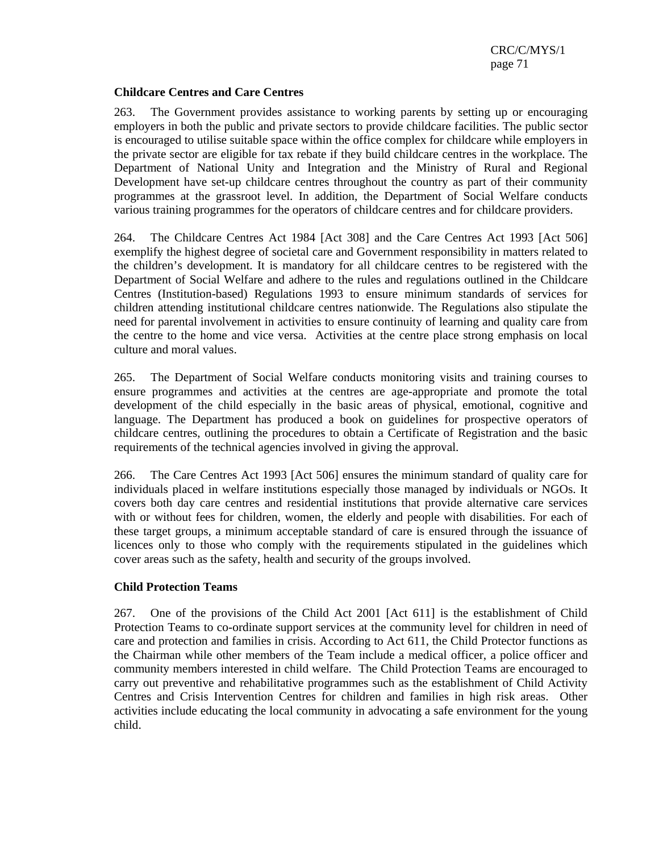#### **Childcare Centres and Care Centres**

263. The Government provides assistance to working parents by setting up or encouraging employers in both the public and private sectors to provide childcare facilities. The public sector is encouraged to utilise suitable space within the office complex for childcare while employers in the private sector are eligible for tax rebate if they build childcare centres in the workplace. The Department of National Unity and Integration and the Ministry of Rural and Regional Development have set-up childcare centres throughout the country as part of their community programmes at the grassroot level. In addition, the Department of Social Welfare conducts various training programmes for the operators of childcare centres and for childcare providers.

264. The Childcare Centres Act 1984 [Act 308] and the Care Centres Act 1993 [Act 506] exemplify the highest degree of societal care and Government responsibility in matters related to the children's development. It is mandatory for all childcare centres to be registered with the Department of Social Welfare and adhere to the rules and regulations outlined in the Childcare Centres (Institution-based) Regulations 1993 to ensure minimum standards of services for children attending institutional childcare centres nationwide. The Regulations also stipulate the need for parental involvement in activities to ensure continuity of learning and quality care from the centre to the home and vice versa. Activities at the centre place strong emphasis on local culture and moral values.

265. The Department of Social Welfare conducts monitoring visits and training courses to ensure programmes and activities at the centres are age-appropriate and promote the total development of the child especially in the basic areas of physical, emotional, cognitive and language. The Department has produced a book on guidelines for prospective operators of childcare centres, outlining the procedures to obtain a Certificate of Registration and the basic requirements of the technical agencies involved in giving the approval.

266. The Care Centres Act 1993 [Act 506] ensures the minimum standard of quality care for individuals placed in welfare institutions especially those managed by individuals or NGOs. It covers both day care centres and residential institutions that provide alternative care services with or without fees for children, women, the elderly and people with disabilities. For each of these target groups, a minimum acceptable standard of care is ensured through the issuance of licences only to those who comply with the requirements stipulated in the guidelines which cover areas such as the safety, health and security of the groups involved.

#### **Child Protection Teams**

267. One of the provisions of the Child Act 2001 [Act 611] is the establishment of Child Protection Teams to co-ordinate support services at the community level for children in need of care and protection and families in crisis. According to Act 611, the Child Protector functions as the Chairman while other members of the Team include a medical officer, a police officer and community members interested in child welfare. The Child Protection Teams are encouraged to carry out preventive and rehabilitative programmes such as the establishment of Child Activity Centres and Crisis Intervention Centres for children and families in high risk areas. Other activities include educating the local community in advocating a safe environment for the young child.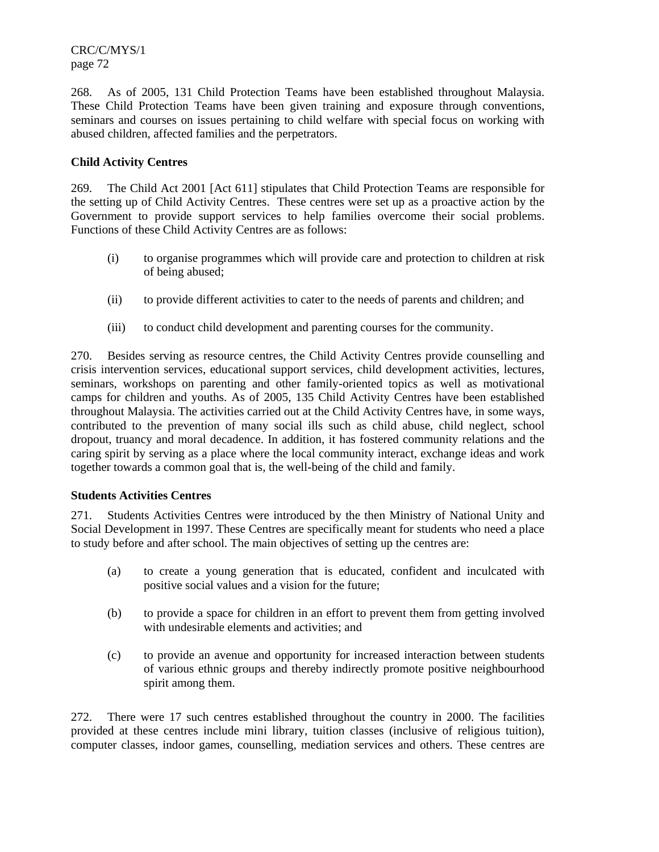268. As of 2005, 131 Child Protection Teams have been established throughout Malaysia. These Child Protection Teams have been given training and exposure through conventions, seminars and courses on issues pertaining to child welfare with special focus on working with abused children, affected families and the perpetrators.

# **Child Activity Centres**

269. The Child Act 2001 [Act 611] stipulates that Child Protection Teams are responsible for the setting up of Child Activity Centres. These centres were set up as a proactive action by the Government to provide support services to help families overcome their social problems. Functions of these Child Activity Centres are as follows:

- (i) to organise programmes which will provide care and protection to children at risk of being abused;
- (ii) to provide different activities to cater to the needs of parents and children; and
- (iii) to conduct child development and parenting courses for the community.

270. Besides serving as resource centres, the Child Activity Centres provide counselling and crisis intervention services, educational support services, child development activities, lectures, seminars, workshops on parenting and other family-oriented topics as well as motivational camps for children and youths. As of 2005, 135 Child Activity Centres have been established throughout Malaysia. The activities carried out at the Child Activity Centres have, in some ways, contributed to the prevention of many social ills such as child abuse, child neglect, school dropout, truancy and moral decadence. In addition, it has fostered community relations and the caring spirit by serving as a place where the local community interact, exchange ideas and work together towards a common goal that is, the well-being of the child and family.

#### **Students Activities Centres**

271. Students Activities Centres were introduced by the then Ministry of National Unity and Social Development in 1997. These Centres are specifically meant for students who need a place to study before and after school. The main objectives of setting up the centres are:

- (a) to create a young generation that is educated, confident and inculcated with positive social values and a vision for the future;
- (b) to provide a space for children in an effort to prevent them from getting involved with undesirable elements and activities; and
- (c) to provide an avenue and opportunity for increased interaction between students of various ethnic groups and thereby indirectly promote positive neighbourhood spirit among them.

272. There were 17 such centres established throughout the country in 2000. The facilities provided at these centres include mini library, tuition classes (inclusive of religious tuition), computer classes, indoor games, counselling, mediation services and others. These centres are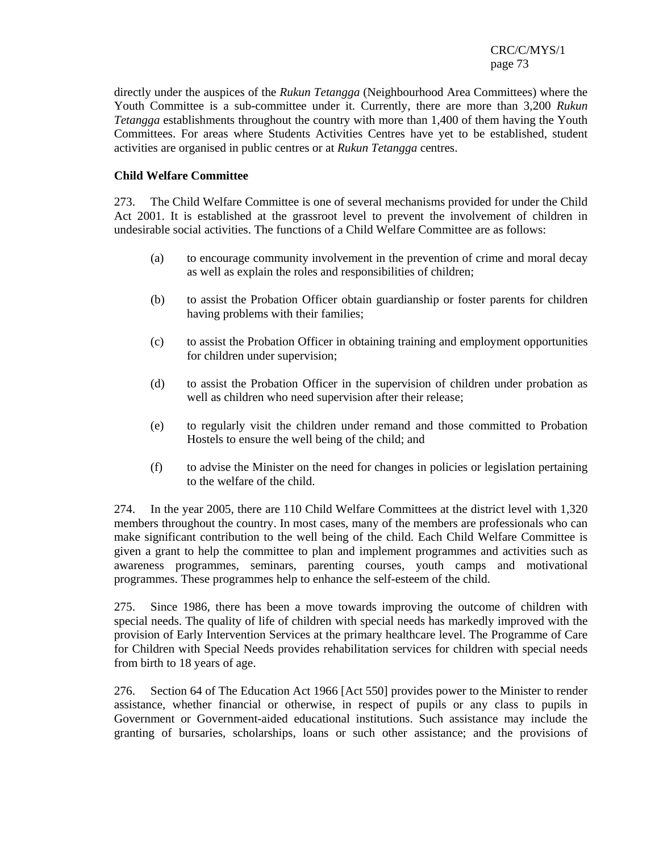directly under the auspices of the *Rukun Tetangga* (Neighbourhood Area Committees) where the Youth Committee is a sub-committee under it. Currently, there are more than 3,200 *Rukun Tetangga* establishments throughout the country with more than 1,400 of them having the Youth Committees. For areas where Students Activities Centres have yet to be established, student activities are organised in public centres or at *Rukun Tetangga* centres.

## **Child Welfare Committee**

273. The Child Welfare Committee is one of several mechanisms provided for under the Child Act 2001. It is established at the grassroot level to prevent the involvement of children in undesirable social activities. The functions of a Child Welfare Committee are as follows:

- (a) to encourage community involvement in the prevention of crime and moral decay as well as explain the roles and responsibilities of children;
- (b) to assist the Probation Officer obtain guardianship or foster parents for children having problems with their families;
- (c) to assist the Probation Officer in obtaining training and employment opportunities for children under supervision;
- (d) to assist the Probation Officer in the supervision of children under probation as well as children who need supervision after their release;
- (e) to regularly visit the children under remand and those committed to Probation Hostels to ensure the well being of the child; and
- (f) to advise the Minister on the need for changes in policies or legislation pertaining to the welfare of the child.

274. In the year 2005, there are 110 Child Welfare Committees at the district level with 1,320 members throughout the country. In most cases, many of the members are professionals who can make significant contribution to the well being of the child. Each Child Welfare Committee is given a grant to help the committee to plan and implement programmes and activities such as awareness programmes, seminars, parenting courses, youth camps and motivational programmes. These programmes help to enhance the self-esteem of the child.

275. Since 1986, there has been a move towards improving the outcome of children with special needs. The quality of life of children with special needs has markedly improved with the provision of Early Intervention Services at the primary healthcare level. The Programme of Care for Children with Special Needs provides rehabilitation services for children with special needs from birth to 18 years of age.

276. Section 64 of The Education Act 1966 [Act 550] provides power to the Minister to render assistance, whether financial or otherwise, in respect of pupils or any class to pupils in Government or Government-aided educational institutions. Such assistance may include the granting of bursaries, scholarships, loans or such other assistance; and the provisions of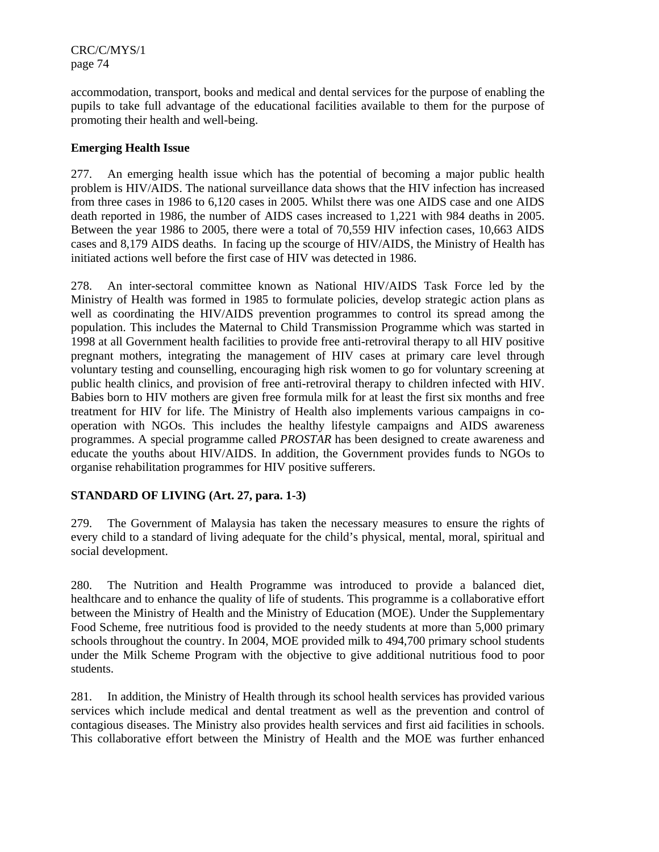accommodation, transport, books and medical and dental services for the purpose of enabling the pupils to take full advantage of the educational facilities available to them for the purpose of promoting their health and well-being.

## **Emerging Health Issue**

277. An emerging health issue which has the potential of becoming a major public health problem is HIV/AIDS. The national surveillance data shows that the HIV infection has increased from three cases in 1986 to 6,120 cases in 2005. Whilst there was one AIDS case and one AIDS death reported in 1986, the number of AIDS cases increased to 1,221 with 984 deaths in 2005. Between the year 1986 to 2005, there were a total of 70,559 HIV infection cases, 10,663 AIDS cases and 8,179 AIDS deaths. In facing up the scourge of HIV/AIDS, the Ministry of Health has initiated actions well before the first case of HIV was detected in 1986.

278. An inter-sectoral committee known as National HIV/AIDS Task Force led by the Ministry of Health was formed in 1985 to formulate policies, develop strategic action plans as well as coordinating the HIV/AIDS prevention programmes to control its spread among the population. This includes the Maternal to Child Transmission Programme which was started in 1998 at all Government health facilities to provide free anti-retroviral therapy to all HIV positive pregnant mothers, integrating the management of HIV cases at primary care level through voluntary testing and counselling, encouraging high risk women to go for voluntary screening at public health clinics, and provision of free anti-retroviral therapy to children infected with HIV. Babies born to HIV mothers are given free formula milk for at least the first six months and free treatment for HIV for life. The Ministry of Health also implements various campaigns in cooperation with NGOs. This includes the healthy lifestyle campaigns and AIDS awareness programmes. A special programme called *PROSTAR* has been designed to create awareness and educate the youths about HIV/AIDS. In addition, the Government provides funds to NGOs to organise rehabilitation programmes for HIV positive sufferers.

## **STANDARD OF LIVING (Art. 27, para. 1-3)**

279. The Government of Malaysia has taken the necessary measures to ensure the rights of every child to a standard of living adequate for the child's physical, mental, moral, spiritual and social development.

280. The Nutrition and Health Programme was introduced to provide a balanced diet, healthcare and to enhance the quality of life of students. This programme is a collaborative effort between the Ministry of Health and the Ministry of Education (MOE). Under the Supplementary Food Scheme, free nutritious food is provided to the needy students at more than 5,000 primary schools throughout the country. In 2004, MOE provided milk to 494,700 primary school students under the Milk Scheme Program with the objective to give additional nutritious food to poor students.

281. In addition, the Ministry of Health through its school health services has provided various services which include medical and dental treatment as well as the prevention and control of contagious diseases. The Ministry also provides health services and first aid facilities in schools. This collaborative effort between the Ministry of Health and the MOE was further enhanced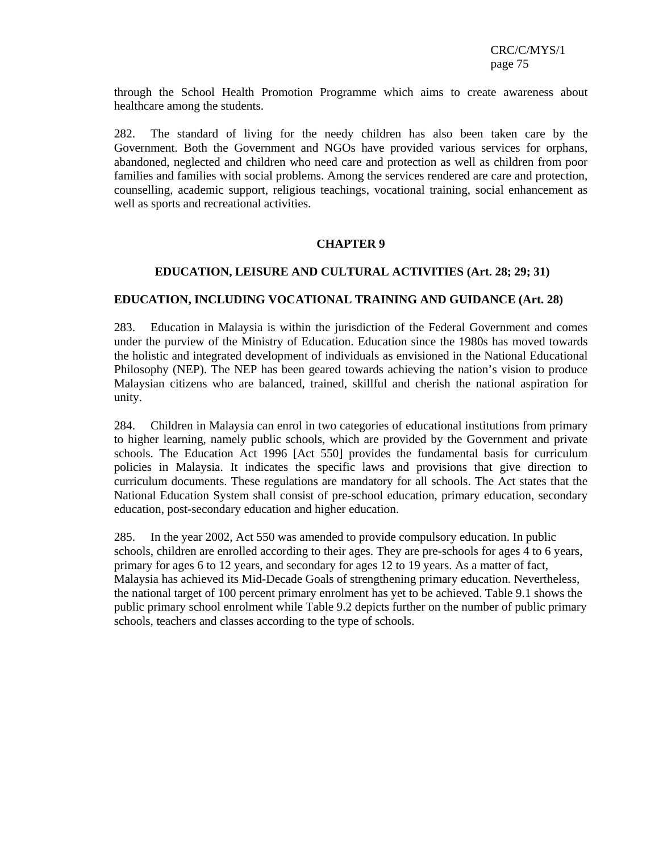through the School Health Promotion Programme which aims to create awareness about healthcare among the students.

282. The standard of living for the needy children has also been taken care by the Government. Both the Government and NGOs have provided various services for orphans, abandoned, neglected and children who need care and protection as well as children from poor families and families with social problems. Among the services rendered are care and protection, counselling, academic support, religious teachings, vocational training, social enhancement as well as sports and recreational activities.

### **CHAPTER 9**

## **EDUCATION, LEISURE AND CULTURAL ACTIVITIES (Art. 28; 29; 31)**

### **EDUCATION, INCLUDING VOCATIONAL TRAINING AND GUIDANCE (Art. 28)**

283. Education in Malaysia is within the jurisdiction of the Federal Government and comes under the purview of the Ministry of Education. Education since the 1980s has moved towards the holistic and integrated development of individuals as envisioned in the National Educational Philosophy (NEP). The NEP has been geared towards achieving the nation's vision to produce Malaysian citizens who are balanced, trained, skillful and cherish the national aspiration for unity.

284. Children in Malaysia can enrol in two categories of educational institutions from primary to higher learning, namely public schools, which are provided by the Government and private schools. The Education Act 1996 [Act 550] provides the fundamental basis for curriculum policies in Malaysia. It indicates the specific laws and provisions that give direction to curriculum documents. These regulations are mandatory for all schools. The Act states that the National Education System shall consist of pre-school education, primary education, secondary education, post-secondary education and higher education.

285. In the year 2002, Act 550 was amended to provide compulsory education. In public schools, children are enrolled according to their ages. They are pre-schools for ages 4 to 6 years, primary for ages 6 to 12 years, and secondary for ages 12 to 19 years. As a matter of fact, Malaysia has achieved its Mid-Decade Goals of strengthening primary education. Nevertheless, the national target of 100 percent primary enrolment has yet to be achieved. Table 9.1 shows the public primary school enrolment while Table 9.2 depicts further on the number of public primary schools, teachers and classes according to the type of schools.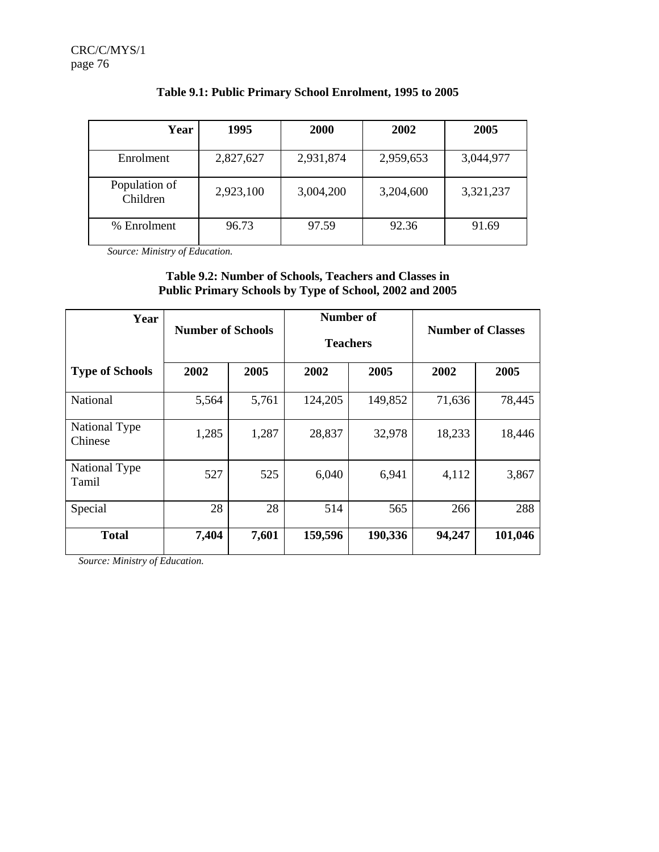| Year                      | 1995      | 2000      | 2002      | 2005      |
|---------------------------|-----------|-----------|-----------|-----------|
| Enrolment                 | 2,827,627 | 2,931,874 | 2,959,653 | 3,044,977 |
| Population of<br>Children | 2,923,100 | 3,004,200 | 3,204,600 | 3,321,237 |
| % Enrolment               | 96.73     | 97.59     | 92.36     | 91.69     |

# **Table 9.1: Public Primary School Enrolment, 1995 to 2005**

*Source: Ministry of Education.* 

## **Table 9.2: Number of Schools, Teachers and Classes in Public Primary Schools by Type of School, 2002 and 2005**

| Year                     | <b>Number of Schools</b> |       | Number of<br><b>Teachers</b> |         |        | <b>Number of Classes</b> |
|--------------------------|--------------------------|-------|------------------------------|---------|--------|--------------------------|
| <b>Type of Schools</b>   | 2002                     | 2005  | 2002                         | 2005    | 2002   | 2005                     |
| National                 | 5,564                    | 5,761 | 124,205                      | 149,852 | 71,636 | 78,445                   |
| National Type<br>Chinese | 1,285                    | 1,287 | 28,837                       | 32,978  | 18,233 | 18,446                   |
| National Type<br>Tamil   | 527                      | 525   | 6,040                        | 6,941   | 4,112  | 3,867                    |
| Special                  | 28                       | 28    | 514                          | 565     | 266    | 288                      |
| <b>Total</b>             | 7,404                    | 7,601 | 159,596                      | 190,336 | 94,247 | 101,046                  |

 *Source: Ministry of Education.*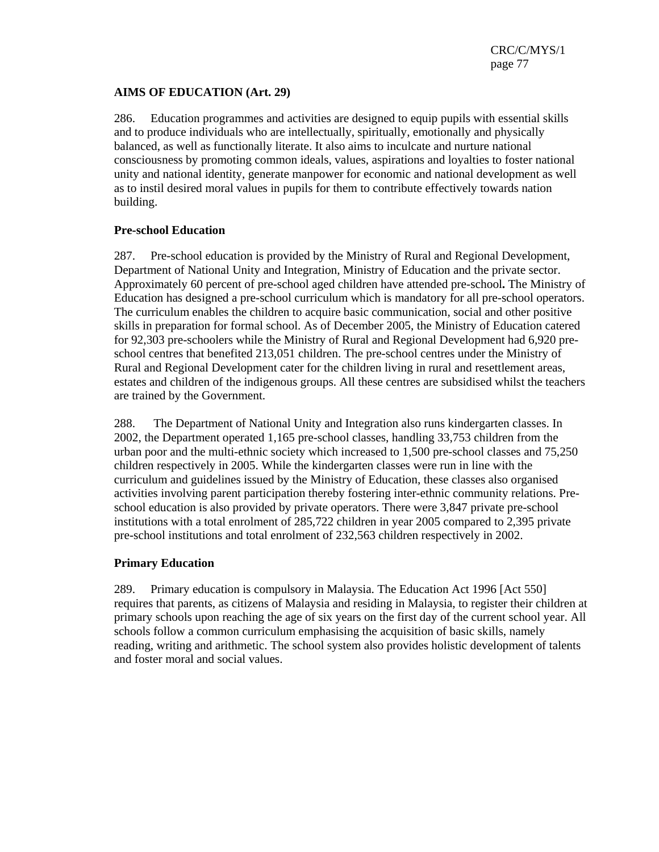## **AIMS OF EDUCATION (Art. 29)**

286. Education programmes and activities are designed to equip pupils with essential skills and to produce individuals who are intellectually, spiritually, emotionally and physically balanced, as well as functionally literate. It also aims to inculcate and nurture national consciousness by promoting common ideals, values, aspirations and loyalties to foster national unity and national identity, generate manpower for economic and national development as well as to instil desired moral values in pupils for them to contribute effectively towards nation building.

### **Pre-school Education**

287. Pre-school education is provided by the Ministry of Rural and Regional Development, Department of National Unity and Integration, Ministry of Education and the private sector. Approximately 60 percent of pre-school aged children have attended pre-school**.** The Ministry of Education has designed a pre-school curriculum which is mandatory for all pre-school operators. The curriculum enables the children to acquire basic communication, social and other positive skills in preparation for formal school. As of December 2005, the Ministry of Education catered for 92,303 pre-schoolers while the Ministry of Rural and Regional Development had 6,920 preschool centres that benefited 213,051 children. The pre-school centres under the Ministry of Rural and Regional Development cater for the children living in rural and resettlement areas, estates and children of the indigenous groups. All these centres are subsidised whilst the teachers are trained by the Government.

288. The Department of National Unity and Integration also runs kindergarten classes. In 2002, the Department operated 1,165 pre-school classes, handling 33,753 children from the urban poor and the multi-ethnic society which increased to 1,500 pre-school classes and 75,250 children respectively in 2005. While the kindergarten classes were run in line with the curriculum and guidelines issued by the Ministry of Education, these classes also organised activities involving parent participation thereby fostering inter-ethnic community relations. Preschool education is also provided by private operators. There were 3,847 private pre-school institutions with a total enrolment of 285,722 children in year 2005 compared to 2,395 private pre-school institutions and total enrolment of 232,563 children respectively in 2002.

### **Primary Education**

289. Primary education is compulsory in Malaysia. The Education Act 1996 [Act 550] requires that parents, as citizens of Malaysia and residing in Malaysia, to register their children at primary schools upon reaching the age of six years on the first day of the current school year. All schools follow a common curriculum emphasising the acquisition of basic skills, namely reading, writing and arithmetic. The school system also provides holistic development of talents and foster moral and social values.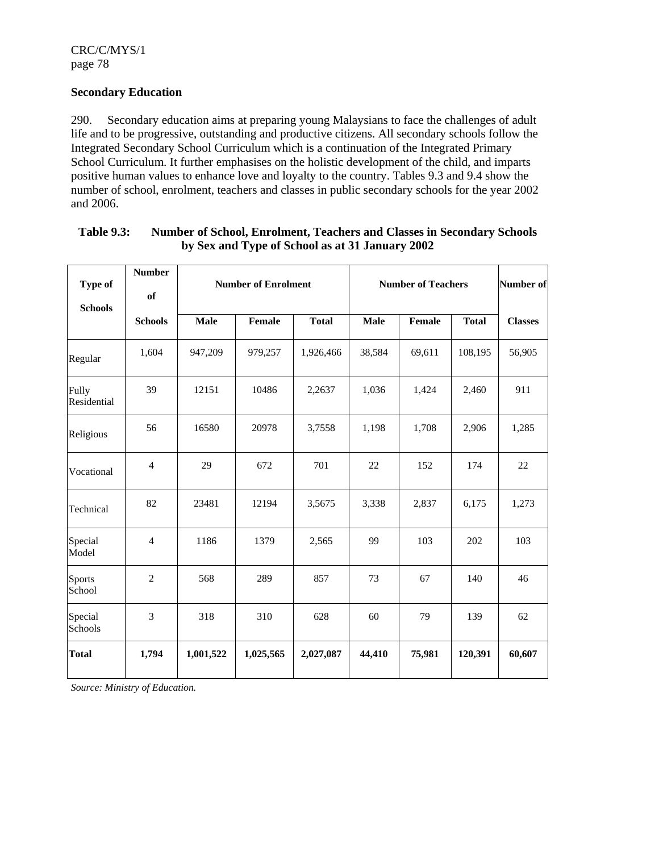## **Secondary Education**

290. Secondary education aims at preparing young Malaysians to face the challenges of adult life and to be progressive, outstanding and productive citizens. All secondary schools follow the Integrated Secondary School Curriculum which is a continuation of the Integrated Primary School Curriculum. It further emphasises on the holistic development of the child, and imparts positive human values to enhance love and loyalty to the country. Tables 9.3 and 9.4 show the number of school, enrolment, teachers and classes in public secondary schools for the year 2002 and 2006.

| Type of                 | <b>Number</b><br>of |             | <b>Number of Enrolment</b> |              | <b>Number of Teachers</b> | <b>Number of</b> |              |                |
|-------------------------|---------------------|-------------|----------------------------|--------------|---------------------------|------------------|--------------|----------------|
| <b>Schools</b>          | <b>Schools</b>      | <b>Male</b> | Female                     | <b>Total</b> | <b>Male</b>               | Female           | <b>Total</b> | <b>Classes</b> |
| Regular                 | 1,604               | 947,209     | 979,257                    | 1,926,466    | 38,584                    | 69,611           | 108,195      | 56,905         |
| Fully<br>Residential    | 39                  | 12151       | 10486                      | 2,2637       | 1,036                     | 1,424            | 2,460        | 911            |
| Religious               | 56                  | 16580       | 20978                      | 3,7558       | 1,198                     | 1,708            | 2,906        | 1,285          |
| Vocational              | $\overline{4}$      | 29          | 672                        | 701          | 22                        | 152              | 174          | 22             |
| Technical               | 82                  | 23481       | 12194                      | 3,5675       | 3,338                     | 2,837            | 6,175        | 1,273          |
| Special<br>Model        | $\overline{4}$      | 1186        | 1379                       | 2,565        | 99                        | 103              | 202          | 103            |
| <b>Sports</b><br>School | $\overline{c}$      | 568         | 289                        | 857          | 73                        | 67               | 140          | 46             |
| Special<br>Schools      | 3                   | 318         | 310                        | 628          | 60                        | 79               | 139          | 62             |
| <b>Total</b>            | 1,794               | 1,001,522   | 1,025,565                  | 2,027,087    | 44,410                    | 75,981           | 120,391      | 60,607         |

## **Table 9.3: Number of School, Enrolment, Teachers and Classes in Secondary Schools by Sex and Type of School as at 31 January 2002**

*Source: Ministry of Education.*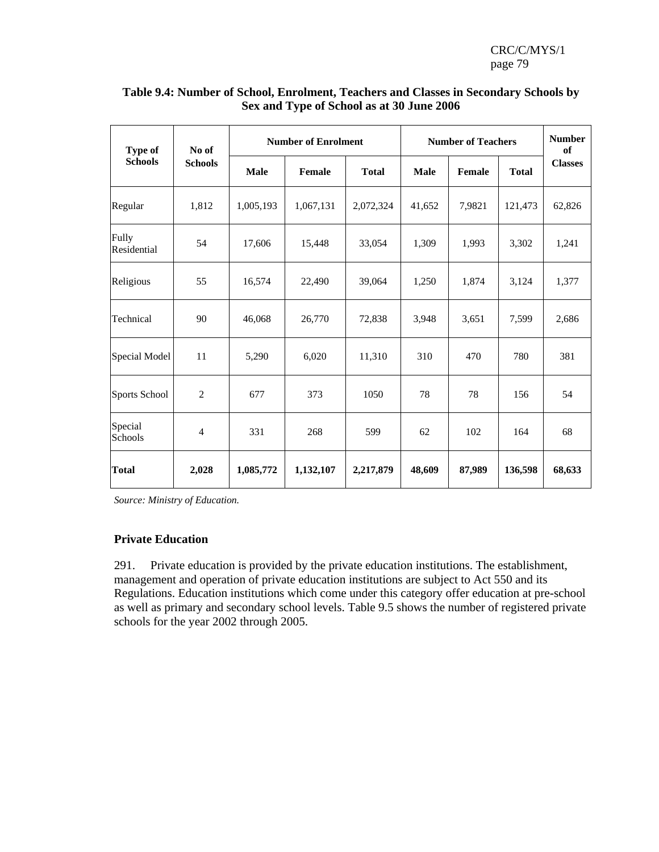| <b>Type of</b>       | No of          |             | <b>Number of Enrolment</b> |              |             | <b>Number of Teachers</b> | <b>Number</b><br>of |                |  |
|----------------------|----------------|-------------|----------------------------|--------------|-------------|---------------------------|---------------------|----------------|--|
| <b>Schools</b>       | <b>Schools</b> | <b>Male</b> | Female                     | <b>Total</b> | <b>Male</b> | Female                    | <b>Total</b>        | <b>Classes</b> |  |
| Regular              | 1,812          | 1,005,193   | 1,067,131                  | 2,072,324    | 41,652      | 7,9821                    | 121,473             | 62,826         |  |
| Fully<br>Residential | 54             | 17,606      | 15,448                     | 33,054       | 1,309       | 1,993                     | 3,302               | 1,241          |  |
| Religious            | 55             | 16,574      | 22,490                     | 39,064       | 1,250       | 1,874                     | 3,124               | 1,377          |  |
| Technical            | 90             | 46,068      | 26,770                     | 72,838       | 3,948       | 3,651                     | 7,599               | 2,686          |  |
| Special Model        | 11             | 5,290       | 6,020                      | 11,310       | 310         | 470                       | 780                 | 381            |  |
| Sports School        | $\overline{c}$ | 677         | 373                        | 1050         | 78          | 78                        | 156                 | 54             |  |
| Special<br>Schools   | $\overline{4}$ | 331         | 268                        | 599          | 62          | 102                       | 164                 | 68             |  |
| <b>Total</b>         | 2,028          | 1,085,772   | 1,132,107                  | 2,217,879    | 48,609      | 87,989                    | 136,598             | 68,633         |  |

## **Table 9.4: Number of School, Enrolment, Teachers and Classes in Secondary Schools by Sex and Type of School as at 30 June 2006**

*Source: Ministry of Education.* 

### **Private Education**

291. Private education is provided by the private education institutions. The establishment, management and operation of private education institutions are subject to Act 550 and its Regulations. Education institutions which come under this category offer education at pre-school as well as primary and secondary school levels. Table 9.5 shows the number of registered private schools for the year 2002 through 2005.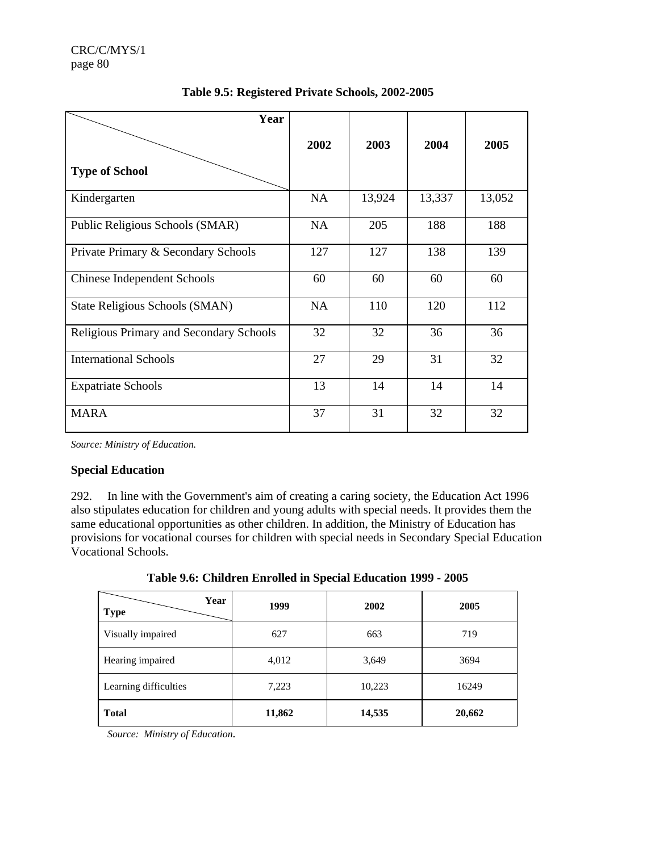| Year                                    |           |        |        |        |
|-----------------------------------------|-----------|--------|--------|--------|
|                                         | 2002      | 2003   | 2004   | 2005   |
| <b>Type of School</b>                   |           |        |        |        |
| Kindergarten                            | <b>NA</b> | 13,924 | 13,337 | 13,052 |
| Public Religious Schools (SMAR)         | <b>NA</b> | 205    | 188    | 188    |
| Private Primary & Secondary Schools     | 127       | 127    | 138    | 139    |
| <b>Chinese Independent Schools</b>      | 60        | 60     | 60     | 60     |
| State Religious Schools (SMAN)          | <b>NA</b> | 110    | 120    | 112    |
| Religious Primary and Secondary Schools | 32        | 32     | 36     | 36     |
| <b>International Schools</b>            | 27        | 29     | 31     | 32     |
| <b>Expatriate Schools</b>               | 13        | 14     | 14     | 14     |
| <b>MARA</b>                             | 37        | 31     | 32     | 32     |

**Table 9.5: Registered Private Schools, 2002-2005**

*Source: Ministry of Education.* 

### **Special Education**

292. In line with the Government's aim of creating a caring society, the Education Act 1996 also stipulates education for children and young adults with special needs. It provides them the same educational opportunities as other children. In addition, the Ministry of Education has provisions for vocational courses for children with special needs in Secondary Special Education Vocational Schools.

**Table 9.6: Children Enrolled in Special Education 1999 - 2005** 

| Year<br><b>Type</b>   | 1999   | 2002   | 2005   |
|-----------------------|--------|--------|--------|
| Visually impaired     | 627    | 663    | 719    |
| Hearing impaired      | 4,012  | 3,649  | 3694   |
| Learning difficulties | 7,223  | 10,223 | 16249  |
| <b>Total</b>          | 11,862 | 14,535 | 20,662 |

*Source: Ministry of Education.*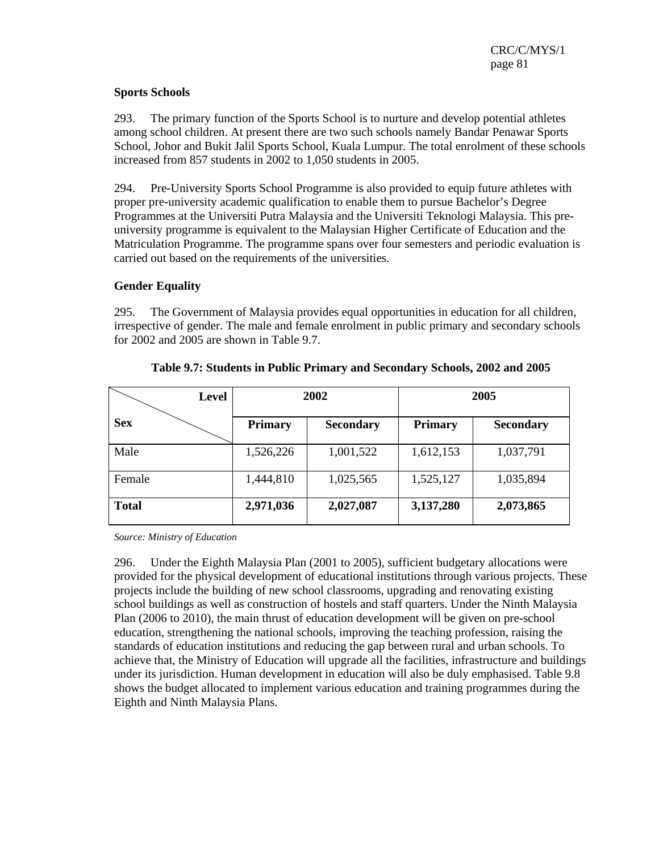### **Sports Schools**

293. The primary function of the Sports School is to nurture and develop potential athletes among school children. At present there are two such schools namely Bandar Penawar Sports School, Johor and Bukit Jalil Sports School, Kuala Lumpur. The total enrolment of these schools increased from 857 students in 2002 to 1,050 students in 2005.

294. Pre-University Sports School Programme is also provided to equip future athletes with proper pre-university academic qualification to enable them to pursue Bachelor's Degree Programmes at the Universiti Putra Malaysia and the Universiti Teknologi Malaysia. This preuniversity programme is equivalent to the Malaysian Higher Certificate of Education and the Matriculation Programme. The programme spans over four semesters and periodic evaluation is carried out based on the requirements of the universities.

### **Gender Equality**

295. The Government of Malaysia provides equal opportunities in education for all children, irrespective of gender. The male and female enrolment in public primary and secondary schools for 2002 and 2005 are shown in Table 9.7.

| <b>Level</b> | 2002           |                  | 2005           |                  |  |
|--------------|----------------|------------------|----------------|------------------|--|
| <b>Sex</b>   | <b>Primary</b> | <b>Secondary</b> | <b>Primary</b> | <b>Secondary</b> |  |
| Male         | 1,526,226      | 1,001,522        | 1,612,153      | 1,037,791        |  |
| Female       | 1,444,810      | 1,025,565        | 1,525,127      | 1,035,894        |  |
| <b>Total</b> | 2,971,036      | 2,027,087        | 3,137,280      | 2,073,865        |  |

## **Table 9.7: Students in Public Primary and Secondary Schools, 2002 and 2005**

*Source: Ministry of Education* 

296. Under the Eighth Malaysia Plan (2001 to 2005), sufficient budgetary allocations were provided for the physical development of educational institutions through various projects. These projects include the building of new school classrooms, upgrading and renovating existing school buildings as well as construction of hostels and staff quarters. Under the Ninth Malaysia Plan (2006 to 2010), the main thrust of education development will be given on pre-school education, strengthening the national schools, improving the teaching profession, raising the standards of education institutions and reducing the gap between rural and urban schools. To achieve that, the Ministry of Education will upgrade all the facilities, infrastructure and buildings under its jurisdiction. Human development in education will also be duly emphasised. Table 9.8 shows the budget allocated to implement various education and training programmes during the Eighth and Ninth Malaysia Plans.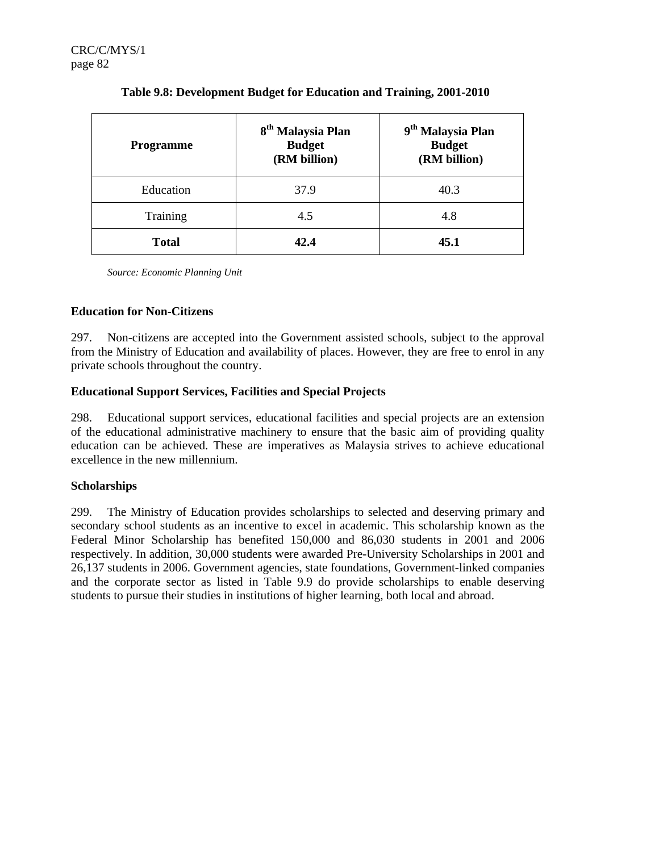| <b>Programme</b> | 8 <sup>th</sup> Malaysia Plan<br><b>Budget</b><br>(RM billion) | 9 <sup>th</sup> Malaysia Plan<br><b>Budget</b><br>(RM billion) |  |
|------------------|----------------------------------------------------------------|----------------------------------------------------------------|--|
| Education        | 37.9                                                           | 40.3                                                           |  |
| Training         | 4.5                                                            | 4.8                                                            |  |
| <b>Total</b>     | 42.4                                                           | 45.1                                                           |  |

## **Table 9.8: Development Budget for Education and Training, 2001-2010**

 *Source: Economic Planning Unit* 

## **Education for Non-Citizens**

297. Non-citizens are accepted into the Government assisted schools, subject to the approval from the Ministry of Education and availability of places. However, they are free to enrol in any private schools throughout the country.

## **Educational Support Services, Facilities and Special Projects**

298. Educational support services, educational facilities and special projects are an extension of the educational administrative machinery to ensure that the basic aim of providing quality education can be achieved. These are imperatives as Malaysia strives to achieve educational excellence in the new millennium.

### **Scholarships**

299. The Ministry of Education provides scholarships to selected and deserving primary and secondary school students as an incentive to excel in academic. This scholarship known as the Federal Minor Scholarship has benefited 150,000 and 86,030 students in 2001 and 2006 respectively. In addition, 30,000 students were awarded Pre-University Scholarships in 2001 and 26,137 students in 2006. Government agencies, state foundations, Government-linked companies and the corporate sector as listed in Table 9.9 do provide scholarships to enable deserving students to pursue their studies in institutions of higher learning, both local and abroad.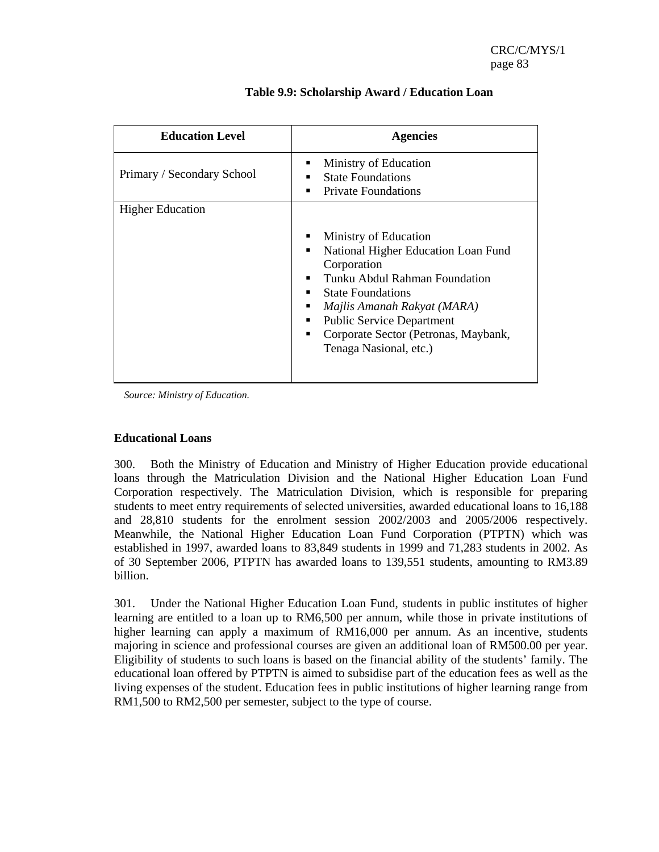| <b>Education Level</b>     | <b>Agencies</b>                                                                                                                                                                                                                                                                                                               |
|----------------------------|-------------------------------------------------------------------------------------------------------------------------------------------------------------------------------------------------------------------------------------------------------------------------------------------------------------------------------|
| Primary / Secondary School | Ministry of Education<br>٠<br><b>State Foundations</b><br>٠<br><b>Private Foundations</b><br>$\blacksquare$                                                                                                                                                                                                                   |
| <b>Higher Education</b>    | Ministry of Education<br>٠<br>National Higher Education Loan Fund<br>٠<br>Corporation<br>Tunku Abdul Rahman Foundation<br>$\blacksquare$<br><b>State Foundations</b><br>٠<br>Majlis Amanah Rakyat (MARA)<br>٠<br><b>Public Service Department</b><br>٠<br>Corporate Sector (Petronas, Maybank,<br>■<br>Tenaga Nasional, etc.) |

## **Table 9.9: Scholarship Award / Education Loan**

 *Source: Ministry of Education.* 

### **Educational Loans**

300. Both the Ministry of Education and Ministry of Higher Education provide educational loans through the Matriculation Division and the National Higher Education Loan Fund Corporation respectively. The Matriculation Division, which is responsible for preparing students to meet entry requirements of selected universities, awarded educational loans to 16,188 and 28,810 students for the enrolment session 2002/2003 and 2005/2006 respectively. Meanwhile, the National Higher Education Loan Fund Corporation (PTPTN) which was established in 1997, awarded loans to 83,849 students in 1999 and 71,283 students in 2002. As of 30 September 2006, PTPTN has awarded loans to 139,551 students, amounting to RM3.89 billion.

301. Under the National Higher Education Loan Fund, students in public institutes of higher learning are entitled to a loan up to RM6,500 per annum, while those in private institutions of higher learning can apply a maximum of RM16,000 per annum. As an incentive, students majoring in science and professional courses are given an additional loan of RM500.00 per year. Eligibility of students to such loans is based on the financial ability of the students' family. The educational loan offered by PTPTN is aimed to subsidise part of the education fees as well as the living expenses of the student. Education fees in public institutions of higher learning range from RM1,500 to RM2,500 per semester, subject to the type of course.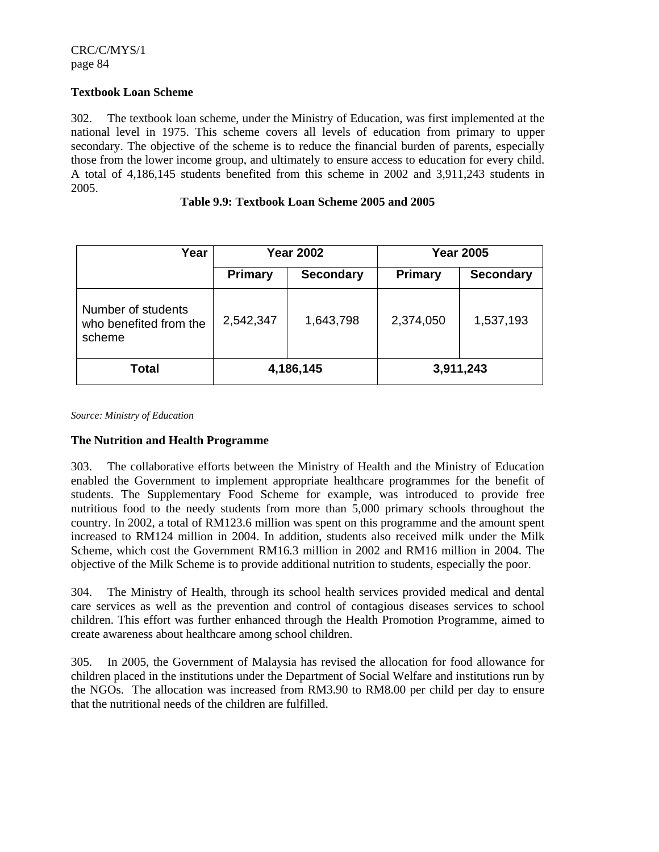## **Textbook Loan Scheme**

302. The textbook loan scheme, under the Ministry of Education, was first implemented at the national level in 1975. This scheme covers all levels of education from primary to upper secondary. The objective of the scheme is to reduce the financial burden of parents, especially those from the lower income group, and ultimately to ensure access to education for every child. A total of 4,186,145 students benefited from this scheme in 2002 and 3,911,243 students in 2005.

| Year                                                   | <b>Year 2002</b>            |           | <b>Year 2005</b> |                  |  |
|--------------------------------------------------------|-----------------------------|-----------|------------------|------------------|--|
|                                                        | Primary<br><b>Secondary</b> |           | Primary          | <b>Secondary</b> |  |
| Number of students<br>who benefited from the<br>scheme | 2,542,347                   | 1,643,798 | 2,374,050        | 1,537,193        |  |
| <b>Total</b>                                           | 4,186,145                   |           |                  | 3,911,243        |  |

### **Table 9.9: Textbook Loan Scheme 2005 and 2005**

*Source: Ministry of Education*

### **The Nutrition and Health Programme**

303. The collaborative efforts between the Ministry of Health and the Ministry of Education enabled the Government to implement appropriate healthcare programmes for the benefit of students. The Supplementary Food Scheme for example, was introduced to provide free nutritious food to the needy students from more than 5,000 primary schools throughout the country. In 2002, a total of RM123.6 million was spent on this programme and the amount spent increased to RM124 million in 2004. In addition, students also received milk under the Milk Scheme, which cost the Government RM16.3 million in 2002 and RM16 million in 2004. The objective of the Milk Scheme is to provide additional nutrition to students, especially the poor.

304. The Ministry of Health, through its school health services provided medical and dental care services as well as the prevention and control of contagious diseases services to school children. This effort was further enhanced through the Health Promotion Programme, aimed to create awareness about healthcare among school children.

305. In 2005, the Government of Malaysia has revised the allocation for food allowance for children placed in the institutions under the Department of Social Welfare and institutions run by the NGOs. The allocation was increased from RM3.90 to RM8.00 per child per day to ensure that the nutritional needs of the children are fulfilled.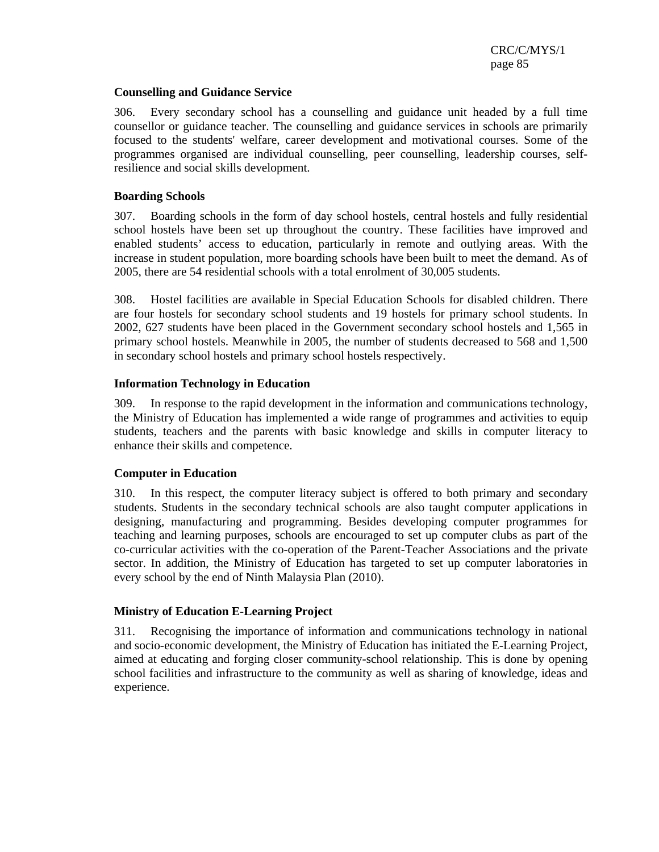#### **Counselling and Guidance Service**

306. Every secondary school has a counselling and guidance unit headed by a full time counsellor or guidance teacher. The counselling and guidance services in schools are primarily focused to the students' welfare, career development and motivational courses. Some of the programmes organised are individual counselling, peer counselling, leadership courses, selfresilience and social skills development.

#### **Boarding Schools**

307. Boarding schools in the form of day school hostels, central hostels and fully residential school hostels have been set up throughout the country. These facilities have improved and enabled students' access to education, particularly in remote and outlying areas. With the increase in student population, more boarding schools have been built to meet the demand. As of 2005, there are 54 residential schools with a total enrolment of 30,005 students.

308. Hostel facilities are available in Special Education Schools for disabled children. There are four hostels for secondary school students and 19 hostels for primary school students. In 2002, 627 students have been placed in the Government secondary school hostels and 1,565 in primary school hostels. Meanwhile in 2005, the number of students decreased to 568 and 1,500 in secondary school hostels and primary school hostels respectively.

#### **Information Technology in Education**

309. In response to the rapid development in the information and communications technology, the Ministry of Education has implemented a wide range of programmes and activities to equip students, teachers and the parents with basic knowledge and skills in computer literacy to enhance their skills and competence.

#### **Computer in Education**

310. In this respect, the computer literacy subject is offered to both primary and secondary students. Students in the secondary technical schools are also taught computer applications in designing, manufacturing and programming. Besides developing computer programmes for teaching and learning purposes, schools are encouraged to set up computer clubs as part of the co-curricular activities with the co-operation of the Parent-Teacher Associations and the private sector. In addition, the Ministry of Education has targeted to set up computer laboratories in every school by the end of Ninth Malaysia Plan (2010).

### **Ministry of Education E-Learning Project**

311. Recognising the importance of information and communications technology in national and socio-economic development, the Ministry of Education has initiated the E-Learning Project, aimed at educating and forging closer community-school relationship. This is done by opening school facilities and infrastructure to the community as well as sharing of knowledge, ideas and experience.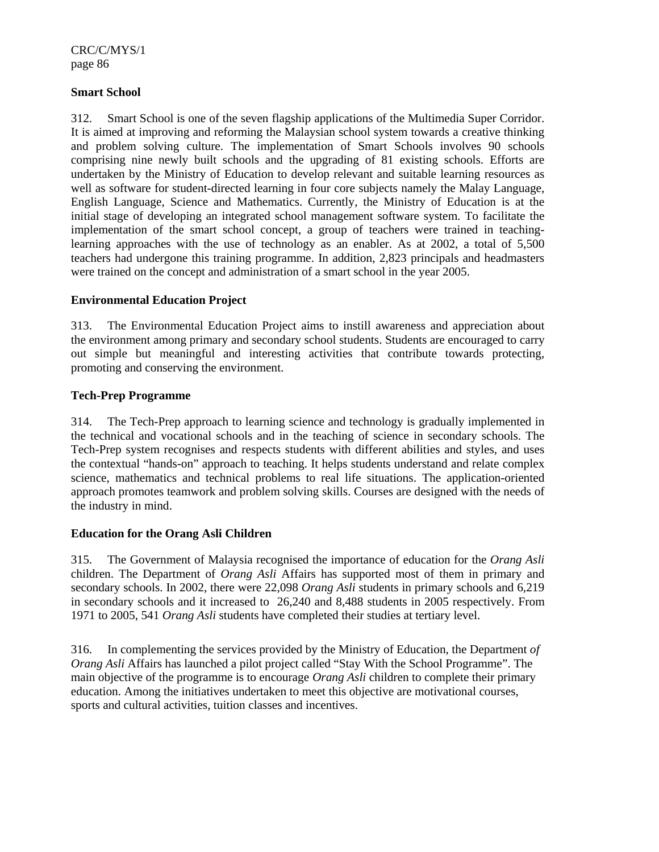## **Smart School**

312. Smart School is one of the seven flagship applications of the Multimedia Super Corridor. It is aimed at improving and reforming the Malaysian school system towards a creative thinking and problem solving culture. The implementation of Smart Schools involves 90 schools comprising nine newly built schools and the upgrading of 81 existing schools. Efforts are undertaken by the Ministry of Education to develop relevant and suitable learning resources as well as software for student-directed learning in four core subjects namely the Malay Language, English Language, Science and Mathematics. Currently, the Ministry of Education is at the initial stage of developing an integrated school management software system. To facilitate the implementation of the smart school concept, a group of teachers were trained in teachinglearning approaches with the use of technology as an enabler. As at 2002, a total of 5,500 teachers had undergone this training programme. In addition, 2,823 principals and headmasters were trained on the concept and administration of a smart school in the year 2005.

## **Environmental Education Project**

313. The Environmental Education Project aims to instill awareness and appreciation about the environment among primary and secondary school students. Students are encouraged to carry out simple but meaningful and interesting activities that contribute towards protecting, promoting and conserving the environment.

## **Tech-Prep Programme**

314. The Tech-Prep approach to learning science and technology is gradually implemented in the technical and vocational schools and in the teaching of science in secondary schools. The Tech-Prep system recognises and respects students with different abilities and styles, and uses the contextual "hands-on" approach to teaching. It helps students understand and relate complex science, mathematics and technical problems to real life situations. The application-oriented approach promotes teamwork and problem solving skills. Courses are designed with the needs of the industry in mind.

### **Education for the Orang Asli Children**

315. The Government of Malaysia recognised the importance of education for the *Orang Asli* children. The Department of *Orang Asli* Affairs has supported most of them in primary and secondary schools. In 2002, there were 22,098 *Orang Asli* students in primary schools and 6,219 in secondary schools and it increased to 26,240 and 8,488 students in 2005 respectively. From 1971 to 2005, 541 *Orang Asli* students have completed their studies at tertiary level.

316. In complementing the services provided by the Ministry of Education, the Department *of Orang Asli* Affairs has launched a pilot project called "Stay With the School Programme". The main objective of the programme is to encourage *Orang Asli* children to complete their primary education. Among the initiatives undertaken to meet this objective are motivational courses, sports and cultural activities, tuition classes and incentives.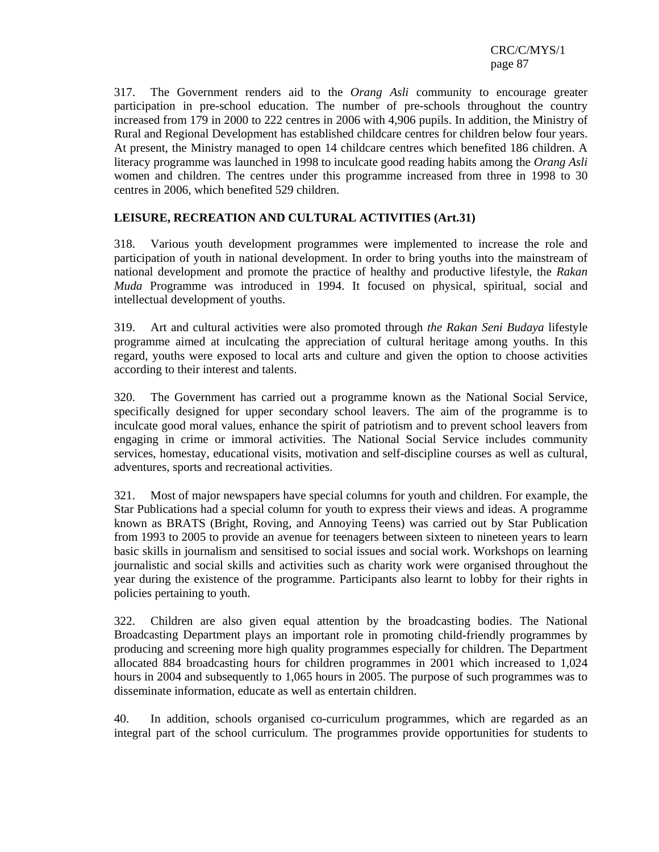317. The Government renders aid to the *Orang Asli* community to encourage greater participation in pre-school education. The number of pre-schools throughout the country increased from 179 in 2000 to 222 centres in 2006 with 4,906 pupils. In addition, the Ministry of Rural and Regional Development has established childcare centres for children below four years. At present, the Ministry managed to open 14 childcare centres which benefited 186 children. A literacy programme was launched in 1998 to inculcate good reading habits among the *Orang Asli* women and children. The centres under this programme increased from three in 1998 to 30 centres in 2006, which benefited 529 children.

## **LEISURE, RECREATION AND CULTURAL ACTIVITIES (Art.31)**

318. Various youth development programmes were implemented to increase the role and participation of youth in national development. In order to bring youths into the mainstream of national development and promote the practice of healthy and productive lifestyle, the *Rakan Muda* Programme was introduced in 1994. It focused on physical, spiritual, social and intellectual development of youths.

319. Art and cultural activities were also promoted through *the Rakan Seni Budaya* lifestyle programme aimed at inculcating the appreciation of cultural heritage among youths. In this regard, youths were exposed to local arts and culture and given the option to choose activities according to their interest and talents.

320. The Government has carried out a programme known as the National Social Service, specifically designed for upper secondary school leavers. The aim of the programme is to inculcate good moral values, enhance the spirit of patriotism and to prevent school leavers from engaging in crime or immoral activities. The National Social Service includes community services, homestay, educational visits, motivation and self-discipline courses as well as cultural, adventures, sports and recreational activities.

321. Most of major newspapers have special columns for youth and children. For example, the Star Publications had a special column for youth to express their views and ideas. A programme known as BRATS (Bright, Roving, and Annoying Teens) was carried out by Star Publication from 1993 to 2005 to provide an avenue for teenagers between sixteen to nineteen years to learn basic skills in journalism and sensitised to social issues and social work. Workshops on learning journalistic and social skills and activities such as charity work were organised throughout the year during the existence of the programme. Participants also learnt to lobby for their rights in policies pertaining to youth.

322. Children are also given equal attention by the broadcasting bodies. The National Broadcasting Department plays an important role in promoting child-friendly programmes by producing and screening more high quality programmes especially for children. The Department allocated 884 broadcasting hours for children programmes in 2001 which increased to 1,024 hours in 2004 and subsequently to 1,065 hours in 2005. The purpose of such programmes was to disseminate information, educate as well as entertain children.

40. In addition, schools organised co-curriculum programmes, which are regarded as an integral part of the school curriculum. The programmes provide opportunities for students to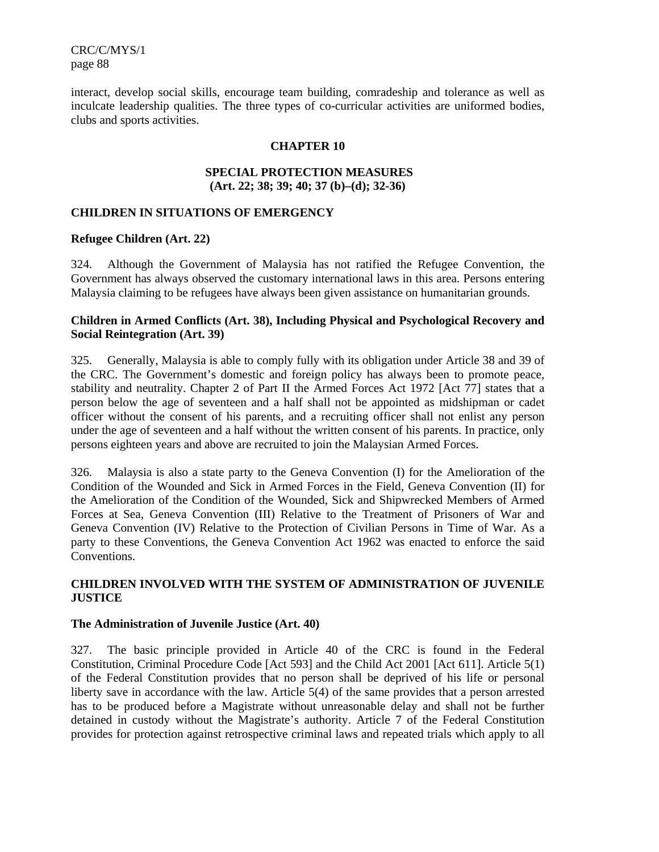interact, develop social skills, encourage team building, comradeship and tolerance as well as inculcate leadership qualities. The three types of co-curricular activities are uniformed bodies, clubs and sports activities.

### **CHAPTER 10**

### **SPECIAL PROTECTION MEASURES (Art. 22; 38; 39; 40; 37 (b)–(d); 32-36)**

### **CHILDREN IN SITUATIONS OF EMERGENCY**

### **Refugee Children (Art. 22)**

324. Although the Government of Malaysia has not ratified the Refugee Convention, the Government has always observed the customary international laws in this area. Persons entering Malaysia claiming to be refugees have always been given assistance on humanitarian grounds.

## **Children in Armed Conflicts (Art. 38), Including Physical and Psychological Recovery and Social Reintegration (Art. 39)**

325. Generally, Malaysia is able to comply fully with its obligation under Article 38 and 39 of the CRC. The Government's domestic and foreign policy has always been to promote peace, stability and neutrality. Chapter 2 of Part II the Armed Forces Act 1972 [Act 77] states that a person below the age of seventeen and a half shall not be appointed as midshipman or cadet officer without the consent of his parents, and a recruiting officer shall not enlist any person under the age of seventeen and a half without the written consent of his parents. In practice, only persons eighteen years and above are recruited to join the Malaysian Armed Forces.

326. Malaysia is also a state party to the Geneva Convention (I) for the Amelioration of the Condition of the Wounded and Sick in Armed Forces in the Field, Geneva Convention (II) for the Amelioration of the Condition of the Wounded, Sick and Shipwrecked Members of Armed Forces at Sea, Geneva Convention (III) Relative to the Treatment of Prisoners of War and Geneva Convention (IV) Relative to the Protection of Civilian Persons in Time of War. As a party to these Conventions, the Geneva Convention Act 1962 was enacted to enforce the said Conventions.

## **CHILDREN INVOLVED WITH THE SYSTEM OF ADMINISTRATION OF JUVENILE JUSTICE**

### **The Administration of Juvenile Justice (Art. 40)**

327. The basic principle provided in Article 40 of the CRC is found in the Federal Constitution, Criminal Procedure Code [Act 593] and the Child Act 2001 [Act 611]. Article 5(1) of the Federal Constitution provides that no person shall be deprived of his life or personal liberty save in accordance with the law. Article 5(4) of the same provides that a person arrested has to be produced before a Magistrate without unreasonable delay and shall not be further detained in custody without the Magistrate's authority. Article 7 of the Federal Constitution provides for protection against retrospective criminal laws and repeated trials which apply to all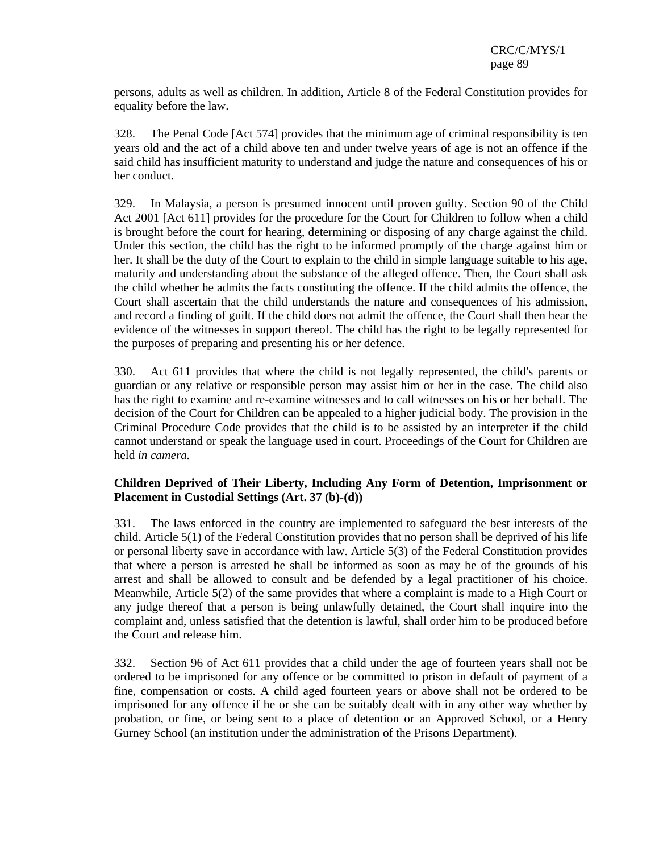persons, adults as well as children. In addition, Article 8 of the Federal Constitution provides for equality before the law.

328. The Penal Code [Act 574] provides that the minimum age of criminal responsibility is ten years old and the act of a child above ten and under twelve years of age is not an offence if the said child has insufficient maturity to understand and judge the nature and consequences of his or her conduct.

329. In Malaysia, a person is presumed innocent until proven guilty. Section 90 of the Child Act 2001 [Act 611] provides for the procedure for the Court for Children to follow when a child is brought before the court for hearing, determining or disposing of any charge against the child. Under this section, the child has the right to be informed promptly of the charge against him or her. It shall be the duty of the Court to explain to the child in simple language suitable to his age, maturity and understanding about the substance of the alleged offence. Then, the Court shall ask the child whether he admits the facts constituting the offence. If the child admits the offence, the Court shall ascertain that the child understands the nature and consequences of his admission, and record a finding of guilt. If the child does not admit the offence, the Court shall then hear the evidence of the witnesses in support thereof. The child has the right to be legally represented for the purposes of preparing and presenting his or her defence.

330. Act 611 provides that where the child is not legally represented, the child's parents or guardian or any relative or responsible person may assist him or her in the case. The child also has the right to examine and re-examine witnesses and to call witnesses on his or her behalf. The decision of the Court for Children can be appealed to a higher judicial body. The provision in the Criminal Procedure Code provides that the child is to be assisted by an interpreter if the child cannot understand or speak the language used in court. Proceedings of the Court for Children are held *in camera.*

## **Children Deprived of Their Liberty, Including Any Form of Detention, Imprisonment or Placement in Custodial Settings (Art. 37 (b)-(d))**

331. The laws enforced in the country are implemented to safeguard the best interests of the child. Article 5(1) of the Federal Constitution provides that no person shall be deprived of his life or personal liberty save in accordance with law. Article 5(3) of the Federal Constitution provides that where a person is arrested he shall be informed as soon as may be of the grounds of his arrest and shall be allowed to consult and be defended by a legal practitioner of his choice. Meanwhile, Article 5(2) of the same provides that where a complaint is made to a High Court or any judge thereof that a person is being unlawfully detained, the Court shall inquire into the complaint and, unless satisfied that the detention is lawful, shall order him to be produced before the Court and release him.

332. Section 96 of Act 611 provides that a child under the age of fourteen years shall not be ordered to be imprisoned for any offence or be committed to prison in default of payment of a fine, compensation or costs. A child aged fourteen years or above shall not be ordered to be imprisoned for any offence if he or she can be suitably dealt with in any other way whether by probation, or fine, or being sent to a place of detention or an Approved School, or a Henry Gurney School (an institution under the administration of the Prisons Department).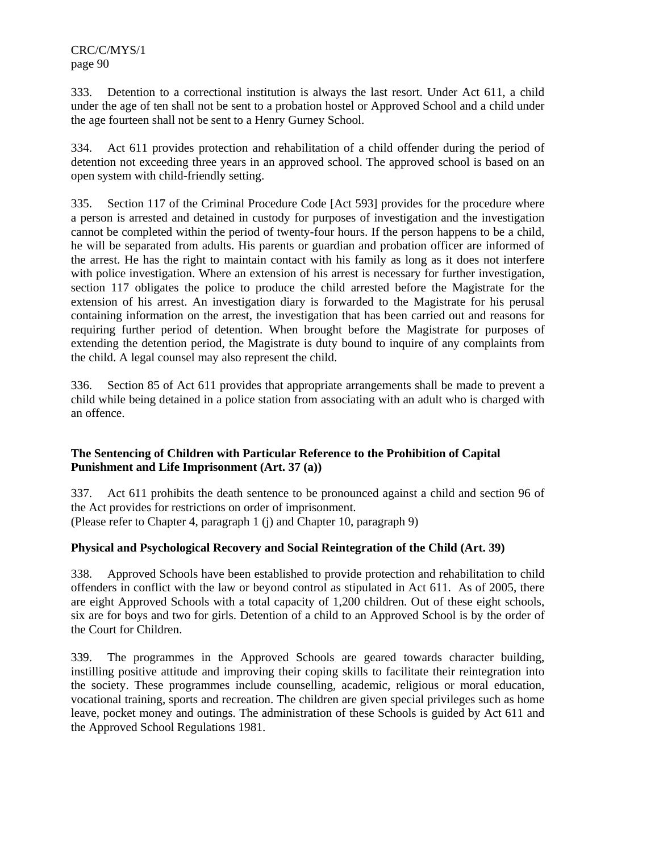333. Detention to a correctional institution is always the last resort. Under Act 611, a child under the age of ten shall not be sent to a probation hostel or Approved School and a child under the age fourteen shall not be sent to a Henry Gurney School.

334. Act 611 provides protection and rehabilitation of a child offender during the period of detention not exceeding three years in an approved school. The approved school is based on an open system with child-friendly setting.

335. Section 117 of the Criminal Procedure Code [Act 593] provides for the procedure where a person is arrested and detained in custody for purposes of investigation and the investigation cannot be completed within the period of twenty-four hours. If the person happens to be a child, he will be separated from adults. His parents or guardian and probation officer are informed of the arrest. He has the right to maintain contact with his family as long as it does not interfere with police investigation. Where an extension of his arrest is necessary for further investigation, section 117 obligates the police to produce the child arrested before the Magistrate for the extension of his arrest. An investigation diary is forwarded to the Magistrate for his perusal containing information on the arrest, the investigation that has been carried out and reasons for requiring further period of detention. When brought before the Magistrate for purposes of extending the detention period, the Magistrate is duty bound to inquire of any complaints from the child. A legal counsel may also represent the child.

336. Section 85 of Act 611 provides that appropriate arrangements shall be made to prevent a child while being detained in a police station from associating with an adult who is charged with an offence.

## **The Sentencing of Children with Particular Reference to the Prohibition of Capital Punishment and Life Imprisonment (Art. 37 (a))**

337. Act 611 prohibits the death sentence to be pronounced against a child and section 96 of the Act provides for restrictions on order of imprisonment. (Please refer to Chapter 4, paragraph 1 (j) and Chapter 10, paragraph 9)

## **Physical and Psychological Recovery and Social Reintegration of the Child (Art. 39)**

338. Approved Schools have been established to provide protection and rehabilitation to child offenders in conflict with the law or beyond control as stipulated in Act 611. As of 2005, there are eight Approved Schools with a total capacity of 1,200 children. Out of these eight schools, six are for boys and two for girls. Detention of a child to an Approved School is by the order of the Court for Children.

339. The programmes in the Approved Schools are geared towards character building, instilling positive attitude and improving their coping skills to facilitate their reintegration into the society. These programmes include counselling, academic, religious or moral education, vocational training, sports and recreation. The children are given special privileges such as home leave, pocket money and outings. The administration of these Schools is guided by Act 611 and the Approved School Regulations 1981.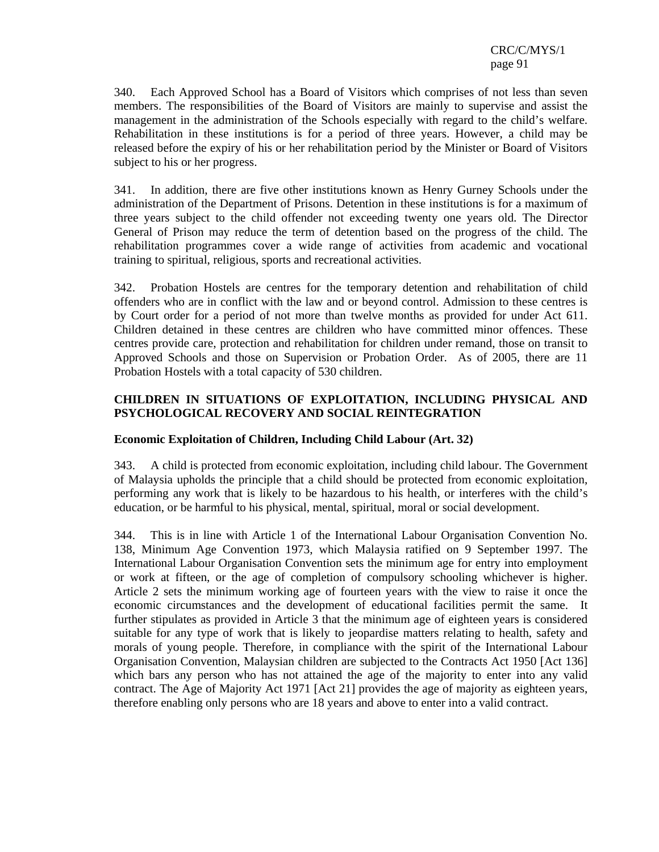340. Each Approved School has a Board of Visitors which comprises of not less than seven members. The responsibilities of the Board of Visitors are mainly to supervise and assist the management in the administration of the Schools especially with regard to the child's welfare. Rehabilitation in these institutions is for a period of three years. However, a child may be released before the expiry of his or her rehabilitation period by the Minister or Board of Visitors subject to his or her progress.

341. In addition, there are five other institutions known as Henry Gurney Schools under the administration of the Department of Prisons. Detention in these institutions is for a maximum of three years subject to the child offender not exceeding twenty one years old. The Director General of Prison may reduce the term of detention based on the progress of the child. The rehabilitation programmes cover a wide range of activities from academic and vocational training to spiritual, religious, sports and recreational activities.

342. Probation Hostels are centres for the temporary detention and rehabilitation of child offenders who are in conflict with the law and or beyond control. Admission to these centres is by Court order for a period of not more than twelve months as provided for under Act 611. Children detained in these centres are children who have committed minor offences. These centres provide care, protection and rehabilitation for children under remand, those on transit to Approved Schools and those on Supervision or Probation Order. As of 2005, there are 11 Probation Hostels with a total capacity of 530 children.

## **CHILDREN IN SITUATIONS OF EXPLOITATION, INCLUDING PHYSICAL AND PSYCHOLOGICAL RECOVERY AND SOCIAL REINTEGRATION**

## **Economic Exploitation of Children, Including Child Labour (Art. 32)**

343. A child is protected from economic exploitation, including child labour. The Government of Malaysia upholds the principle that a child should be protected from economic exploitation, performing any work that is likely to be hazardous to his health, or interferes with the child's education, or be harmful to his physical, mental, spiritual, moral or social development.

344. This is in line with Article 1 of the International Labour Organisation Convention No. 138, Minimum Age Convention 1973, which Malaysia ratified on 9 September 1997. The International Labour Organisation Convention sets the minimum age for entry into employment or work at fifteen, or the age of completion of compulsory schooling whichever is higher. Article 2 sets the minimum working age of fourteen years with the view to raise it once the economic circumstances and the development of educational facilities permit the same. It further stipulates as provided in Article 3 that the minimum age of eighteen years is considered suitable for any type of work that is likely to jeopardise matters relating to health, safety and morals of young people. Therefore, in compliance with the spirit of the International Labour Organisation Convention, Malaysian children are subjected to the Contracts Act 1950 [Act 136] which bars any person who has not attained the age of the majority to enter into any valid contract. The Age of Majority Act 1971 [Act 21] provides the age of majority as eighteen years, therefore enabling only persons who are 18 years and above to enter into a valid contract.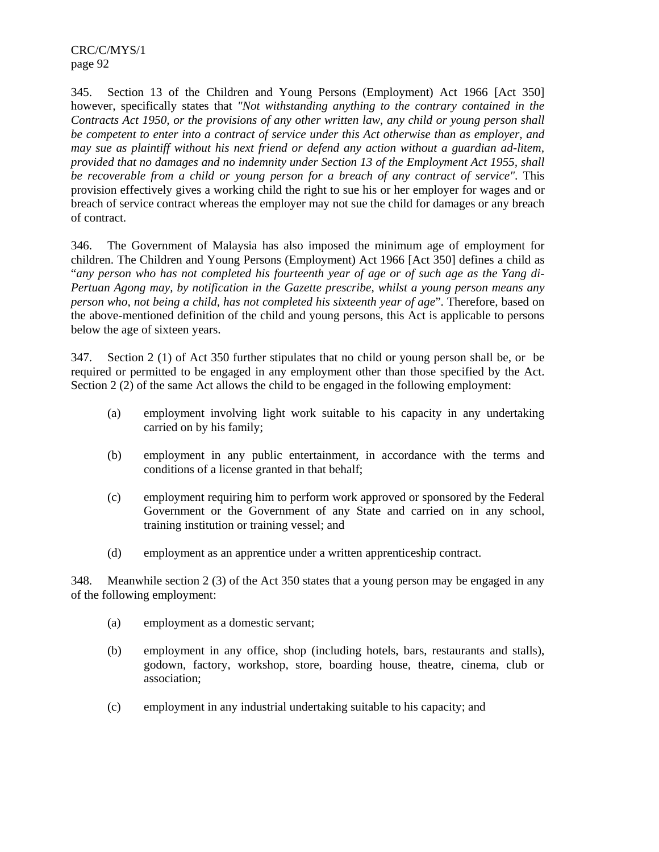345. Section 13 of the Children and Young Persons (Employment) Act 1966 [Act 350] however, specifically states that *"Not withstanding anything to the contrary contained in the Contracts Act 1950, or the provisions of any other written law, any child or young person shall be competent to enter into a contract of service under this Act otherwise than as employer, and may sue as plaintiff without his next friend or defend any action without a guardian ad-litem, provided that no damages and no indemnity under Section 13 of the Employment Act 1955, shall be recoverable from a child or young person for a breach of any contract of service"*. This provision effectively gives a working child the right to sue his or her employer for wages and or breach of service contract whereas the employer may not sue the child for damages or any breach of contract.

346. The Government of Malaysia has also imposed the minimum age of employment for children. The Children and Young Persons (Employment) Act 1966 [Act 350] defines a child as "*any person who has not completed his fourteenth year of age or of such age as the Yang di-Pertuan Agong may, by notification in the Gazette prescribe, whilst a young person means any person who, not being a child, has not completed his sixteenth year of age*". Therefore, based on the above-mentioned definition of the child and young persons, this Act is applicable to persons below the age of sixteen years.

347. Section 2 (1) of Act 350 further stipulates that no child or young person shall be, or be required or permitted to be engaged in any employment other than those specified by the Act. Section 2 (2) of the same Act allows the child to be engaged in the following employment:

- (a) employment involving light work suitable to his capacity in any undertaking carried on by his family;
- (b) employment in any public entertainment, in accordance with the terms and conditions of a license granted in that behalf;
- (c) employment requiring him to perform work approved or sponsored by the Federal Government or the Government of any State and carried on in any school, training institution or training vessel; and
- (d) employment as an apprentice under a written apprenticeship contract.

348. Meanwhile section 2 (3) of the Act 350 states that a young person may be engaged in any of the following employment:

- (a) employment as a domestic servant;
- (b) employment in any office, shop (including hotels, bars, restaurants and stalls), godown, factory, workshop, store, boarding house, theatre, cinema, club or association;
- (c) employment in any industrial undertaking suitable to his capacity; and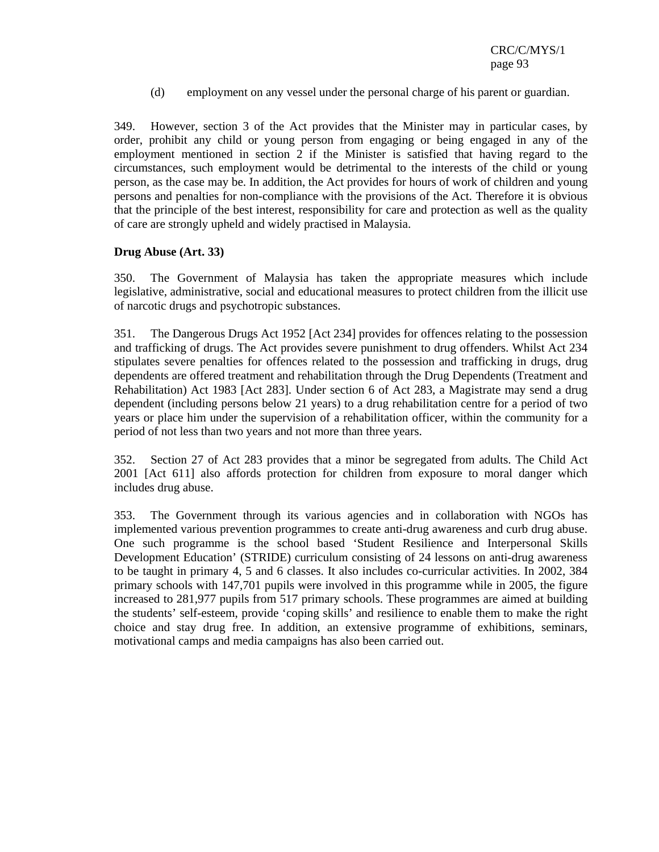(d) employment on any vessel under the personal charge of his parent or guardian.

349. However, section 3 of the Act provides that the Minister may in particular cases, by order, prohibit any child or young person from engaging or being engaged in any of the employment mentioned in section 2 if the Minister is satisfied that having regard to the circumstances, such employment would be detrimental to the interests of the child or young person, as the case may be. In addition, the Act provides for hours of work of children and young persons and penalties for non-compliance with the provisions of the Act. Therefore it is obvious that the principle of the best interest, responsibility for care and protection as well as the quality of care are strongly upheld and widely practised in Malaysia.

### **Drug Abuse (Art. 33)**

350. The Government of Malaysia has taken the appropriate measures which include legislative, administrative, social and educational measures to protect children from the illicit use of narcotic drugs and psychotropic substances.

351. The Dangerous Drugs Act 1952 [Act 234] provides for offences relating to the possession and trafficking of drugs. The Act provides severe punishment to drug offenders. Whilst Act 234 stipulates severe penalties for offences related to the possession and trafficking in drugs, drug dependents are offered treatment and rehabilitation through the Drug Dependents (Treatment and Rehabilitation) Act 1983 [Act 283]. Under section 6 of Act 283, a Magistrate may send a drug dependent (including persons below 21 years) to a drug rehabilitation centre for a period of two years or place him under the supervision of a rehabilitation officer, within the community for a period of not less than two years and not more than three years.

352. Section 27 of Act 283 provides that a minor be segregated from adults. The Child Act 2001 [Act 611] also affords protection for children from exposure to moral danger which includes drug abuse.

353. The Government through its various agencies and in collaboration with NGOs has implemented various prevention programmes to create anti-drug awareness and curb drug abuse. One such programme is the school based 'Student Resilience and Interpersonal Skills Development Education' (STRIDE) curriculum consisting of 24 lessons on anti-drug awareness to be taught in primary 4, 5 and 6 classes. It also includes co-curricular activities. In 2002, 384 primary schools with 147,701 pupils were involved in this programme while in 2005, the figure increased to 281,977 pupils from 517 primary schools. These programmes are aimed at building the students' self-esteem, provide 'coping skills' and resilience to enable them to make the right choice and stay drug free. In addition, an extensive programme of exhibitions, seminars, motivational camps and media campaigns has also been carried out.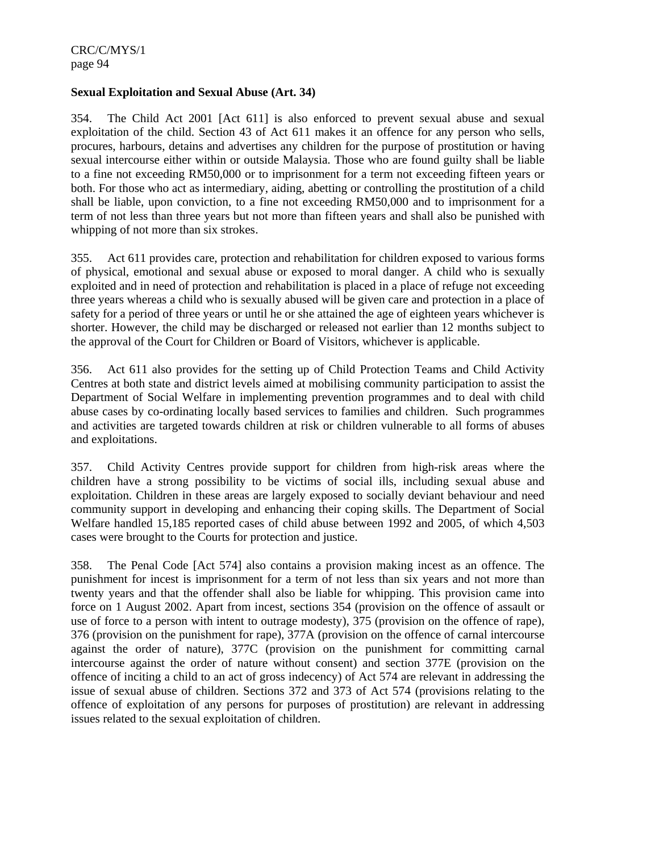### **Sexual Exploitation and Sexual Abuse (Art. 34)**

354. The Child Act 2001 [Act 611] is also enforced to prevent sexual abuse and sexual exploitation of the child. Section 43 of Act 611 makes it an offence for any person who sells, procures, harbours, detains and advertises any children for the purpose of prostitution or having sexual intercourse either within or outside Malaysia. Those who are found guilty shall be liable to a fine not exceeding RM50,000 or to imprisonment for a term not exceeding fifteen years or both. For those who act as intermediary, aiding, abetting or controlling the prostitution of a child shall be liable, upon conviction, to a fine not exceeding RM50,000 and to imprisonment for a term of not less than three years but not more than fifteen years and shall also be punished with whipping of not more than six strokes.

355. Act 611 provides care, protection and rehabilitation for children exposed to various forms of physical, emotional and sexual abuse or exposed to moral danger. A child who is sexually exploited and in need of protection and rehabilitation is placed in a place of refuge not exceeding three years whereas a child who is sexually abused will be given care and protection in a place of safety for a period of three years or until he or she attained the age of eighteen years whichever is shorter. However, the child may be discharged or released not earlier than 12 months subject to the approval of the Court for Children or Board of Visitors, whichever is applicable.

356. Act 611 also provides for the setting up of Child Protection Teams and Child Activity Centres at both state and district levels aimed at mobilising community participation to assist the Department of Social Welfare in implementing prevention programmes and to deal with child abuse cases by co-ordinating locally based services to families and children. Such programmes and activities are targeted towards children at risk or children vulnerable to all forms of abuses and exploitations.

357. Child Activity Centres provide support for children from high-risk areas where the children have a strong possibility to be victims of social ills, including sexual abuse and exploitation. Children in these areas are largely exposed to socially deviant behaviour and need community support in developing and enhancing their coping skills. The Department of Social Welfare handled 15,185 reported cases of child abuse between 1992 and 2005, of which 4,503 cases were brought to the Courts for protection and justice.

358. The Penal Code [Act 574] also contains a provision making incest as an offence. The punishment for incest is imprisonment for a term of not less than six years and not more than twenty years and that the offender shall also be liable for whipping. This provision came into force on 1 August 2002. Apart from incest, sections 354 (provision on the offence of assault or use of force to a person with intent to outrage modesty), 375 (provision on the offence of rape), 376 (provision on the punishment for rape), 377A (provision on the offence of carnal intercourse against the order of nature), 377C (provision on the punishment for committing carnal intercourse against the order of nature without consent) and section 377E (provision on the offence of inciting a child to an act of gross indecency) of Act 574 are relevant in addressing the issue of sexual abuse of children. Sections 372 and 373 of Act 574 (provisions relating to the offence of exploitation of any persons for purposes of prostitution) are relevant in addressing issues related to the sexual exploitation of children.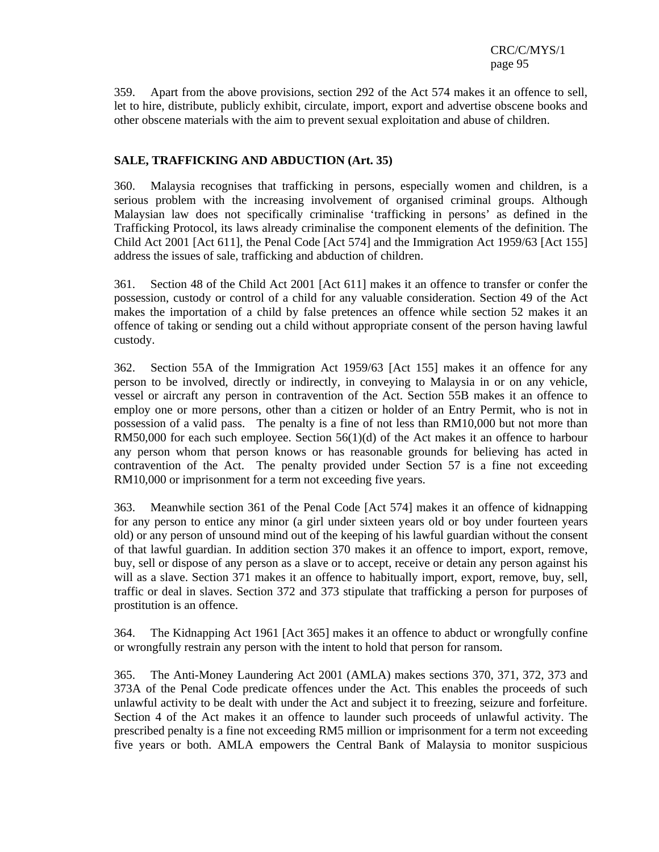359. Apart from the above provisions, section 292 of the Act 574 makes it an offence to sell, let to hire, distribute, publicly exhibit, circulate, import, export and advertise obscene books and other obscene materials with the aim to prevent sexual exploitation and abuse of children.

## **SALE, TRAFFICKING AND ABDUCTION (Art. 35)**

360. Malaysia recognises that trafficking in persons, especially women and children, is a serious problem with the increasing involvement of organised criminal groups. Although Malaysian law does not specifically criminalise 'trafficking in persons' as defined in the Trafficking Protocol, its laws already criminalise the component elements of the definition. The Child Act 2001 [Act 611], the Penal Code [Act 574] and the Immigration Act 1959/63 [Act 155] address the issues of sale, trafficking and abduction of children.

361. Section 48 of the Child Act 2001 [Act 611] makes it an offence to transfer or confer the possession, custody or control of a child for any valuable consideration. Section 49 of the Act makes the importation of a child by false pretences an offence while section 52 makes it an offence of taking or sending out a child without appropriate consent of the person having lawful custody.

362. Section 55A of the Immigration Act 1959/63 [Act 155] makes it an offence for any person to be involved, directly or indirectly, in conveying to Malaysia in or on any vehicle, vessel or aircraft any person in contravention of the Act. Section 55B makes it an offence to employ one or more persons, other than a citizen or holder of an Entry Permit, who is not in possession of a valid pass. The penalty is a fine of not less than RM10,000 but not more than RM50,000 for each such employee. Section 56(1)(d) of the Act makes it an offence to harbour any person whom that person knows or has reasonable grounds for believing has acted in contravention of the Act. The penalty provided under Section 57 is a fine not exceeding RM10,000 or imprisonment for a term not exceeding five years.

363. Meanwhile section 361 of the Penal Code [Act 574] makes it an offence of kidnapping for any person to entice any minor (a girl under sixteen years old or boy under fourteen years old) or any person of unsound mind out of the keeping of his lawful guardian without the consent of that lawful guardian. In addition section 370 makes it an offence to import, export, remove, buy, sell or dispose of any person as a slave or to accept, receive or detain any person against his will as a slave. Section 371 makes it an offence to habitually import, export, remove, buy, sell, traffic or deal in slaves. Section 372 and 373 stipulate that trafficking a person for purposes of prostitution is an offence.

364. The Kidnapping Act 1961 [Act 365] makes it an offence to abduct or wrongfully confine or wrongfully restrain any person with the intent to hold that person for ransom.

365. The Anti-Money Laundering Act 2001 (AMLA) makes sections 370, 371, 372, 373 and 373A of the Penal Code predicate offences under the Act. This enables the proceeds of such unlawful activity to be dealt with under the Act and subject it to freezing, seizure and forfeiture. Section 4 of the Act makes it an offence to launder such proceeds of unlawful activity. The prescribed penalty is a fine not exceeding RM5 million or imprisonment for a term not exceeding five years or both. AMLA empowers the Central Bank of Malaysia to monitor suspicious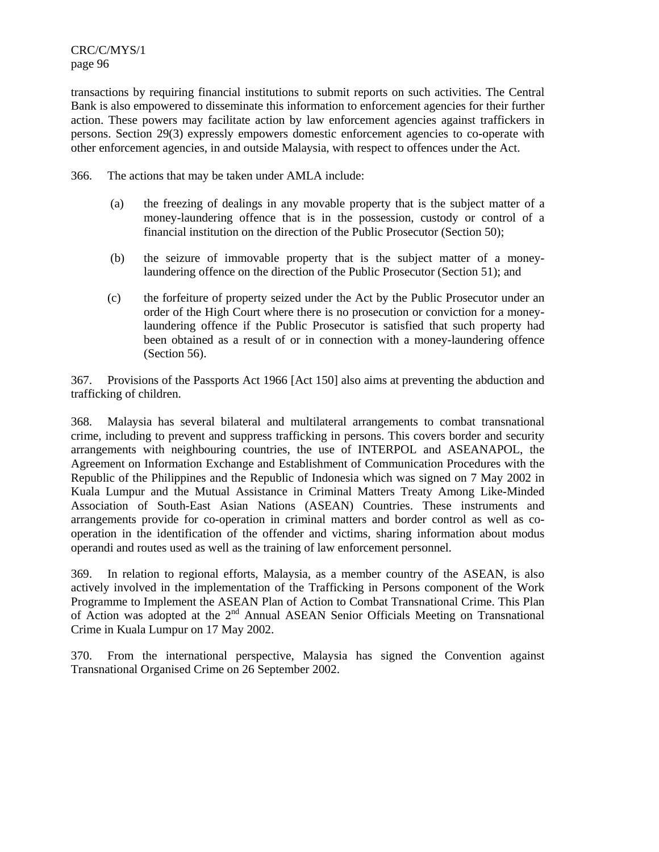transactions by requiring financial institutions to submit reports on such activities. The Central Bank is also empowered to disseminate this information to enforcement agencies for their further action. These powers may facilitate action by law enforcement agencies against traffickers in persons. Section 29(3) expressly empowers domestic enforcement agencies to co-operate with other enforcement agencies, in and outside Malaysia, with respect to offences under the Act.

366. The actions that may be taken under AMLA include:

- (a) the freezing of dealings in any movable property that is the subject matter of a money-laundering offence that is in the possession, custody or control of a financial institution on the direction of the Public Prosecutor (Section 50);
- (b) the seizure of immovable property that is the subject matter of a moneylaundering offence on the direction of the Public Prosecutor (Section 51); and
- (c) the forfeiture of property seized under the Act by the Public Prosecutor under an order of the High Court where there is no prosecution or conviction for a moneylaundering offence if the Public Prosecutor is satisfied that such property had been obtained as a result of or in connection with a money-laundering offence (Section 56).

367. Provisions of the Passports Act 1966 [Act 150] also aims at preventing the abduction and trafficking of children.

368. Malaysia has several bilateral and multilateral arrangements to combat transnational crime, including to prevent and suppress trafficking in persons. This covers border and security arrangements with neighbouring countries, the use of INTERPOL and ASEANAPOL, the Agreement on Information Exchange and Establishment of Communication Procedures with the Republic of the Philippines and the Republic of Indonesia which was signed on 7 May 2002 in Kuala Lumpur and the Mutual Assistance in Criminal Matters Treaty Among Like-Minded Association of South-East Asian Nations (ASEAN) Countries. These instruments and arrangements provide for co-operation in criminal matters and border control as well as cooperation in the identification of the offender and victims, sharing information about modus operandi and routes used as well as the training of law enforcement personnel.

369. In relation to regional efforts, Malaysia, as a member country of the ASEAN, is also actively involved in the implementation of the Trafficking in Persons component of the Work Programme to Implement the ASEAN Plan of Action to Combat Transnational Crime. This Plan of Action was adopted at the 2<sup>nd</sup> Annual ASEAN Senior Officials Meeting on Transnational Crime in Kuala Lumpur on 17 May 2002.

370. From the international perspective, Malaysia has signed the Convention against Transnational Organised Crime on 26 September 2002.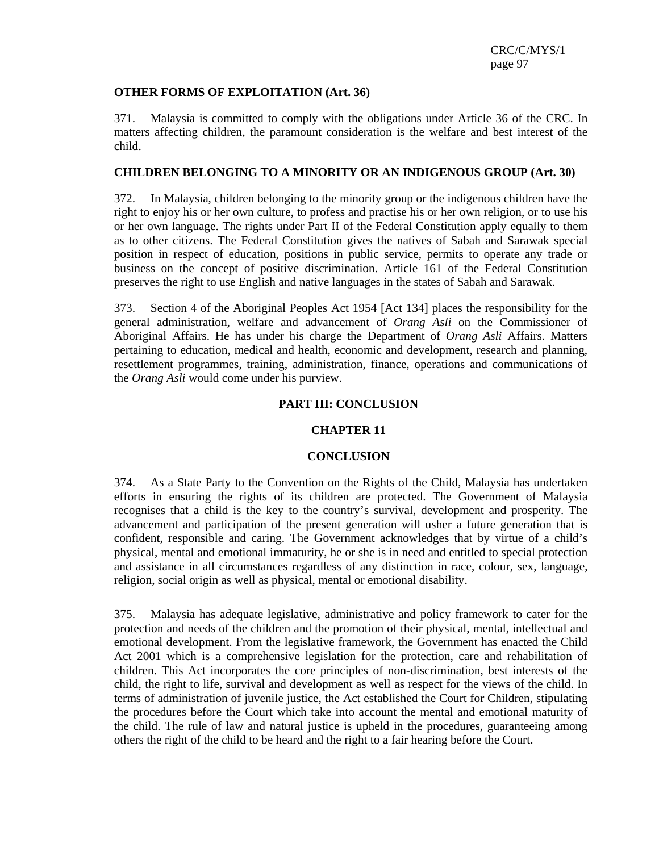### **OTHER FORMS OF EXPLOITATION (Art. 36)**

371. Malaysia is committed to comply with the obligations under Article 36 of the CRC. In matters affecting children, the paramount consideration is the welfare and best interest of the child.

#### **CHILDREN BELONGING TO A MINORITY OR AN INDIGENOUS GROUP (Art. 30)**

372. In Malaysia, children belonging to the minority group or the indigenous children have the right to enjoy his or her own culture, to profess and practise his or her own religion, or to use his or her own language. The rights under Part II of the Federal Constitution apply equally to them as to other citizens. The Federal Constitution gives the natives of Sabah and Sarawak special position in respect of education, positions in public service, permits to operate any trade or business on the concept of positive discrimination. Article 161 of the Federal Constitution preserves the right to use English and native languages in the states of Sabah and Sarawak.

373. Section 4 of the Aboriginal Peoples Act 1954 [Act 134] places the responsibility for the general administration, welfare and advancement of *Orang Asli* on the Commissioner of Aboriginal Affairs. He has under his charge the Department of *Orang Asli* Affairs. Matters pertaining to education, medical and health, economic and development, research and planning, resettlement programmes, training, administration, finance, operations and communications of the *Orang Asli* would come under his purview.

#### **PART III: CONCLUSION**

### **CHAPTER 11**

#### **CONCLUSION**

374. As a State Party to the Convention on the Rights of the Child, Malaysia has undertaken efforts in ensuring the rights of its children are protected. The Government of Malaysia recognises that a child is the key to the country's survival, development and prosperity. The advancement and participation of the present generation will usher a future generation that is confident, responsible and caring. The Government acknowledges that by virtue of a child's physical, mental and emotional immaturity, he or she is in need and entitled to special protection and assistance in all circumstances regardless of any distinction in race, colour, sex, language, religion, social origin as well as physical, mental or emotional disability.

375. Malaysia has adequate legislative, administrative and policy framework to cater for the protection and needs of the children and the promotion of their physical, mental, intellectual and emotional development. From the legislative framework, the Government has enacted the Child Act 2001 which is a comprehensive legislation for the protection, care and rehabilitation of children. This Act incorporates the core principles of non-discrimination, best interests of the child, the right to life, survival and development as well as respect for the views of the child. In terms of administration of juvenile justice, the Act established the Court for Children, stipulating the procedures before the Court which take into account the mental and emotional maturity of the child. The rule of law and natural justice is upheld in the procedures, guaranteeing among others the right of the child to be heard and the right to a fair hearing before the Court.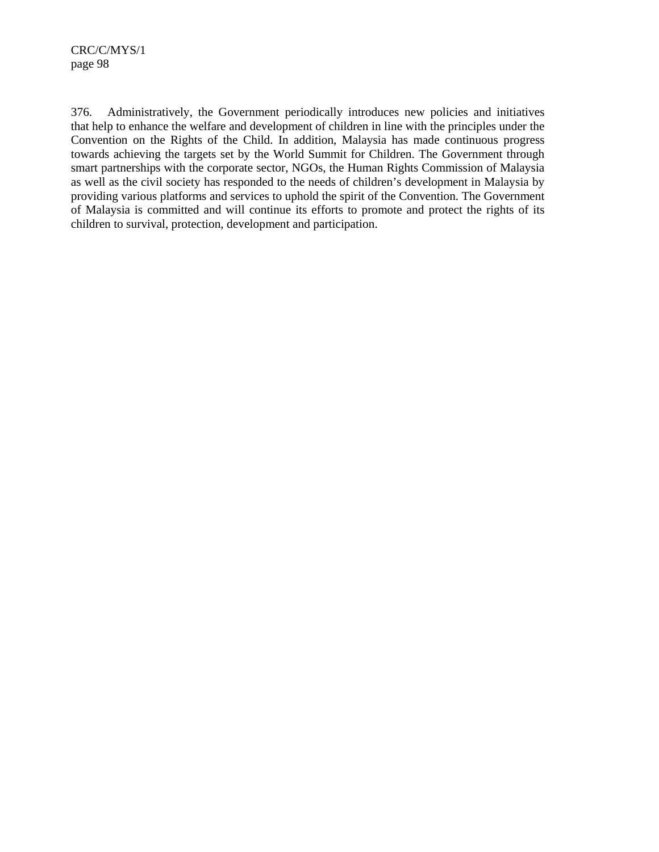376. Administratively, the Government periodically introduces new policies and initiatives that help to enhance the welfare and development of children in line with the principles under the Convention on the Rights of the Child. In addition, Malaysia has made continuous progress towards achieving the targets set by the World Summit for Children. The Government through smart partnerships with the corporate sector, NGOs, the Human Rights Commission of Malaysia as well as the civil society has responded to the needs of children's development in Malaysia by providing various platforms and services to uphold the spirit of the Convention. The Government of Malaysia is committed and will continue its efforts to promote and protect the rights of its children to survival, protection, development and participation.